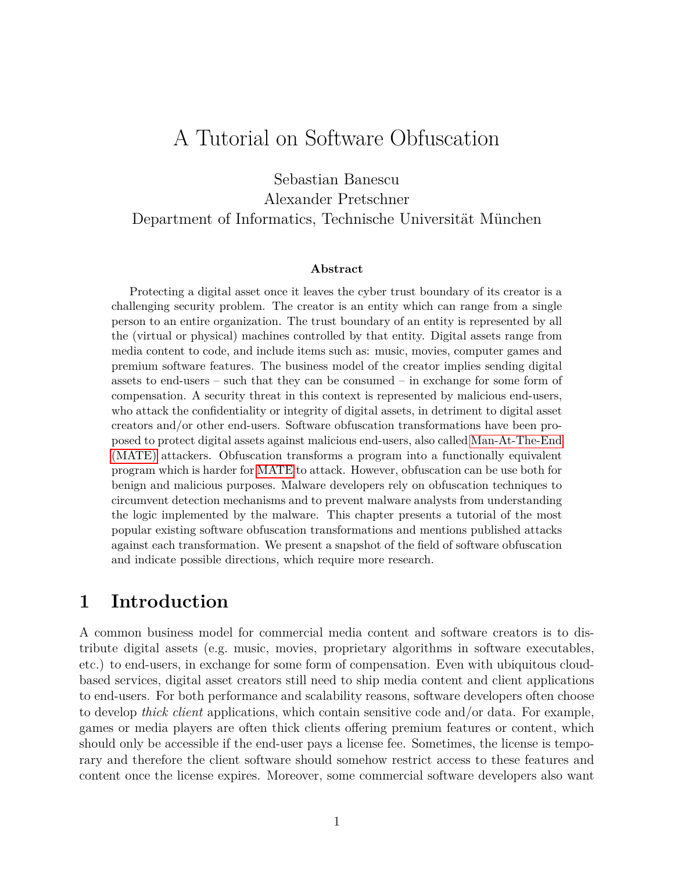## <span id="page-0-0"></span>A Tutorial on Software Obfuscation

Sebastian Banescu Alexander Pretschner Department of Informatics, Technische Universität München

#### **Abstract**

Protecting a digital asset once it leaves the cyber trust boundary of its creator is a challenging security problem. The creator is an entity which can range from a single person to an entire organization. The trust boundary of an entity is represented by all the (virtual or physical) machines controlled by that entity. Digital assets range from media content to code, and include items such as: music, movies, computer games and premium software features. The business model of the creator implies sending digital assets to end-users – such that they can be consumed – in exchange for some form of compensation. A security threat in this context is represented by malicious end-users, who attack the confidentiality or integrity of digital assets, in detriment to digital asset creators and/or other end-users. Software obfuscation transformations have been proposed to protect digital assets against malicious end-users, also called Man-At-The-End (MATE) attackers. Obfuscation transforms a program into a functionally equivalent program which is harder for MATE to attack. However, obfuscation can be use both for benign and malicious purposes. Malware developers rely on obfuscation techniques to circumvent detection mechanisms and to prevent malware analysts from understanding the logic implemented by the malware. This chapter presents a tutorial of the most popular existing software obfuscation transformations and mentions published attacks against each transformation. We present a snapshot of the field of software obfuscation and indicate possible directions, which require more research.

### **1 Introduction**

A common business model for commercial media content and software creators is to distribute digital assets (e.g. music, movies, proprietary algorithms in software executables, etc.) to end-users, in exchange for some form of compensation. Even with ubiquitous cloudbased services, digital asset creators still need to ship media content and client applications to end-users. For both performance and scalability reasons, software developers often choose to develop *thick client* applications, which contain sensitive code and/or data. For example, games or media players are often thick clients offering premium features or content, which should only be accessible if the end-user pays a license fee. Sometimes, the license is temporary and therefore the client software should somehow restrict access to these features and content once the license expires. Moreover, some commercial software developers also want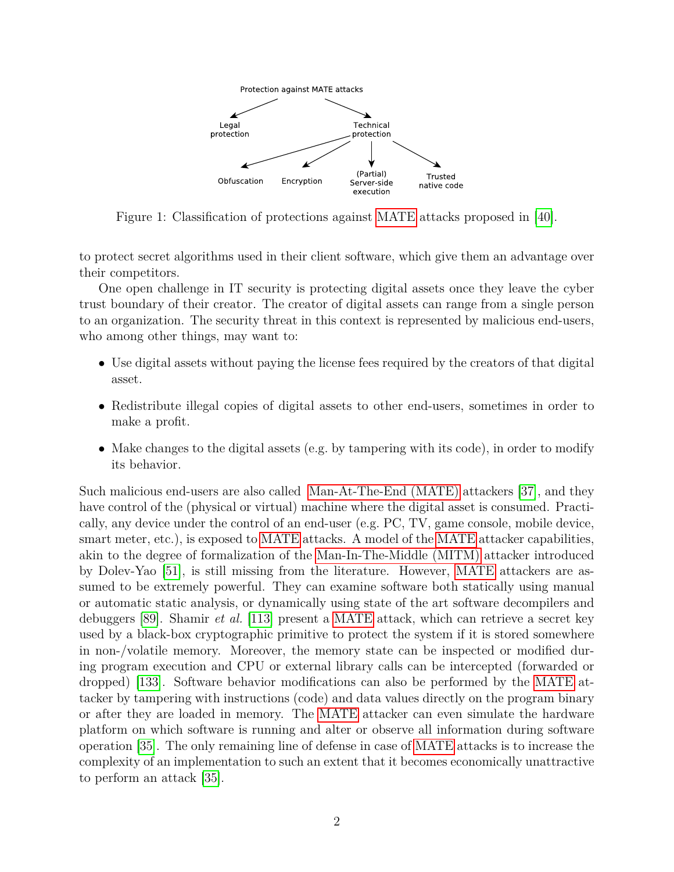<span id="page-1-0"></span>

Figure 1: Classification of protections against [MATE](#page-0-0) attacks proposed in [\[40\]](#page-44-0).

to protect secret algorithms used in their client software, which give them an advantage over their competitors.

One open challenge in IT security is protecting digital assets once they leave the cyber trust boundary of their creator. The creator of digital assets can range from a single person to an organization. The security threat in this context is represented by malicious end-users, who among other things, may want to:

- Use digital assets without paying the license fees required by the creators of that digital asset.
- Redistribute illegal copies of digital assets to other end-users, sometimes in order to make a profit.
- Make changes to the digital assets (e.g. by tampering with its code), in order to modify its behavior.

Such malicious end-users are also called [Man-At-The-End \(MATE\)](#page-0-0) attackers [\[37\]](#page-44-1), and they have control of the (physical or virtual) machine where the digital asset is consumed. Practically, any device under the control of an end-user (e.g. PC, TV, game console, mobile device, smart meter, etc.), is exposed to [MATE](#page-0-0) attacks. A model of the [MATE](#page-0-0) attacker capabilities, akin to the degree of formalization of the [Man-In-The-Middle \(MITM\)](#page-0-0) attacker introduced by Dolev-Yao [\[51\]](#page-45-0), is still missing from the literature. However, [MATE](#page-0-0) attackers are assumed to be extremely powerful. They can examine software both statically using manual or automatic static analysis, or dynamically using state of the art software decompilers and debuggers [\[89\]](#page-48-0). Shamir *et al.* [\[113\]](#page-50-0) present a [MATE](#page-0-0) attack, which can retrieve a secret key used by a black-box cryptographic primitive to protect the system if it is stored somewhere in non-/volatile memory. Moreover, the memory state can be inspected or modified during program execution and CPU or external library calls can be intercepted (forwarded or dropped) [\[133\]](#page-51-0). Software behavior modifications can also be performed by the [MATE](#page-0-0) attacker by tampering with instructions (code) and data values directly on the program binary or after they are loaded in memory. The [MATE](#page-0-0) attacker can even simulate the hardware platform on which software is running and alter or observe all information during software operation [\[35\]](#page-44-2). The only remaining line of defense in case of [MATE](#page-0-0) attacks is to increase the complexity of an implementation to such an extent that it becomes economically unattractive to perform an attack [\[35\]](#page-44-2).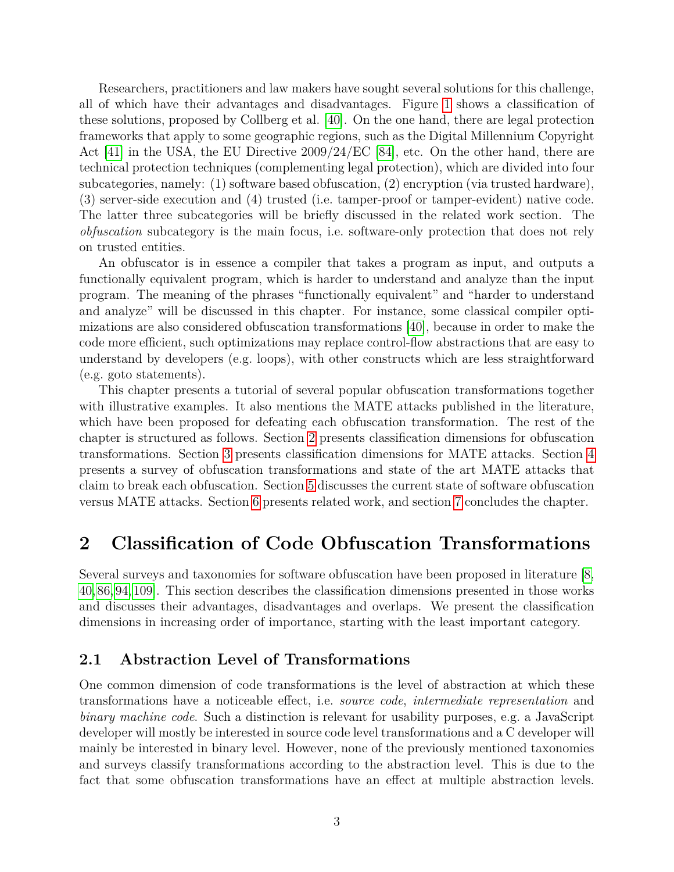Researchers, practitioners and law makers have sought several solutions for this challenge, all of which have their advantages and disadvantages. Figure [1](#page-1-0) shows a classification of these solutions, proposed by Collberg et al. [\[40\]](#page-44-0). On the one hand, there are legal protection frameworks that apply to some geographic regions, such as the Digital Millennium Copyright Act [\[41\]](#page-44-3) in the USA, the EU Directive 2009/24/EC [\[84\]](#page-47-0), etc. On the other hand, there are technical protection techniques (complementing legal protection), which are divided into four subcategories, namely: (1) software based obfuscation, (2) encryption (via trusted hardware), (3) server-side execution and (4) trusted (i.e. tamper-proof or tamper-evident) native code. The latter three subcategories will be briefly discussed in the related work section. The *obfuscation* subcategory is the main focus, i.e. software-only protection that does not rely on trusted entities.

An obfuscator is in essence a compiler that takes a program as input, and outputs a functionally equivalent program, which is harder to understand and analyze than the input program. The meaning of the phrases "functionally equivalent" and "harder to understand and analyze" will be discussed in this chapter. For instance, some classical compiler optimizations are also considered obfuscation transformations [\[40\]](#page-44-0), because in order to make the code more efficient, such optimizations may replace control-flow abstractions that are easy to understand by developers (e.g. loops), with other constructs which are less straightforward (e.g. goto statements).

This chapter presents a tutorial of several popular obfuscation transformations together with illustrative examples. It also mentions the MATE attacks published in the literature, which have been proposed for defeating each obfuscation transformation. The rest of the chapter is structured as follows. Section [2](#page-2-0) presents classification dimensions for obfuscation transformations. Section [3](#page-6-0) presents classification dimensions for MATE attacks. Section [4](#page-8-0) presents a survey of obfuscation transformations and state of the art MATE attacks that claim to break each obfuscation. Section [5](#page-32-0) discusses the current state of software obfuscation versus MATE attacks. Section [6](#page-36-0) presents related work, and section [7](#page-40-0) concludes the chapter.

### <span id="page-2-0"></span>**2 Classification of Code Obfuscation Transformations**

Several surveys and taxonomies for software obfuscation have been proposed in literature [\[8,](#page-42-0) [40,](#page-44-0)[86,](#page-48-1)[94,](#page-48-2)[109\]](#page-49-0). This section describes the classification dimensions presented in those works and discusses their advantages, disadvantages and overlaps. We present the classification dimensions in increasing order of importance, starting with the least important category.

#### **2.1 Abstraction Level of Transformations**

One common dimension of code transformations is the level of abstraction at which these transformations have a noticeable effect, i.e. *source code*, *intermediate representation* and *binary machine code*. Such a distinction is relevant for usability purposes, e.g. a JavaScript developer will mostly be interested in source code level transformations and a C developer will mainly be interested in binary level. However, none of the previously mentioned taxonomies and surveys classify transformations according to the abstraction level. This is due to the fact that some obfuscation transformations have an effect at multiple abstraction levels.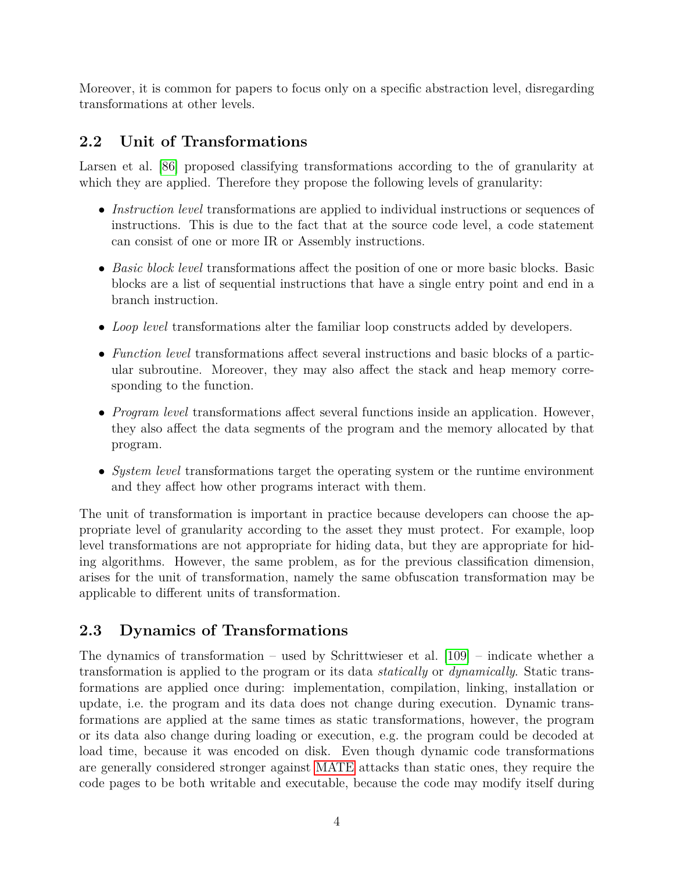Moreover, it is common for papers to focus only on a specific abstraction level, disregarding transformations at other levels.

### **2.2 Unit of Transformations**

Larsen et al. [\[86\]](#page-48-1) proposed classifying transformations according to the of granularity at which they are applied. Therefore they propose the following levels of granularity:

- *Instruction level* transformations are applied to individual instructions or sequences of instructions. This is due to the fact that at the source code level, a code statement can consist of one or more IR or Assembly instructions.
- *Basic block level* transformations affect the position of one or more basic blocks. Basic blocks are a list of sequential instructions that have a single entry point and end in a branch instruction.
- *Loop level* transformations alter the familiar loop constructs added by developers.
- *Function level* transformations affect several instructions and basic blocks of a particular subroutine. Moreover, they may also affect the stack and heap memory corresponding to the function.
- *Program level* transformations affect several functions inside an application. However, they also affect the data segments of the program and the memory allocated by that program.
- *System level* transformations target the operating system or the runtime environment and they affect how other programs interact with them.

The unit of transformation is important in practice because developers can choose the appropriate level of granularity according to the asset they must protect. For example, loop level transformations are not appropriate for hiding data, but they are appropriate for hiding algorithms. However, the same problem, as for the previous classification dimension, arises for the unit of transformation, namely the same obfuscation transformation may be applicable to different units of transformation.

### <span id="page-3-0"></span>**2.3 Dynamics of Transformations**

The dynamics of transformation – used by Schrittwieser et al. [\[109\]](#page-49-0) – indicate whether a transformation is applied to the program or its data *statically* or *dynamically*. Static transformations are applied once during: implementation, compilation, linking, installation or update, i.e. the program and its data does not change during execution. Dynamic transformations are applied at the same times as static transformations, however, the program or its data also change during loading or execution, e.g. the program could be decoded at load time, because it was encoded on disk. Even though dynamic code transformations are generally considered stronger against [MATE](#page-0-0) attacks than static ones, they require the code pages to be both writable and executable, because the code may modify itself during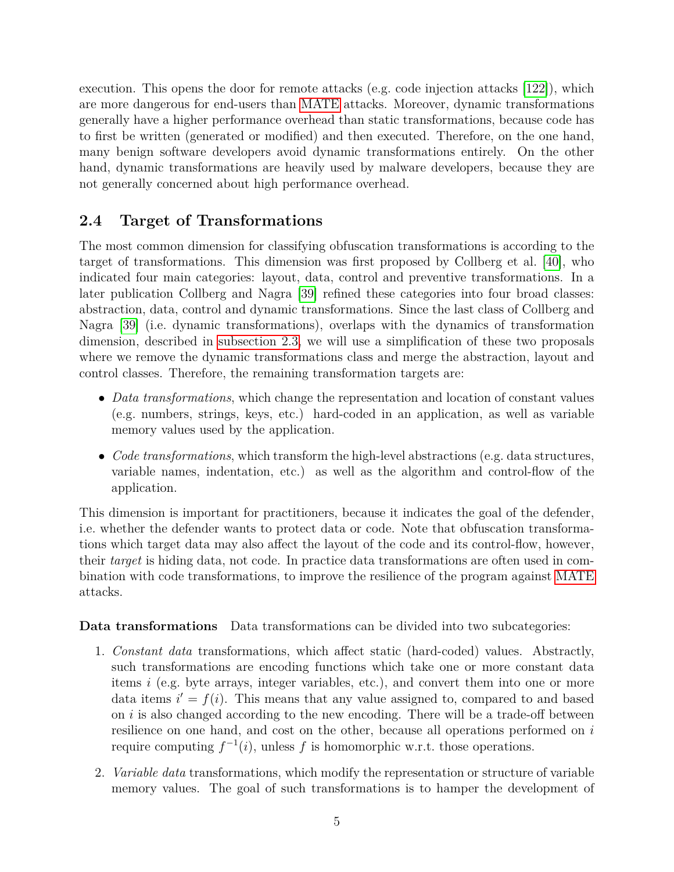execution. This opens the door for remote attacks (e.g. code injection attacks [\[122\]](#page-50-1)), which are more dangerous for end-users than [MATE](#page-0-0) attacks. Moreover, dynamic transformations generally have a higher performance overhead than static transformations, because code has to first be written (generated or modified) and then executed. Therefore, on the one hand, many benign software developers avoid dynamic transformations entirely. On the other hand, dynamic transformations are heavily used by malware developers, because they are not generally concerned about high performance overhead.

### **2.4 Target of Transformations**

The most common dimension for classifying obfuscation transformations is according to the target of transformations. This dimension was first proposed by Collberg et al. [\[40\]](#page-44-0), who indicated four main categories: layout, data, control and preventive transformations. In a later publication Collberg and Nagra [\[39\]](#page-44-4) refined these categories into four broad classes: abstraction, data, control and dynamic transformations. Since the last class of Collberg and Nagra [\[39\]](#page-44-4) (i.e. dynamic transformations), overlaps with the dynamics of transformation dimension, described in [subsection 2.3,](#page-3-0) we will use a simplification of these two proposals where we remove the dynamic transformations class and merge the abstraction, layout and control classes. Therefore, the remaining transformation targets are:

- *Data transformations*, which change the representation and location of constant values (e.g. numbers, strings, keys, etc.) hard-coded in an application, as well as variable memory values used by the application.
- *Code transformations*, which transform the high-level abstractions (e.g. data structures, variable names, indentation, etc.) as well as the algorithm and control-flow of the application.

This dimension is important for practitioners, because it indicates the goal of the defender, i.e. whether the defender wants to protect data or code. Note that obfuscation transformations which target data may also affect the layout of the code and its control-flow, however, their *target* is hiding data, not code. In practice data transformations are often used in combination with code transformations, to improve the resilience of the program against [MATE](#page-0-0) attacks.

**Data transformations** Data transformations can be divided into two subcategories:

- 1. *Constant data* transformations, which affect static (hard-coded) values. Abstractly, such transformations are encoding functions which take one or more constant data items *i* (e.g. byte arrays, integer variables, etc.), and convert them into one or more data items  $i' = f(i)$ . This means that any value assigned to, compared to and based on *i* is also changed according to the new encoding. There will be a trade-off between resilience on one hand, and cost on the other, because all operations performed on *i* require computing  $f^{-1}(i)$ , unless f is homomorphic w.r.t. those operations.
- 2. *Variable data* transformations, which modify the representation or structure of variable memory values. The goal of such transformations is to hamper the development of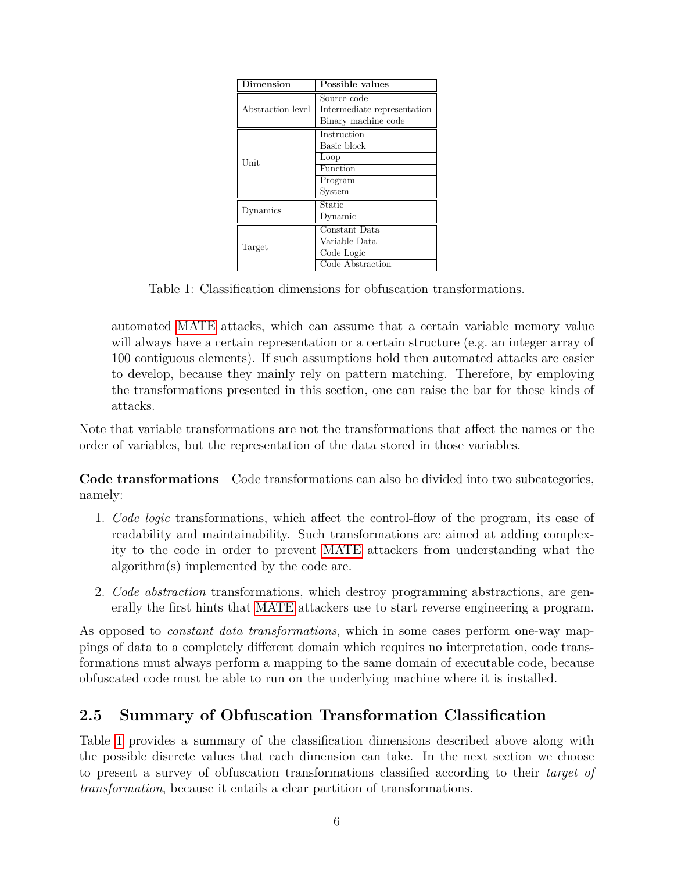<span id="page-5-0"></span>

| Dimension         | Possible values             |
|-------------------|-----------------------------|
|                   | Source code                 |
| Abstraction level | Intermediate representation |
|                   | Binary machine code         |
|                   | Instruction                 |
|                   | Basic block                 |
| Unit              | Loop                        |
|                   | Function                    |
|                   | Program                     |
|                   | System                      |
| Dynamics          | Static                      |
|                   | Dynamic                     |
|                   | Constant Data               |
| Target            | Variable Data               |
|                   | Code Logic                  |
|                   | Code Abstraction            |

Table 1: Classification dimensions for obfuscation transformations.

automated [MATE](#page-0-0) attacks, which can assume that a certain variable memory value will always have a certain representation or a certain structure (e.g. an integer array of 100 contiguous elements). If such assumptions hold then automated attacks are easier to develop, because they mainly rely on pattern matching. Therefore, by employing the transformations presented in this section, one can raise the bar for these kinds of attacks.

Note that variable transformations are not the transformations that affect the names or the order of variables, but the representation of the data stored in those variables.

**Code transformations** Code transformations can also be divided into two subcategories, namely:

- 1. *Code logic* transformations, which affect the control-flow of the program, its ease of readability and maintainability. Such transformations are aimed at adding complexity to the code in order to prevent [MATE](#page-0-0) attackers from understanding what the algorithm(s) implemented by the code are.
- 2. *Code abstraction* transformations, which destroy programming abstractions, are generally the first hints that [MATE](#page-0-0) attackers use to start reverse engineering a program.

As opposed to *constant data transformations*, which in some cases perform one-way mappings of data to a completely different domain which requires no interpretation, code transformations must always perform a mapping to the same domain of executable code, because obfuscated code must be able to run on the underlying machine where it is installed.

### **2.5 Summary of Obfuscation Transformation Classification**

Table [1](#page-5-0) provides a summary of the classification dimensions described above along with the possible discrete values that each dimension can take. In the next section we choose to present a survey of obfuscation transformations classified according to their *target of transformation*, because it entails a clear partition of transformations.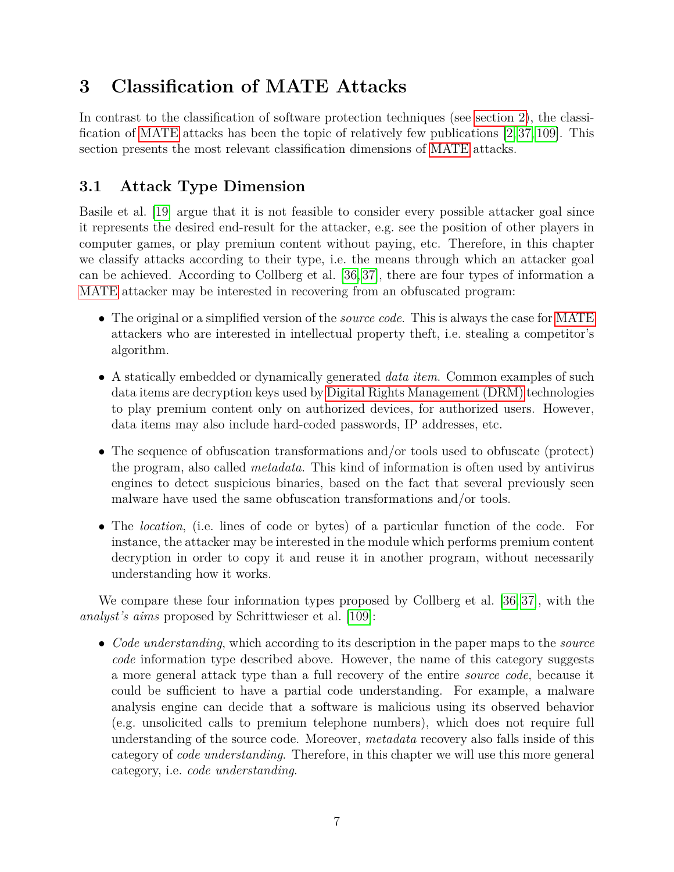# <span id="page-6-0"></span>**3 Classification of MATE Attacks**

In contrast to the classification of software protection techniques (see [section 2\)](#page-2-0), the classification of [MATE](#page-0-0) attacks has been the topic of relatively few publications [\[2,](#page-41-0) [37,](#page-44-1) [109\]](#page-49-0). This section presents the most relevant classification dimensions of [MATE](#page-0-0) attacks.

## **3.1 Attack Type Dimension**

Basile et al. [\[19\]](#page-43-0) argue that it is not feasible to consider every possible attacker goal since it represents the desired end-result for the attacker, e.g. see the position of other players in computer games, or play premium content without paying, etc. Therefore, in this chapter we classify attacks according to their type, i.e. the means through which an attacker goal can be achieved. According to Collberg et al. [\[36,](#page-44-5) [37\]](#page-44-1), there are four types of information a [MATE](#page-0-0) attacker may be interested in recovering from an obfuscated program:

- The original or a simplified version of the *source code*. This is always the case for [MATE](#page-0-0) attackers who are interested in intellectual property theft, i.e. stealing a competitor's algorithm.
- A statically embedded or dynamically generated *data item*. Common examples of such data items are decryption keys used by [Digital Rights Management \(DRM\)](#page-0-0) technologies to play premium content only on authorized devices, for authorized users. However, data items may also include hard-coded passwords, IP addresses, etc.
- The sequence of obfuscation transformations and/or tools used to obfuscate (protect) the program, also called *metadata*. This kind of information is often used by antivirus engines to detect suspicious binaries, based on the fact that several previously seen malware have used the same obfuscation transformations and/or tools.
- The *location*, (i.e. lines of code or bytes) of a particular function of the code. For instance, the attacker may be interested in the module which performs premium content decryption in order to copy it and reuse it in another program, without necessarily understanding how it works.

We compare these four information types proposed by Collberg et al. [\[36,](#page-44-5) [37\]](#page-44-1), with the *analyst's aims* proposed by Schrittwieser et al. [\[109\]](#page-49-0):

• *Code understanding*, which according to its description in the paper maps to the *source code* information type described above. However, the name of this category suggests a more general attack type than a full recovery of the entire *source code*, because it could be sufficient to have a partial code understanding. For example, a malware analysis engine can decide that a software is malicious using its observed behavior (e.g. unsolicited calls to premium telephone numbers), which does not require full understanding of the source code. Moreover, *metadata* recovery also falls inside of this category of *code understanding*. Therefore, in this chapter we will use this more general category, i.e. *code understanding*.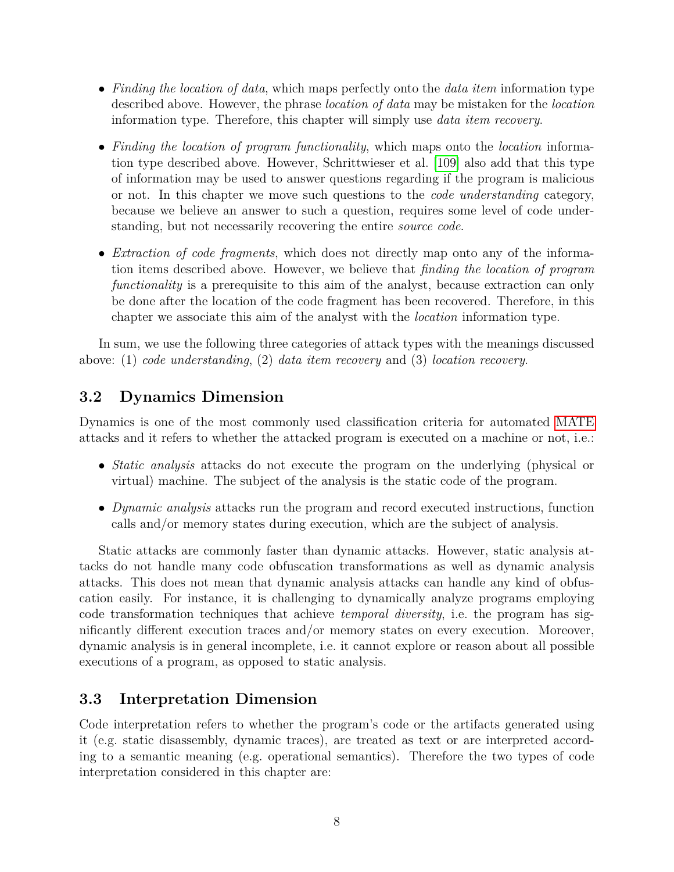- *Finding the location of data*, which maps perfectly onto the *data item* information type described above. However, the phrase *location of data* may be mistaken for the *location* information type. Therefore, this chapter will simply use *data item recovery*.
- *Finding the location of program functionality*, which maps onto the *location* information type described above. However, Schrittwieser et al. [\[109\]](#page-49-0) also add that this type of information may be used to answer questions regarding if the program is malicious or not. In this chapter we move such questions to the *code understanding* category, because we believe an answer to such a question, requires some level of code understanding, but not necessarily recovering the entire *source code*.
- *Extraction of code fragments*, which does not directly map onto any of the information items described above. However, we believe that *finding the location of program functionality* is a prerequisite to this aim of the analyst, because extraction can only be done after the location of the code fragment has been recovered. Therefore, in this chapter we associate this aim of the analyst with the *location* information type.

In sum, we use the following three categories of attack types with the meanings discussed above: (1) *code understanding*, (2) *data item recovery* and (3) *location recovery*.

### **3.2 Dynamics Dimension**

Dynamics is one of the most commonly used classification criteria for automated [MATE](#page-0-0) attacks and it refers to whether the attacked program is executed on a machine or not, i.e.:

- *Static analysis* attacks do not execute the program on the underlying (physical or virtual) machine. The subject of the analysis is the static code of the program.
- *Dynamic analysis* attacks run the program and record executed instructions, function calls and/or memory states during execution, which are the subject of analysis.

Static attacks are commonly faster than dynamic attacks. However, static analysis attacks do not handle many code obfuscation transformations as well as dynamic analysis attacks. This does not mean that dynamic analysis attacks can handle any kind of obfuscation easily. For instance, it is challenging to dynamically analyze programs employing code transformation techniques that achieve *temporal diversity*, i.e. the program has significantly different execution traces and/or memory states on every execution. Moreover, dynamic analysis is in general incomplete, i.e. it cannot explore or reason about all possible executions of a program, as opposed to static analysis.

### **3.3 Interpretation Dimension**

Code interpretation refers to whether the program's code or the artifacts generated using it (e.g. static disassembly, dynamic traces), are treated as text or are interpreted according to a semantic meaning (e.g. operational semantics). Therefore the two types of code interpretation considered in this chapter are: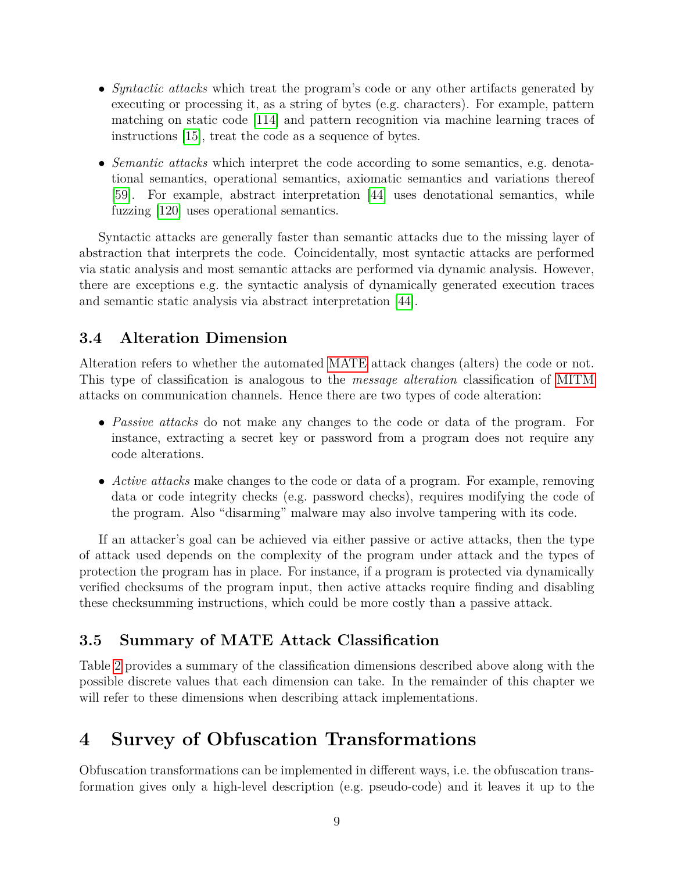- *Syntactic attacks* which treat the program's code or any other artifacts generated by executing or processing it, as a string of bytes (e.g. characters). For example, pattern matching on static code [\[114\]](#page-50-2) and pattern recognition via machine learning traces of instructions [\[15\]](#page-42-1), treat the code as a sequence of bytes.
- *Semantic attacks* which interpret the code according to some semantics, e.g. denotational semantics, operational semantics, axiomatic semantics and variations thereof [\[59\]](#page-46-0). For example, abstract interpretation [\[44\]](#page-44-6) uses denotational semantics, while fuzzing [\[120\]](#page-50-3) uses operational semantics.

Syntactic attacks are generally faster than semantic attacks due to the missing layer of abstraction that interprets the code. Coincidentally, most syntactic attacks are performed via static analysis and most semantic attacks are performed via dynamic analysis. However, there are exceptions e.g. the syntactic analysis of dynamically generated execution traces and semantic static analysis via abstract interpretation [\[44\]](#page-44-6).

### **3.4 Alteration Dimension**

Alteration refers to whether the automated [MATE](#page-0-0) attack changes (alters) the code or not. This type of classification is analogous to the *message alteration* classification of [MITM](#page-0-0) attacks on communication channels. Hence there are two types of code alteration:

- *Passive attacks* do not make any changes to the code or data of the program. For instance, extracting a secret key or password from a program does not require any code alterations.
- *Active attacks* make changes to the code or data of a program. For example, removing data or code integrity checks (e.g. password checks), requires modifying the code of the program. Also "disarming" malware may also involve tampering with its code.

If an attacker's goal can be achieved via either passive or active attacks, then the type of attack used depends on the complexity of the program under attack and the types of protection the program has in place. For instance, if a program is protected via dynamically verified checksums of the program input, then active attacks require finding and disabling these checksumming instructions, which could be more costly than a passive attack.

### **3.5 Summary of MATE Attack Classification**

Table [2](#page-9-0) provides a summary of the classification dimensions described above along with the possible discrete values that each dimension can take. In the remainder of this chapter we will refer to these dimensions when describing attack implementations.

## <span id="page-8-0"></span>**4 Survey of Obfuscation Transformations**

Obfuscation transformations can be implemented in different ways, i.e. the obfuscation transformation gives only a high-level description (e.g. pseudo-code) and it leaves it up to the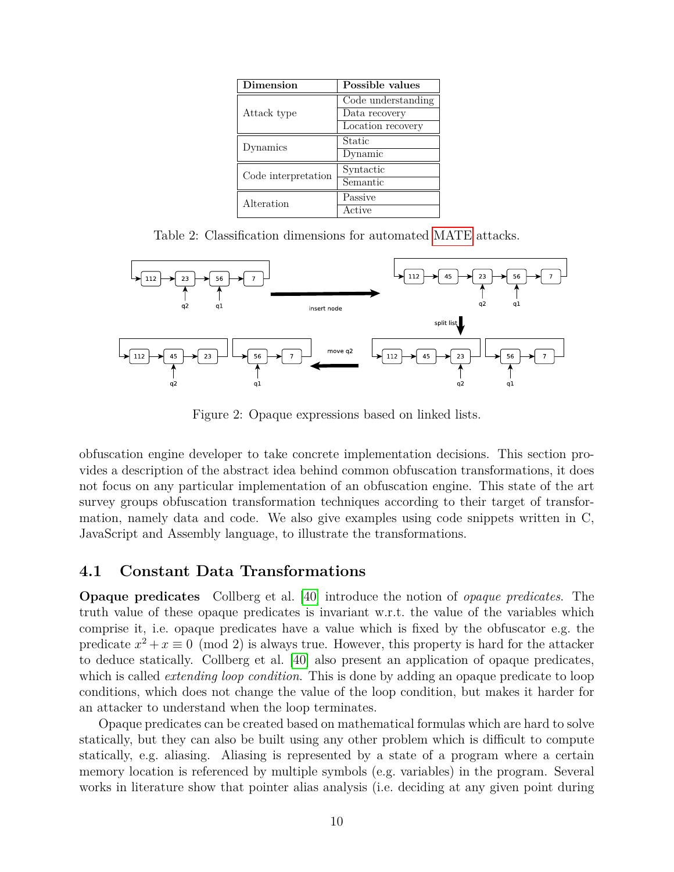<span id="page-9-0"></span>

| <b>Dimension</b>    | Possible values    |
|---------------------|--------------------|
|                     | Code understanding |
| Attack type         | Data recovery      |
|                     | Location recovery  |
|                     | Static             |
| Dynamics            | Dynamic            |
| Code interpretation | Syntactic          |
|                     | Semantic           |
| Alteration          | Passive            |
|                     | Active             |

Table 2: Classification dimensions for automated [MATE](#page-0-0) attacks.

<span id="page-9-1"></span>

Figure 2: Opaque expressions based on linked lists.

obfuscation engine developer to take concrete implementation decisions. This section provides a description of the abstract idea behind common obfuscation transformations, it does not focus on any particular implementation of an obfuscation engine. This state of the art survey groups obfuscation transformation techniques according to their target of transformation, namely data and code. We also give examples using code snippets written in C, JavaScript and Assembly language, to illustrate the transformations.

#### **4.1 Constant Data Transformations**

**Opaque predicates** Collberg et al. [\[40\]](#page-44-0) introduce the notion of *opaque predicates*. The truth value of these opaque predicates is invariant w.r.t. the value of the variables which comprise it, i.e. opaque predicates have a value which is fixed by the obfuscator e.g. the predicate  $x^2 + x \equiv 0 \pmod{2}$  is always true. However, this property is hard for the attacker to deduce statically. Collberg et al. [\[40\]](#page-44-0) also present an application of opaque predicates, which is called *extending loop condition*. This is done by adding an opaque predicate to loop conditions, which does not change the value of the loop condition, but makes it harder for an attacker to understand when the loop terminates.

Opaque predicates can be created based on mathematical formulas which are hard to solve statically, but they can also be built using any other problem which is difficult to compute statically, e.g. aliasing. Aliasing is represented by a state of a program where a certain memory location is referenced by multiple symbols (e.g. variables) in the program. Several works in literature show that pointer alias analysis (i.e. deciding at any given point during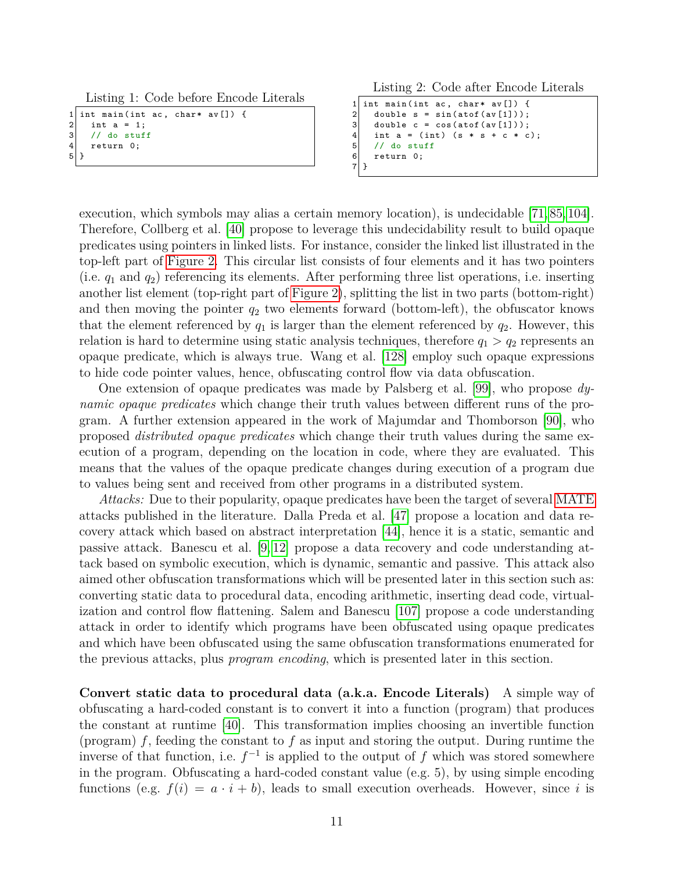<span id="page-10-0"></span>Listing 1: Code before Encode Literals

| $1$ int main (int ac, char* av[]) { |  |  |
|-------------------------------------|--|--|
| 2 int $a = 1$ ;                     |  |  |
| $3$ // do stuff                     |  |  |
| 4 return 0;                         |  |  |
| $5 \mid$ }                          |  |  |

<span id="page-10-1"></span>Listing 2: Code after Encode Literals

```
1 int main (int ac, char* av []) {
2 double s = sin(atof(av[1]));
3 double c = \cos(\arctan(\arctan(1)));
4 int a = (int) (s * s + c * c);<br>5 // do stuff
     // do stuff
\begin{bmatrix} 6 \\ 7 \end{bmatrix} return 0;
  7 }
```
execution, which symbols may alias a certain memory location), is undecidable [\[71,](#page-46-1) [85,](#page-47-1) [104\]](#page-49-1). Therefore, Collberg et al. [\[40\]](#page-44-0) propose to leverage this undecidability result to build opaque predicates using pointers in linked lists. For instance, consider the linked list illustrated in the top-left part of [Figure 2.](#page-9-1) This circular list consists of four elements and it has two pointers (i.e. *q*<sup>1</sup> and *q*2) referencing its elements. After performing three list operations, i.e. inserting another list element (top-right part of [Figure 2\)](#page-9-1), splitting the list in two parts (bottom-right) and then moving the pointer  $q_2$  two elements forward (bottom-left), the obfuscator knows that the element referenced by  $q_1$  is larger than the element referenced by  $q_2$ . However, this relation is hard to determine using static analysis techniques, therefore  $q_1 > q_2$  represents an opaque predicate, which is always true. Wang et al. [\[128\]](#page-50-4) employ such opaque expressions to hide code pointer values, hence, obfuscating control flow via data obfuscation.

One extension of opaque predicates was made by Palsberg et al. [\[99\]](#page-49-2), who propose *dynamic opaque predicates* which change their truth values between different runs of the program. A further extension appeared in the work of Majumdar and Thomborson [\[90\]](#page-48-3), who proposed *distributed opaque predicates* which change their truth values during the same execution of a program, depending on the location in code, where they are evaluated. This means that the values of the opaque predicate changes during execution of a program due to values being sent and received from other programs in a distributed system.

*Attacks:* Due to their popularity, opaque predicates have been the target of several [MATE](#page-0-0) attacks published in the literature. Dalla Preda et al. [\[47\]](#page-45-1) propose a location and data recovery attack which based on abstract interpretation [\[44\]](#page-44-6), hence it is a static, semantic and passive attack. Banescu et al. [\[9,](#page-42-2) [12\]](#page-42-3) propose a data recovery and code understanding attack based on symbolic execution, which is dynamic, semantic and passive. This attack also aimed other obfuscation transformations which will be presented later in this section such as: converting static data to procedural data, encoding arithmetic, inserting dead code, virtualization and control flow flattening. Salem and Banescu [\[107\]](#page-49-3) propose a code understanding attack in order to identify which programs have been obfuscated using opaque predicates and which have been obfuscated using the same obfuscation transformations enumerated for the previous attacks, plus *program encoding*, which is presented later in this section.

**Convert static data to procedural data (a.k.a. Encode Literals)** A simple way of obfuscating a hard-coded constant is to convert it into a function (program) that produces the constant at runtime [\[40\]](#page-44-0). This transformation implies choosing an invertible function (program) *f*, feeding the constant to *f* as input and storing the output. During runtime the inverse of that function, i.e.  $f^{-1}$  is applied to the output of  $f$  which was stored somewhere in the program. Obfuscating a hard-coded constant value (e.g. 5), by using simple encoding functions (e.g.  $f(i) = a \cdot i + b$ ), leads to small execution overheads. However, since *i* is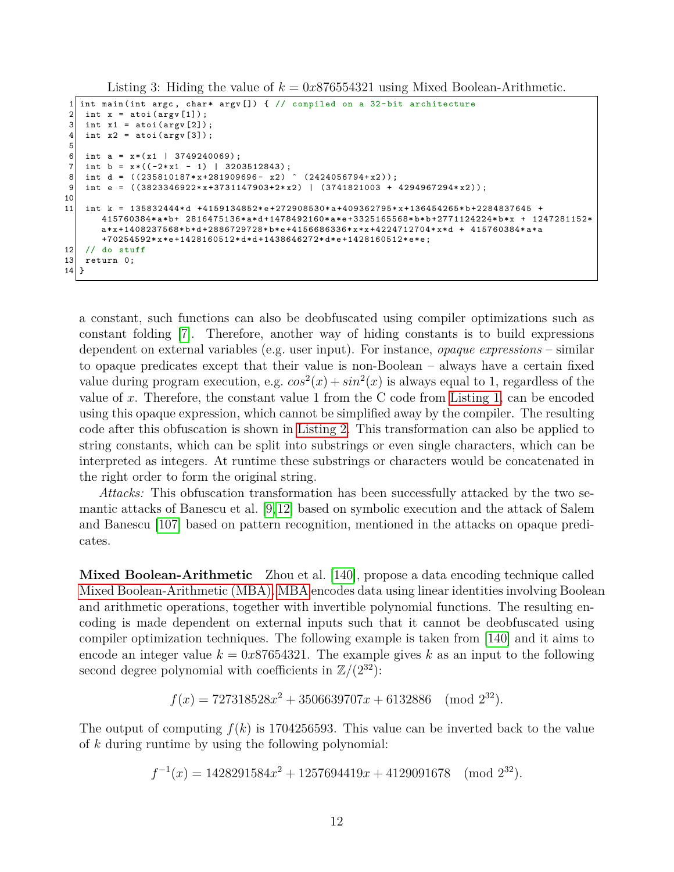Listing 3: Hiding the value of *k* = 0*x*876554321 using Mixed Boolean-Arithmetic.

```
1 int main (int argc, char* argv []) { // compiled on a 32-bit architecture int x = atoi(argv [1]);
    int x = atoi (argv [1]);\begin{cases} 3 \text{ int } x1 = \text{atoi}(\text{argv}[2]); \\ 4 \text{ int } x2 = \text{atoi}(\text{argv}[3]); \end{cases}int x2 = atoi (argv [3]);5
6 int a = x*(x1 \mid 3749240069);<br>7 int b = x*((-2*x1 - 1) \mid 320int b = x * ((-2 * x1 - 1) + 3203512843);
8 int d = ((235810187*x+281909696-x2) ^ (2424056794+x2));<br>9 int e = ((3823346922*x+3731147903+2*x2) | (3741821003 +
     int e = ((3823346922*x+3731147903+2*x2) | (3741821003 + 4294967294*x2));10
11 int k = 135832444*d +4159134852*e+272908530*a+409362795*x+136454265*b+2284837645 +
         415760384* a*b + 2816475136* a* d +1478492160* a*e +3325165568* b*b +2771124224* b*x + 1247281152*
         a*x +1408237568* b *d +2886729728* b*e +4156686336* x *x +4224712704* x *d + 415760384* a*a
         +70254592* x*e +1428160512* d *d +1438646272* d*e +1428160512* e *e;
12 // do stuff
\begin{bmatrix} 13 \\ 14 \end{bmatrix} return 0;
14 }
```
a constant, such functions can also be deobfuscated using compiler optimizations such as constant folding [\[7\]](#page-42-4). Therefore, another way of hiding constants is to build expressions dependent on external variables (e.g. user input). For instance, *opaque expressions* – similar to opaque predicates except that their value is non-Boolean – always have a certain fixed value during program execution, e.g.  $cos^2(x) + sin^2(x)$  is always equal to 1, regardless of the value of *x*. Therefore, the constant value 1 from the C code from [Listing 1,](#page-10-0) can be encoded using this opaque expression, which cannot be simplified away by the compiler. The resulting code after this obfuscation is shown in [Listing 2.](#page-10-1) This transformation can also be applied to string constants, which can be split into substrings or even single characters, which can be interpreted as integers. At runtime these substrings or characters would be concatenated in the right order to form the original string.

*Attacks:* This obfuscation transformation has been successfully attacked by the two semantic attacks of Banescu et al. [\[9,](#page-42-2)[12\]](#page-42-3) based on symbolic execution and the attack of Salem and Banescu [\[107\]](#page-49-3) based on pattern recognition, mentioned in the attacks on opaque predicates.

**Mixed Boolean-Arithmetic** Zhou et al. [\[140\]](#page-51-1), propose a data encoding technique called [Mixed Boolean-Arithmetic \(MBA\). MBA](#page-0-0) encodes data using linear identities involving Boolean and arithmetic operations, together with invertible polynomial functions. The resulting encoding is made dependent on external inputs such that it cannot be deobfuscated using compiler optimization techniques. The following example is taken from [\[140\]](#page-51-1) and it aims to encode an integer value  $k = 0x87654321$ . The example gives k as an input to the following second degree polynomial with coefficients in  $\mathbb{Z}/(2^{32})$ :

$$
f(x) = 727318528x^2 + 3506639707x + 6132886 \pmod{2^{32}}.
$$

The output of computing  $f(k)$  is 1704256593. This value can be inverted back to the value of *k* during runtime by using the following polynomial:

 $f^{-1}(x) = 1428291584x^2 + 1257694419x + 4129091678 \pmod{2^{32}}.$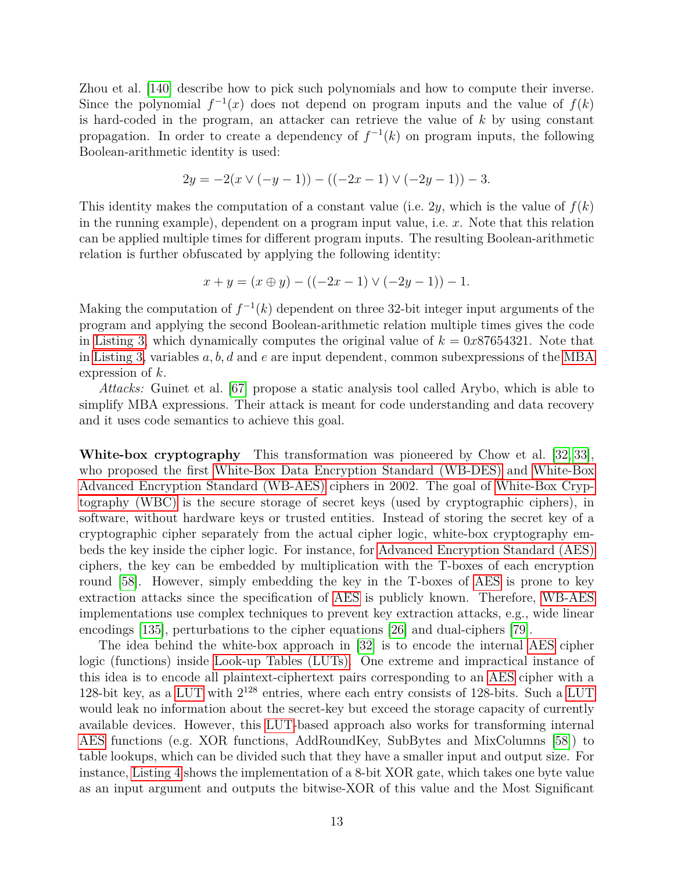Zhou et al. [\[140\]](#page-51-1) describe how to pick such polynomials and how to compute their inverse. Since the polynomial  $f^{-1}(x)$  does not depend on program inputs and the value of  $f(k)$ is hard-coded in the program, an attacker can retrieve the value of *k* by using constant propagation. In order to create a dependency of  $f^{-1}(k)$  on program inputs, the following Boolean-arithmetic identity is used:

$$
2y = -2(x \vee (-y - 1)) - ((-2x - 1) \vee (-2y - 1)) - 3.
$$

This identity makes the computation of a constant value (i.e. 2*y*, which is the value of  $f(k)$ ) in the running example), dependent on a program input value, i.e. *x*. Note that this relation can be applied multiple times for different program inputs. The resulting Boolean-arithmetic relation is further obfuscated by applying the following identity:

$$
x + y = (x \oplus y) - ((-2x - 1) \vee (-2y - 1)) - 1.
$$

Making the computation of  $f^{-1}(k)$  dependent on three 32-bit integer input arguments of the program and applying the second Boolean-arithmetic relation multiple times gives the code in [Listing 3,](#page-11-0) which dynamically computes the original value of  $k = 0x87654321$ . Note that in [Listing 3,](#page-11-0) variables *a, b, d* and *e* are input dependent, common subexpressions of the [MBA](#page-0-0) expression of *k*.

*Attacks:* Guinet et al. [\[67\]](#page-46-2) propose a static analysis tool called Arybo, which is able to simplify MBA expressions. Their attack is meant for code understanding and data recovery and it uses code semantics to achieve this goal.

**White-box cryptography** This transformation was pioneered by Chow et al. [\[32,](#page-44-7) [33\]](#page-44-8), who proposed the first [White-Box Data Encryption Standard \(WB-DES\)](#page-0-0) and [White-Box](#page-0-0) [Advanced Encryption Standard \(WB-AES\)](#page-0-0) ciphers in 2002. The goal of [White-Box Cryp](#page-0-0)[tography \(WBC\)](#page-0-0) is the secure storage of secret keys (used by cryptographic ciphers), in software, without hardware keys or trusted entities. Instead of storing the secret key of a cryptographic cipher separately from the actual cipher logic, white-box cryptography embeds the key inside the cipher logic. For instance, for [Advanced Encryption Standard \(AES\)](#page-0-0) ciphers, the key can be embedded by multiplication with the T-boxes of each encryption round [\[58\]](#page-45-2). However, simply embedding the key in the T-boxes of [AES](#page-0-0) is prone to key extraction attacks since the specification of [AES](#page-0-0) is publicly known. Therefore, [WB-AES](#page-0-0) implementations use complex techniques to prevent key extraction attacks, e.g., wide linear encodings [\[135\]](#page-51-2), perturbations to the cipher equations [\[26\]](#page-43-1) and dual-ciphers [\[79\]](#page-47-2).

The idea behind the white-box approach in [\[32\]](#page-44-7) is to encode the internal [AES](#page-0-0) cipher logic (functions) inside [Look-up Tables \(LUTs\).](#page-0-0) One extreme and impractical instance of this idea is to encode all plaintext-ciphertext pairs corresponding to an [AES](#page-0-0) cipher with a 128-bit key, as a [LUT](#page-0-0) with  $2^{128}$  entries, where each entry consists of 128-bits. Such a LUT would leak no information about the secret-key but exceed the storage capacity of currently available devices. However, this [LUT-](#page-0-0)based approach also works for transforming internal [AES](#page-0-0) functions (e.g. XOR functions, AddRoundKey, SubBytes and MixColumns [\[58\]](#page-45-2)) to table lookups, which can be divided such that they have a smaller input and output size. For instance, [Listing 4](#page-13-0) shows the implementation of a 8-bit XOR gate, which takes one byte value as an input argument and outputs the bitwise-XOR of this value and the Most Significant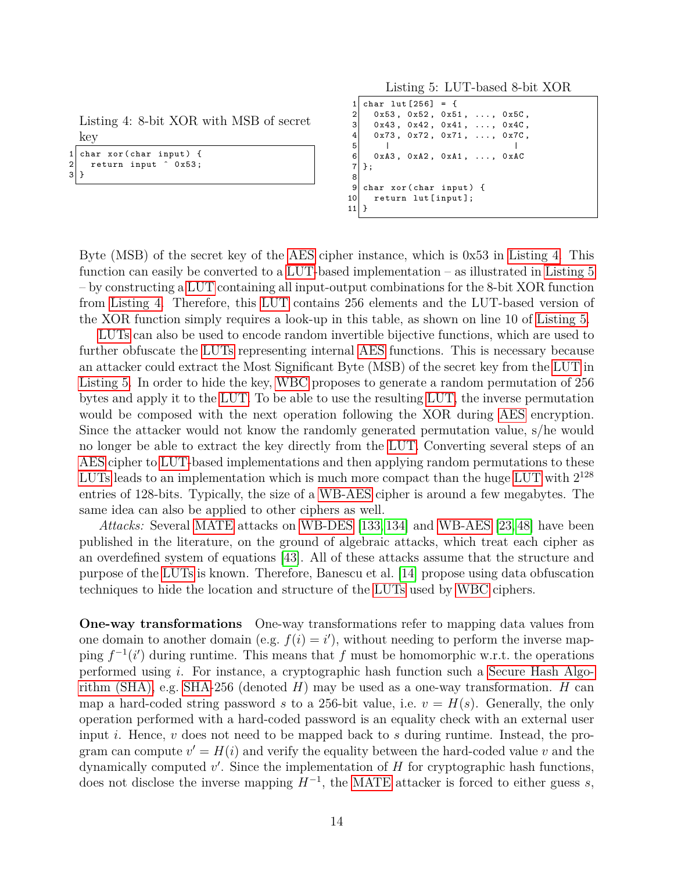<span id="page-13-0"></span>Listing 4: 8-bit XOR with MSB of secret key

```
\begin{array}{c|cc} 1 & \text{char} & \text{xor} (\text{char input}) & \{ \\ 2 & \text{return input} & 0 \times 53 \\ \end{array}return input \degree 0x53;
3}
```
Listing 5: LUT-based 8-bit XOR

<span id="page-13-1"></span>

| $\cdot$        |                                                                                                                                                                                                                                       |
|----------------|---------------------------------------------------------------------------------------------------------------------------------------------------------------------------------------------------------------------------------------|
|                |                                                                                                                                                                                                                                       |
|                |                                                                                                                                                                                                                                       |
|                |                                                                                                                                                                                                                                       |
|                |                                                                                                                                                                                                                                       |
| 4 <sup>1</sup> | char lut $[256] = f$<br>$0x53$ , $0x52$ , $0x51$ , , $0x5C$ ,<br>$0x43$ , $0x42$ , $0x41$ , , $0x4C$ ,<br>0x73, 0x72, 0x71, , 0x7C,<br>$0xA3$ , $0xA2$ , $0xA1$ , $\ldots$ , $0xAC$<br>char $xor(char input)$ {<br>return lut[input]; |

Byte (MSB) of the secret key of the [AES](#page-0-0) cipher instance, which is 0x53 in [Listing 4.](#page-13-0) This function can easily be converted to a [LUT-](#page-0-0)based implementation – as illustrated in [Listing 5](#page-13-1) – by constructing a [LUT](#page-0-0) containing all input-output combinations for the 8-bit XOR function from [Listing 4.](#page-13-0) Therefore, this [LUT](#page-0-0) contains 256 elements and the LUT-based version of the XOR function simply requires a look-up in this table, as shown on line 10 of [Listing 5.](#page-13-1)

[LUTs](#page-0-0) can also be used to encode random invertible bijective functions, which are used to further obfuscate the [LUTs](#page-0-0) representing internal [AES](#page-0-0) functions. This is necessary because an attacker could extract the Most Significant Byte (MSB) of the secret key from the [LUT](#page-0-0) in [Listing 5.](#page-13-1) In order to hide the key, [WBC](#page-0-0) proposes to generate a random permutation of 256 bytes and apply it to the [LUT.](#page-0-0) To be able to use the resulting [LUT,](#page-0-0) the inverse permutation would be composed with the next operation following the XOR during [AES](#page-0-0) encryption. Since the attacker would not know the randomly generated permutation value, s/he would no longer be able to extract the key directly from the [LUT.](#page-0-0) Converting several steps of an [AES](#page-0-0) cipher to [LUT-](#page-0-0)based implementations and then applying random permutations to these [LUTs](#page-0-0) leads to an implementation which is much more compact than the huge [LUT](#page-0-0) with  $2^{128}$ entries of 128-bits. Typically, the size of a [WB-AES](#page-0-0) cipher is around a few megabytes. The same idea can also be applied to other ciphers as well.

*Attacks:* Several [MATE](#page-0-0) attacks on [WB-DES](#page-0-0) [\[133,](#page-51-0) [134\]](#page-51-3) and [WB-AES](#page-0-0) [\[23,](#page-43-2) [48\]](#page-45-3) have been published in the literature, on the ground of algebraic attacks, which treat each cipher as an overdefined system of equations [\[43\]](#page-44-9). All of these attacks assume that the structure and purpose of the [LUTs](#page-0-0) is known. Therefore, Banescu et al. [\[14\]](#page-42-5) propose using data obfuscation techniques to hide the location and structure of the [LUTs](#page-0-0) used by [WBC](#page-0-0) ciphers.

**One-way transformations** One-way transformations refer to mapping data values from one domain to another domain (e.g.  $f(i) = i'$ ), without needing to perform the inverse mapping  $f^{-1}(i')$  during runtime. This means that f must be homomorphic w.r.t. the operations performed using *i*. For instance, a cryptographic hash function such a [Secure Hash Algo](#page-0-0)[rithm \(SHA\),](#page-0-0) e.g. [SHA-](#page-0-0)256 (denoted  $H$ ) may be used as a one-way transformation.  $H$  can map a hard-coded string password *s* to a 256-bit value, i.e.  $v = H(s)$ . Generally, the only operation performed with a hard-coded password is an equality check with an external user input *i*. Hence, *v* does not need to be mapped back to *s* during runtime. Instead, the program can compute  $v' = H(i)$  and verify the equality between the hard-coded value *v* and the dynamically computed  $v'$ . Since the implementation of  $H$  for cryptographic hash functions, does not disclose the inverse mapping *H*<sup>−</sup><sup>1</sup> , the [MATE](#page-0-0) attacker is forced to either guess *s*,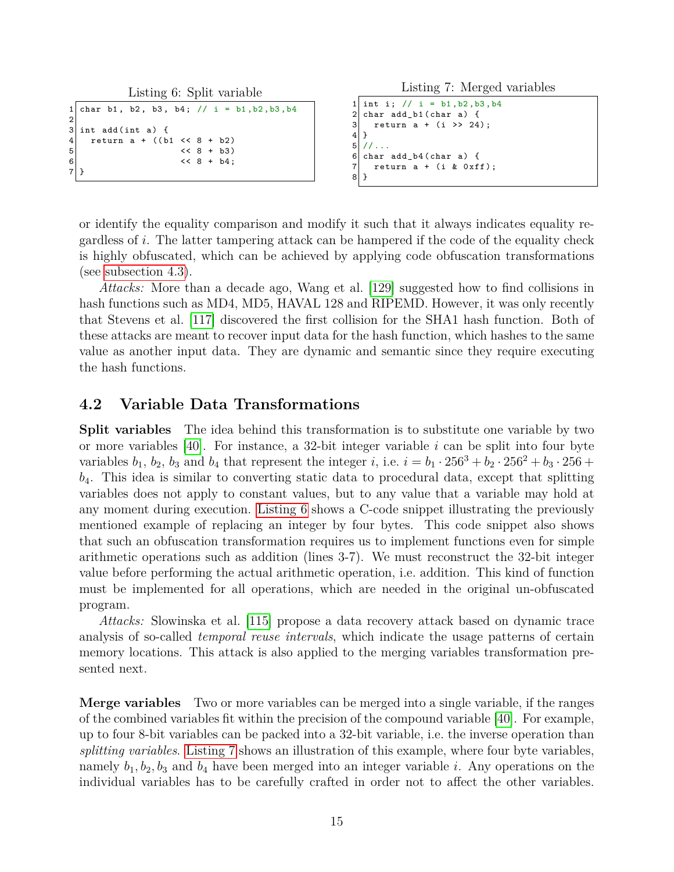Listing 6: Split variable

```
char b1, b2, b3, b4; // i = b1, b2, b3, b4\frac{2}{3}3 \nmid int add (int a) {<br>4 return a + ((b)
4 return a + ((b1 \leq 8 + b2)<br>\leq 8 + b3)
5 = 6 <br> << 8 + b3<br> << 8 + b4;
\begin{array}{c|c}\n6 & & \times & 8 + b4; \\
7 & & \end{array}7 }
```
Listing 7: Merged variables

```
1 \nvert \text{int } i; \text{ // } i = b1, b2, b3, b42 char add_b1 (char a) {
3 return a + (i >> 24);
\begin{array}{c} 4 \\ 5 \end{array} /
   11...\begin{array}{c} 6 \ 7 \end{array} char add_b4 ( char a) {
       return a + (i \& 0 \text{xf1});8 }
```
or identify the equality comparison and modify it such that it always indicates equality regardless of *i*. The latter tampering attack can be hampered if the code of the equality check is highly obfuscated, which can be achieved by applying code obfuscation transformations (see [subsection 4.3\)](#page-18-0).

*Attacks:* More than a decade ago, Wang et al. [\[129\]](#page-51-4) suggested how to find collisions in hash functions such as MD4, MD5, HAVAL 128 and RIPEMD. However, it was only recently that Stevens et al. [\[117\]](#page-50-5) discovered the first collision for the SHA1 hash function. Both of these attacks are meant to recover input data for the hash function, which hashes to the same value as another input data. They are dynamic and semantic since they require executing the hash functions.

### **4.2 Variable Data Transformations**

**Split variables** The idea behind this transformation is to substitute one variable by two or more variables [\[40\]](#page-44-0). For instance, a 32-bit integer variable *i* can be split into four byte variables  $b_1$ ,  $b_2$ ,  $b_3$  and  $b_4$  that represent the integer *i*, i.e.  $i = b_1 \cdot 256^3 + b_2 \cdot 256^2 + b_3 \cdot 256 +$ *b*4. This idea is similar to converting static data to procedural data, except that splitting variables does not apply to constant values, but to any value that a variable may hold at any moment during execution. [Listing 6](#page-14-0) shows a C-code snippet illustrating the previously mentioned example of replacing an integer by four bytes. This code snippet also shows that such an obfuscation transformation requires us to implement functions even for simple arithmetic operations such as addition (lines 3-7). We must reconstruct the 32-bit integer value before performing the actual arithmetic operation, i.e. addition. This kind of function must be implemented for all operations, which are needed in the original un-obfuscated program.

*Attacks:* Slowinska et al. [\[115\]](#page-50-6) propose a data recovery attack based on dynamic trace analysis of so-called *temporal reuse intervals*, which indicate the usage patterns of certain memory locations. This attack is also applied to the merging variables transformation presented next.

**Merge variables** Two or more variables can be merged into a single variable, if the ranges of the combined variables fit within the precision of the compound variable [\[40\]](#page-44-0). For example, up to four 8-bit variables can be packed into a 32-bit variable, i.e. the inverse operation than *splitting variables*. [Listing 7](#page-14-1) shows an illustration of this example, where four byte variables, namely  $b_1, b_2, b_3$  and  $b_4$  have been merged into an integer variable *i*. Any operations on the individual variables has to be carefully crafted in order not to affect the other variables.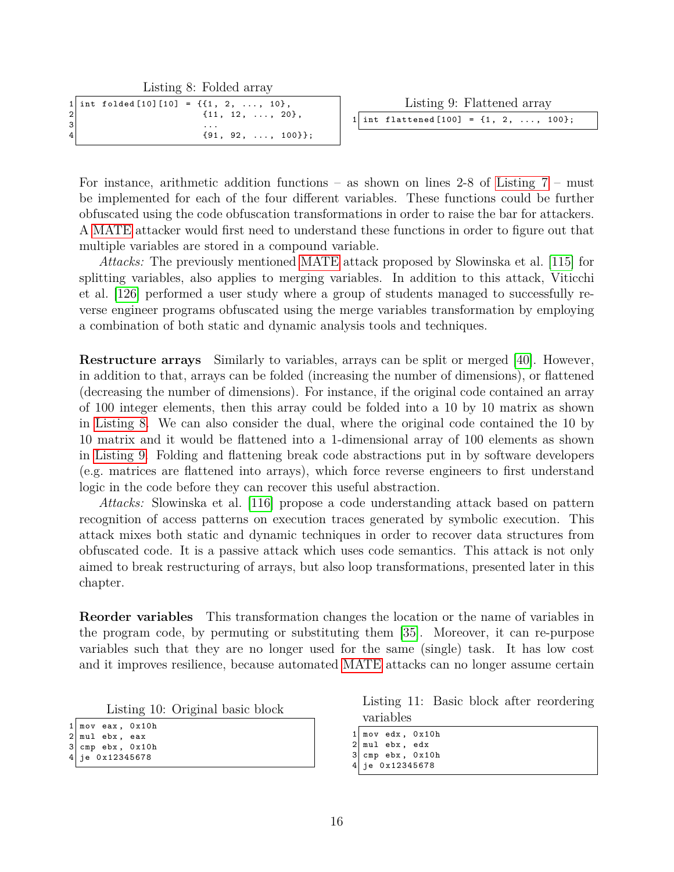<span id="page-15-0"></span>

|                          | Listing 8: Folded array                                                                                                    |            |
|--------------------------|----------------------------------------------------------------------------------------------------------------------------|------------|
| $\overline{2}$<br>3<br>4 | 1 int folded [10] [10] = $\{1, 2, \ldots, 10\}$ ,<br>$\{11, 12, \ldots, 20\}$ ,<br>$\cdots$<br>$\{91, 92, \ldots, 100\}$ ; | 1 int flat |

<span id="page-15-1"></span>Listing 9: Flattened array  $ttened [100] = \{1, 2, ..., 100\};$ 

For instance, arithmetic addition functions – as shown on lines 2-8 of Listing  $7$  – must be implemented for each of the four different variables. These functions could be further obfuscated using the code obfuscation transformations in order to raise the bar for attackers. A [MATE](#page-0-0) attacker would first need to understand these functions in order to figure out that multiple variables are stored in a compound variable.

*Attacks:* The previously mentioned [MATE](#page-0-0) attack proposed by Slowinska et al. [\[115\]](#page-50-6) for splitting variables, also applies to merging variables. In addition to this attack, Viticchi et al. [\[126\]](#page-50-7) performed a user study where a group of students managed to successfully reverse engineer programs obfuscated using the merge variables transformation by employing a combination of both static and dynamic analysis tools and techniques.

**Restructure arrays** Similarly to variables, arrays can be split or merged [\[40\]](#page-44-0). However, in addition to that, arrays can be folded (increasing the number of dimensions), or flattened (decreasing the number of dimensions). For instance, if the original code contained an array of 100 integer elements, then this array could be folded into a 10 by 10 matrix as shown in [Listing 8.](#page-15-0) We can also consider the dual, where the original code contained the 10 by 10 matrix and it would be flattened into a 1-dimensional array of 100 elements as shown in [Listing 9.](#page-15-1) Folding and flattening break code abstractions put in by software developers (e.g. matrices are flattened into arrays), which force reverse engineers to first understand logic in the code before they can recover this useful abstraction.

*Attacks:* Slowinska et al. [\[116\]](#page-50-8) propose a code understanding attack based on pattern recognition of access patterns on execution traces generated by symbolic execution. This attack mixes both static and dynamic techniques in order to recover data structures from obfuscated code. It is a passive attack which uses code semantics. This attack is not only aimed to break restructuring of arrays, but also loop transformations, presented later in this chapter.

**Reorder variables** This transformation changes the location or the name of variables in the program code, by permuting or substituting them [\[35\]](#page-44-2). Moreover, it can re-purpose variables such that they are no longer used for the same (single) task. It has low cost and it improves resilience, because automated [MATE](#page-0-0) attacks can no longer assume certain

Listing 10: Original basic block

<span id="page-15-2"></span>

| $1 \vert \text{mov}$ eax, 0x10h |  |  |
|---------------------------------|--|--|
| $2$ mul ebx, eax                |  |  |
| $3$ cmp ebx, 0x10h              |  |  |
| $4$ je $0x12345678$             |  |  |

<span id="page-15-3"></span>Listing 11: Basic block after reordering variables

 $1 \text{ mov}$  edx, 0x10h  $2 \mid \texttt{mul}$  ebx, edx  $3$  cmp ebx,  $0 \times 10h$ 

4 je 0 x12345678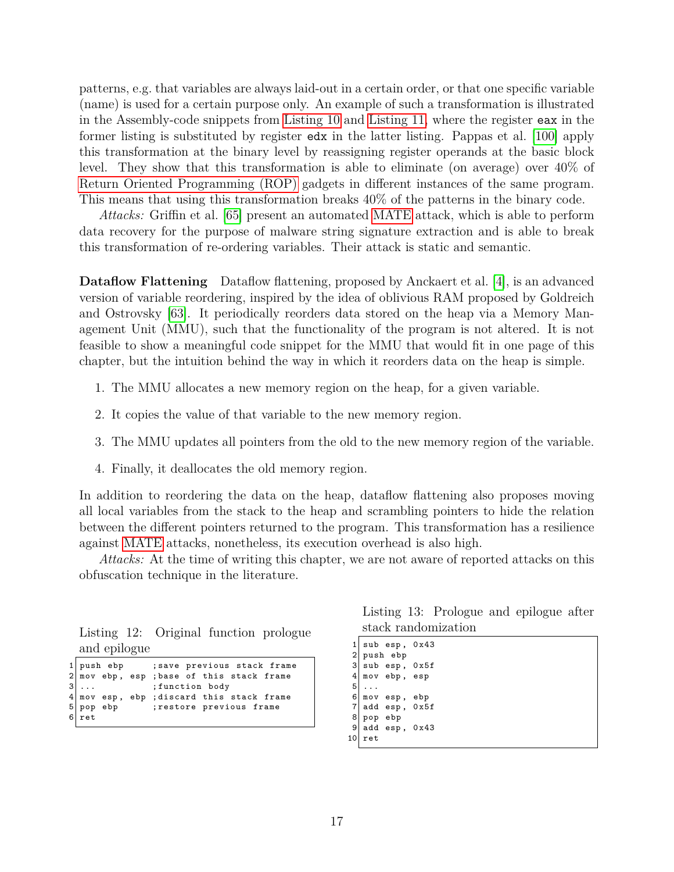patterns, e.g. that variables are always laid-out in a certain order, or that one specific variable (name) is used for a certain purpose only. An example of such a transformation is illustrated in the Assembly-code snippets from [Listing 10](#page-15-2) and [Listing 11,](#page-15-3) where the register eax in the former listing is substituted by register edx in the latter listing. Pappas et al. [\[100\]](#page-49-4) apply this transformation at the binary level by reassigning register operands at the basic block level. They show that this transformation is able to eliminate (on average) over 40% of [Return Oriented Programming \(ROP\)](#page-0-0) gadgets in different instances of the same program. This means that using this transformation breaks 40% of the patterns in the binary code.

*Attacks:* Griffin et al. [\[65\]](#page-46-3) present an automated [MATE](#page-0-0) attack, which is able to perform data recovery for the purpose of malware string signature extraction and is able to break this transformation of re-ordering variables. Their attack is static and semantic.

**Dataflow Flattening** Dataflow flattening, proposed by Anckaert et al. [\[4\]](#page-41-1), is an advanced version of variable reordering, inspired by the idea of oblivious RAM proposed by Goldreich and Ostrovsky [\[63\]](#page-46-4). It periodically reorders data stored on the heap via a Memory Management Unit (MMU), such that the functionality of the program is not altered. It is not feasible to show a meaningful code snippet for the MMU that would fit in one page of this chapter, but the intuition behind the way in which it reorders data on the heap is simple.

- 1. The MMU allocates a new memory region on the heap, for a given variable.
- 2. It copies the value of that variable to the new memory region.
- 3. The MMU updates all pointers from the old to the new memory region of the variable.
- 4. Finally, it deallocates the old memory region.

In addition to reordering the data on the heap, dataflow flattening also proposes moving all local variables from the stack to the heap and scrambling pointers to hide the relation between the different pointers returned to the program. This transformation has a resilience against [MATE](#page-0-0) attacks, nonetheless, its execution overhead is also high.

*Attacks:* At the time of writing this chapter, we are not aware of reported attacks on this obfuscation technique in the literature.

<span id="page-16-0"></span>Listing 12: Original function prologue and epilogue

|         |  | 1 push ebp ; save previous stack frame    |
|---------|--|-------------------------------------------|
|         |  | 2 mov ebp, esp ; base of this stack frame |
|         |  | 3    ; function body                      |
|         |  | 4 mov esp, ebp ; discard this stack frame |
|         |  | 5 pop ebp ; restore previous frame        |
| $6$ ret |  |                                           |
|         |  |                                           |

<span id="page-16-1"></span>Listing 13: Prologue and epilogue after stack randomization

|                  |           | $1$ sub esp, $0x43$          |  |
|------------------|-----------|------------------------------|--|
| $\left 2\right $ |           | push ebp                     |  |
|                  |           | $3$ sub esp, $0x5f$          |  |
|                  |           | $4 \mid \text{mov}$ ebp, esp |  |
|                  | $5$       |                              |  |
|                  |           | 6 mov esp, ebp               |  |
|                  |           | $7$ add esp, $0x5f$          |  |
|                  | 8 pop ebp |                              |  |
|                  |           | $9$ add esp, $0x43$          |  |
| 10               | ret       |                              |  |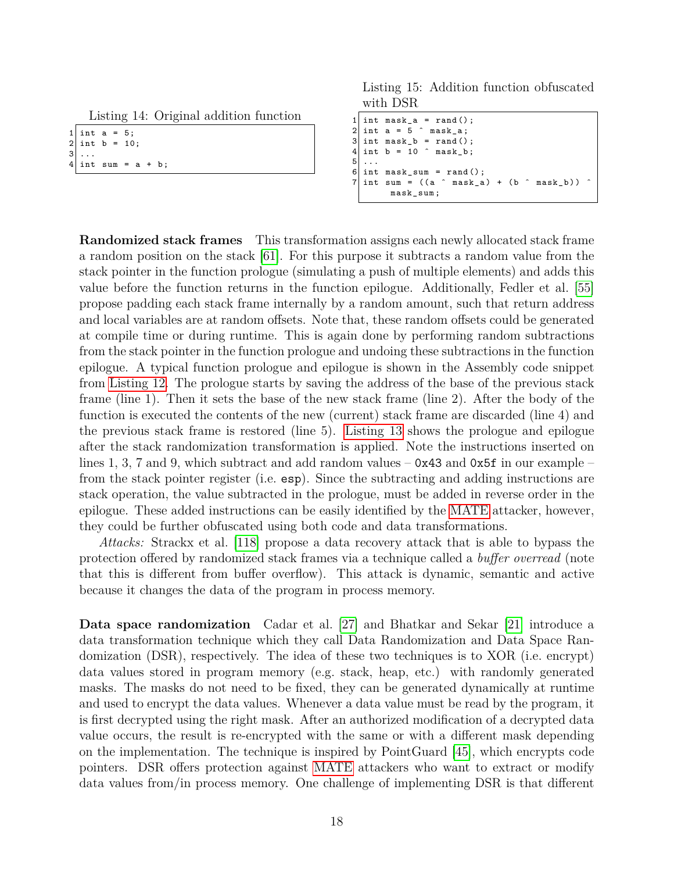<span id="page-17-0"></span>Listing 14: Original addition function

| $\begin{array}{c cc} 1 & \text{int a = 5;} \\ 2 & \text{int b = 10;} \end{array}$ |  |  |  |  |  |
|-----------------------------------------------------------------------------------|--|--|--|--|--|
|                                                                                   |  |  |  |  |  |
| $3 \n 4 \n  int sum = a + b;$                                                     |  |  |  |  |  |
|                                                                                   |  |  |  |  |  |
|                                                                                   |  |  |  |  |  |

<span id="page-17-1"></span>Listing 15: Addition function obfuscated with DSR

 $1 \mid \text{int } \text{mask}_a = \text{rand}()$ ;  $2 \nvert$  int a = 5  $\hat{ }$  mask a;  $3$  int mask\_b = rand ();  $4$  int b = 10  $\hat{ }$  mask\_b; 5 ... 6 int mask sum = rand ():  $int sum = ((a \hat{ } \text{mask}_a) + (b \hat{ } \text{mask}_b))$ mask\_sum ;

**Randomized stack frames** This transformation assigns each newly allocated stack frame a random position on the stack [\[61\]](#page-46-5). For this purpose it subtracts a random value from the stack pointer in the function prologue (simulating a push of multiple elements) and adds this value before the function returns in the function epilogue. Additionally, Fedler et al. [\[55\]](#page-45-4) propose padding each stack frame internally by a random amount, such that return address and local variables are at random offsets. Note that, these random offsets could be generated at compile time or during runtime. This is again done by performing random subtractions from the stack pointer in the function prologue and undoing these subtractions in the function epilogue. A typical function prologue and epilogue is shown in the Assembly code snippet from [Listing 12.](#page-16-0) The prologue starts by saving the address of the base of the previous stack frame (line 1). Then it sets the base of the new stack frame (line 2). After the body of the function is executed the contents of the new (current) stack frame are discarded (line 4) and the previous stack frame is restored (line 5). [Listing 13](#page-16-1) shows the prologue and epilogue after the stack randomization transformation is applied. Note the instructions inserted on lines 1, 3, 7 and 9, which subtract and add random values –  $0x43$  and  $0x5f$  in our example – from the stack pointer register (i.e. esp). Since the subtracting and adding instructions are stack operation, the value subtracted in the prologue, must be added in reverse order in the epilogue. These added instructions can be easily identified by the [MATE](#page-0-0) attacker, however, they could be further obfuscated using both code and data transformations.

*Attacks:* Strackx et al. [\[118\]](#page-50-9) propose a data recovery attack that is able to bypass the protection offered by randomized stack frames via a technique called a *buffer overread* (note that this is different from buffer overflow). This attack is dynamic, semantic and active because it changes the data of the program in process memory.

**Data space randomization** Cadar et al. [\[27\]](#page-43-3) and Bhatkar and Sekar [\[21\]](#page-43-4) introduce a data transformation technique which they call Data Randomization and Data Space Randomization (DSR), respectively. The idea of these two techniques is to XOR (i.e. encrypt) data values stored in program memory (e.g. stack, heap, etc.) with randomly generated masks. The masks do not need to be fixed, they can be generated dynamically at runtime and used to encrypt the data values. Whenever a data value must be read by the program, it is first decrypted using the right mask. After an authorized modification of a decrypted data value occurs, the result is re-encrypted with the same or with a different mask depending on the implementation. The technique is inspired by PointGuard [\[45\]](#page-44-10), which encrypts code pointers. DSR offers protection against [MATE](#page-0-0) attackers who want to extract or modify data values from/in process memory. One challenge of implementing DSR is that different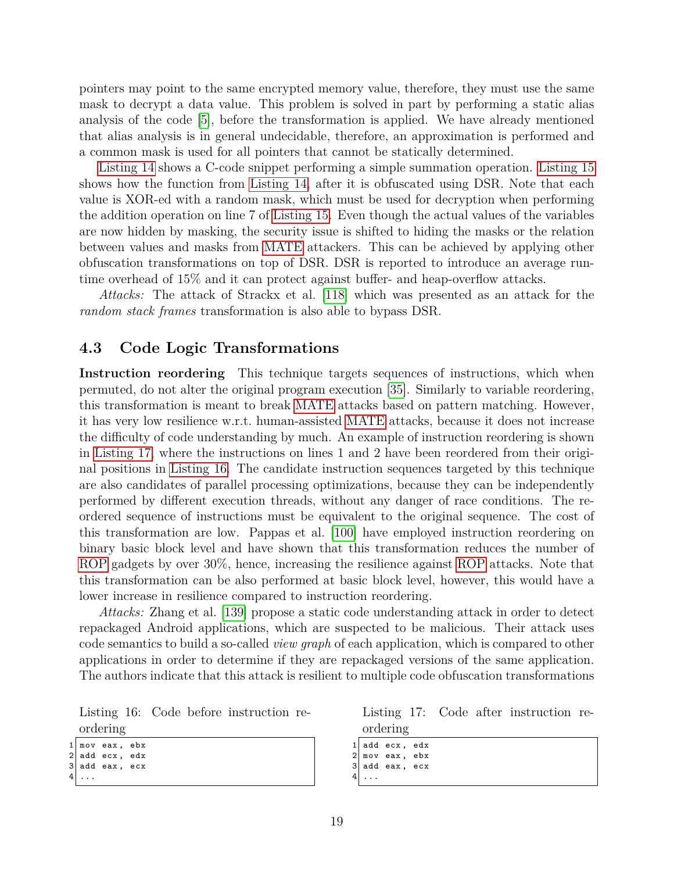pointers may point to the same encrypted memory value, therefore, they must use the same mask to decrypt a data value. This problem is solved in part by performing a static alias analysis of the code [\[5\]](#page-41-2), before the transformation is applied. We have already mentioned that alias analysis is in general undecidable, therefore, an approximation is performed and a common mask is used for all pointers that cannot be statically determined.

[Listing 14](#page-17-0) shows a C-code snippet performing a simple summation operation. [Listing 15](#page-17-1) shows how the function from [Listing 14,](#page-17-0) after it is obfuscated using DSR. Note that each value is XOR-ed with a random mask, which must be used for decryption when performing the addition operation on line 7 of [Listing 15.](#page-17-1) Even though the actual values of the variables are now hidden by masking, the security issue is shifted to hiding the masks or the relation between values and masks from [MATE](#page-0-0) attackers. This can be achieved by applying other obfuscation transformations on top of DSR. DSR is reported to introduce an average runtime overhead of 15% and it can protect against buffer- and heap-overflow attacks.

*Attacks:* The attack of Strackx et al. [\[118\]](#page-50-9) which was presented as an attack for the *random stack frames* transformation is also able to bypass DSR.

#### <span id="page-18-0"></span>**4.3 Code Logic Transformations**

**Instruction reordering** This technique targets sequences of instructions, which when permuted, do not alter the original program execution [\[35\]](#page-44-2). Similarly to variable reordering, this transformation is meant to break [MATE](#page-0-0) attacks based on pattern matching. However, it has very low resilience w.r.t. human-assisted [MATE](#page-0-0) attacks, because it does not increase the difficulty of code understanding by much. An example of instruction reordering is shown in [Listing 17,](#page-18-1) where the instructions on lines 1 and 2 have been reordered from their original positions in [Listing 16.](#page-18-2) The candidate instruction sequences targeted by this technique are also candidates of parallel processing optimizations, because they can be independently performed by different execution threads, without any danger of race conditions. The reordered sequence of instructions must be equivalent to the original sequence. The cost of this transformation are low. Pappas et al. [\[100\]](#page-49-4) have employed instruction reordering on binary basic block level and have shown that this transformation reduces the number of [ROP](#page-0-0) gadgets by over 30%, hence, increasing the resilience against [ROP](#page-0-0) attacks. Note that this transformation can be also performed at basic block level, however, this would have a lower increase in resilience compared to instruction reordering.

*Attacks:* Zhang et al. [\[139\]](#page-51-5) propose a static code understanding attack in order to detect repackaged Android applications, which are suspected to be malicious. Their attack uses code semantics to build a so-called *view graph* of each application, which is compared to other applications in order to determine if they are repackaged versions of the same application. The authors indicate that this attack is resilient to multiple code obfuscation transformations

<span id="page-18-2"></span>Listing 16: Code before instruction reordering

| 4. |                                                         |
|----|---------------------------------------------------------|
|    | 1 mov eax, ebx<br>$2$ add ecx, edx<br>$3 $ add eax, ecx |

<span id="page-18-1"></span>Listing 17: Code after instruction reordering

|   | $1$ add ecx, edx       |  |
|---|------------------------|--|
|   | $2 \vert$ mov eax, ebx |  |
|   | $3 $ add eax, ecx      |  |
| 4 |                        |  |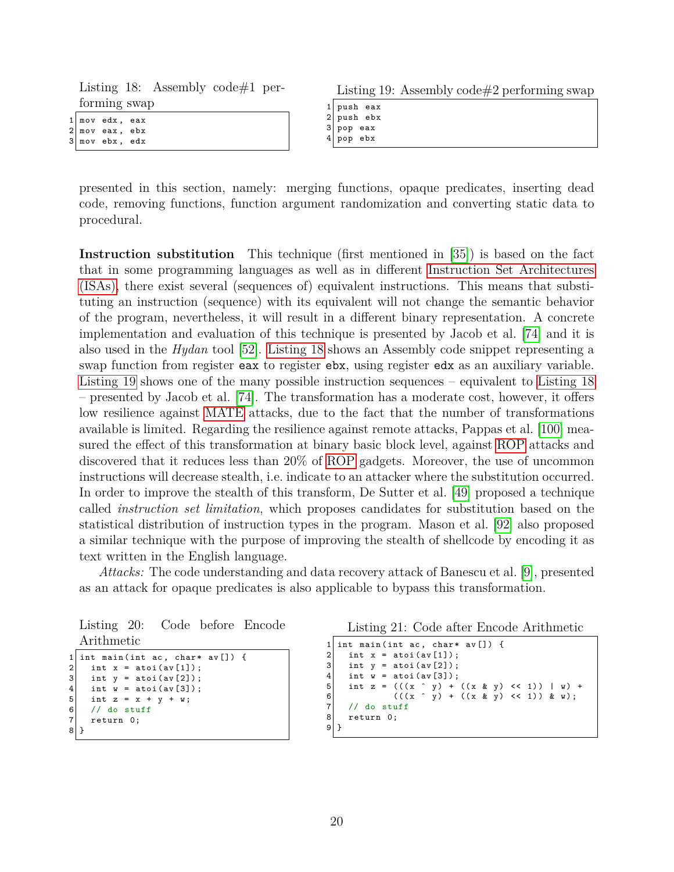<span id="page-19-0"></span>Listing 18: Assembly code#1 performing swap

|  | $1 \text{ mov}$ edx, eax |  |
|--|--------------------------|--|
|  | $2 \text{ mov}$ eax, ebx |  |
|  | 3 mov ebx, edx           |  |
|  |                          |  |

<span id="page-19-1"></span>Listing 19: Assembly code#2 performing swap

| 1 push eax   |  |  |
|--------------|--|--|
| $2$ push ebx |  |  |
| $3$ pop eax  |  |  |
| $4$ pop ebx  |  |  |
|              |  |  |

presented in this section, namely: merging functions, opaque predicates, inserting dead code, removing functions, function argument randomization and converting static data to procedural.

**Instruction substitution** This technique (first mentioned in [\[35\]](#page-44-2)) is based on the fact that in some programming languages as well as in different [Instruction Set Architectures](#page-0-0) [\(ISAs\),](#page-0-0) there exist several (sequences of) equivalent instructions. This means that substituting an instruction (sequence) with its equivalent will not change the semantic behavior of the program, nevertheless, it will result in a different binary representation. A concrete implementation and evaluation of this technique is presented by Jacob et al. [\[74\]](#page-47-3) and it is also used in the *Hydan* tool [\[52\]](#page-45-5). [Listing 18](#page-19-0) shows an Assembly code snippet representing a swap function from register eax to register ebx, using register edx as an auxiliary variable. [Listing 19](#page-19-1) shows one of the many possible instruction sequences – equivalent to [Listing 18](#page-19-0) – presented by Jacob et al. [\[74\]](#page-47-3). The transformation has a moderate cost, however, it offers low resilience against [MATE](#page-0-0) attacks, due to the fact that the number of transformations available is limited. Regarding the resilience against remote attacks, Pappas et al. [\[100\]](#page-49-4) measured the effect of this transformation at binary basic block level, against [ROP](#page-0-0) attacks and discovered that it reduces less than 20% of [ROP](#page-0-0) gadgets. Moreover, the use of uncommon instructions will decrease stealth, i.e. indicate to an attacker where the substitution occurred. In order to improve the stealth of this transform, De Sutter et al. [\[49\]](#page-45-6) proposed a technique called *instruction set limitation*, which proposes candidates for substitution based on the statistical distribution of instruction types in the program. Mason et al. [\[92\]](#page-48-4) also proposed a similar technique with the purpose of improving the stealth of shellcode by encoding it as text written in the English language.

*Attacks:* The code understanding and data recovery attack of Banescu et al. [\[9\]](#page-42-2), presented as an attack for opaque predicates is also applicable to bypass this transformation.

<span id="page-19-3"></span>Listing 20: Code before Encode Arithmetic

```
1 int main (int ac, char* av []) {
2 int x = \text{atoi}(\text{av}[1]);
3 int y = \text{atoi}(av[2]);
4 int w = \text{atoi}(\text{av}[3]);
5 int z = x + y + w;<br>6 // do stuff
\begin{array}{c|c} 6 & // & \text{do stuff} \\ 7 & \text{return } 0 \end{array}return 0;
8<sup>1</sup>
```
<span id="page-19-2"></span>Listing 21: Code after Encode Arithmetic

```
1 int main (int ac, char* av []) {<br>2 int x = atoi (av [1]);
2 int x = \text{atoi}(\text{av}[1]);<br>3 int y = \text{atoi}(\text{av}[2]);int y = atoi (av [2]);
4 int w = \text{atoi}(\text{av}[3]);
5 int z = (((x \cap y) + ((x \& y) \iff (1)) \cup w) +6 (((x ^ y) + ((x & y) << 1)) & w);
7 // do stuff
8 return 0;
9 }
```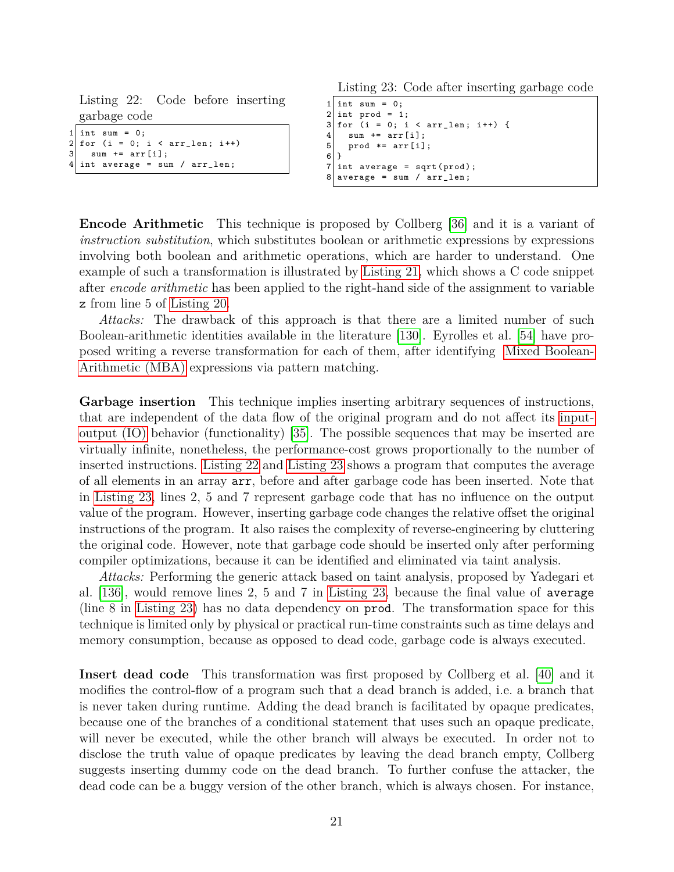<span id="page-20-0"></span>Listing 22: Code before inserting garbage code

```
1 int sum = 0;<br>2 for (i = 0;
  for (i = 0; i < arr\_len; i++)3 \nvert sum += \arr[i];<br>4 int average = sure
   int average = sum / arr_len;
```
<span id="page-20-1"></span>Listing 23: Code after inserting garbage code

```
\begin{array}{c|c}\n1 & \text{int sum} = 0; \\
2 & \text{int prod} = 1\n\end{array}int prod = 1;
3 for (i = 0; i < arr_len; i++) {
\begin{array}{c|c} 4 & \text{sum} & \text{+=} & \text{arr[i];} \\ 5 & \text{prod} & \text{+=} & \text{arr[i]} \end{array}prod *= arr[i];
\begin{array}{c} 6 \\ 7 \end{array} i
    int average = sqrt (prod);
8 average = sum / arr_len;
```
**Encode Arithmetic** This technique is proposed by Collberg [\[36\]](#page-44-5) and it is a variant of *instruction substitution*, which substitutes boolean or arithmetic expressions by expressions involving both boolean and arithmetic operations, which are harder to understand. One example of such a transformation is illustrated by [Listing 21,](#page-19-2) which shows a C code snippet after *encode arithmetic* has been applied to the right-hand side of the assignment to variable z from line 5 of [Listing 20.](#page-19-3)

*Attacks:* The drawback of this approach is that there are a limited number of such Boolean-arithmetic identities available in the literature [\[130\]](#page-51-6). Eyrolles et al. [\[54\]](#page-45-7) have proposed writing a reverse transformation for each of them, after identifying [Mixed Boolean-](#page-0-0)[Arithmetic \(MBA\)](#page-0-0) expressions via pattern matching.

**Garbage insertion** This technique implies inserting arbitrary sequences of instructions, that are independent of the data flow of the original program and do not affect its [input](#page-0-0)[output \(IO\)](#page-0-0) behavior (functionality) [\[35\]](#page-44-2). The possible sequences that may be inserted are virtually infinite, nonetheless, the performance-cost grows proportionally to the number of inserted instructions. [Listing 22](#page-20-0) and [Listing 23](#page-20-1) shows a program that computes the average of all elements in an array arr, before and after garbage code has been inserted. Note that in [Listing 23,](#page-20-1) lines 2, 5 and 7 represent garbage code that has no influence on the output value of the program. However, inserting garbage code changes the relative offset the original instructions of the program. It also raises the complexity of reverse-engineering by cluttering the original code. However, note that garbage code should be inserted only after performing compiler optimizations, because it can be identified and eliminated via taint analysis.

*Attacks:* Performing the generic attack based on taint analysis, proposed by Yadegari et al. [\[136\]](#page-51-7), would remove lines 2, 5 and 7 in [Listing 23,](#page-20-1) because the final value of average (line 8 in [Listing 23\)](#page-20-1) has no data dependency on prod. The transformation space for this technique is limited only by physical or practical run-time constraints such as time delays and memory consumption, because as opposed to dead code, garbage code is always executed.

**Insert dead code** This transformation was first proposed by Collberg et al. [\[40\]](#page-44-0) and it modifies the control-flow of a program such that a dead branch is added, i.e. a branch that is never taken during runtime. Adding the dead branch is facilitated by opaque predicates, because one of the branches of a conditional statement that uses such an opaque predicate, will never be executed, while the other branch will always be executed. In order not to disclose the truth value of opaque predicates by leaving the dead branch empty, Collberg suggests inserting dummy code on the dead branch. To further confuse the attacker, the dead code can be a buggy version of the other branch, which is always chosen. For instance,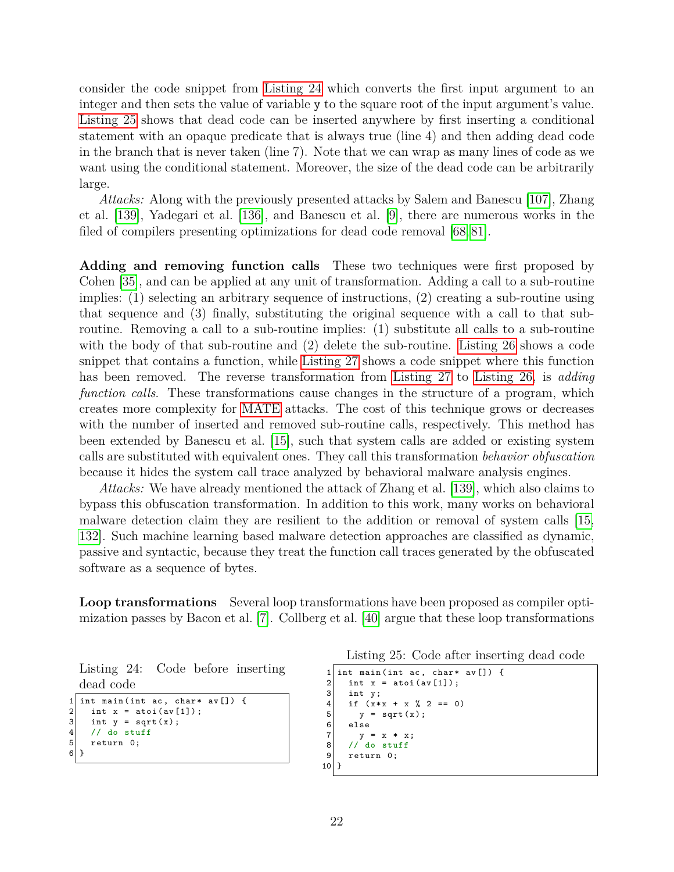consider the code snippet from [Listing 24](#page-21-0) which converts the first input argument to an integer and then sets the value of variable y to the square root of the input argument's value. [Listing 25](#page-21-1) shows that dead code can be inserted anywhere by first inserting a conditional statement with an opaque predicate that is always true (line 4) and then adding dead code in the branch that is never taken (line 7). Note that we can wrap as many lines of code as we want using the conditional statement. Moreover, the size of the dead code can be arbitrarily large.

*Attacks:* Along with the previously presented attacks by Salem and Banescu [\[107\]](#page-49-3), Zhang et al. [\[139\]](#page-51-5), Yadegari et al. [\[136\]](#page-51-7), and Banescu et al. [\[9\]](#page-42-2), there are numerous works in the filed of compilers presenting optimizations for dead code removal [\[68,](#page-46-6) [81\]](#page-47-4).

**Adding and removing function calls** These two techniques were first proposed by Cohen [\[35\]](#page-44-2), and can be applied at any unit of transformation. Adding a call to a sub-routine implies: (1) selecting an arbitrary sequence of instructions, (2) creating a sub-routine using that sequence and (3) finally, substituting the original sequence with a call to that subroutine. Removing a call to a sub-routine implies: (1) substitute all calls to a sub-routine with the body of that sub-routine and (2) delete the sub-routine. [Listing 26](#page-22-0) shows a code snippet that contains a function, while [Listing 27](#page-22-1) shows a code snippet where this function has been removed. The reverse transformation from [Listing 27](#page-22-1) to [Listing 26,](#page-22-0) is *adding function calls*. These transformations cause changes in the structure of a program, which creates more complexity for [MATE](#page-0-0) attacks. The cost of this technique grows or decreases with the number of inserted and removed sub-routine calls, respectively. This method has been extended by Banescu et al. [\[15\]](#page-42-1), such that system calls are added or existing system calls are substituted with equivalent ones. They call this transformation *behavior obfuscation* because it hides the system call trace analyzed by behavioral malware analysis engines.

*Attacks:* We have already mentioned the attack of Zhang et al. [\[139\]](#page-51-5), which also claims to bypass this obfuscation transformation. In addition to this work, many works on behavioral malware detection claim they are resilient to the addition or removal of system calls [\[15,](#page-42-1) [132\]](#page-51-8). Such machine learning based malware detection approaches are classified as dynamic, passive and syntactic, because they treat the function call traces generated by the obfuscated software as a sequence of bytes.

**Loop transformations** Several loop transformations have been proposed as compiler optimization passes by Bacon et al. [\[7\]](#page-42-4). Collberg et al. [\[40\]](#page-44-0) argue that these loop transformations

 $\overline{3}$ 

 $6 \over 7$ 

10 }

<span id="page-21-0"></span>

| Listing 24: Code before inserting |  |  |
|-----------------------------------|--|--|
| dead code                         |  |  |

|                | 1 int main (int ac, char* av[]) { |
|----------------|-----------------------------------|
| 2 <sup>1</sup> | int $x = \text{atoi}(av[1])$ ;    |
| 3 <sup>1</sup> | int $y = sqrt(x)$ ;               |
|                | $4$ // do stuff                   |
|                | $5$ return 0;                     |
| 6              |                                   |
|                |                                   |

<span id="page-21-1"></span>Listing 25: Code after inserting dead code

|                | 1 int main (int ac, char* av []) { |
|----------------|------------------------------------|
| $\overline{2}$ | int $x = \text{atoi}(av[1]);$      |
| 3              | int y;                             |
| $\overline{4}$ | if $(x*x + x % 2 == 0)$            |
| $\mathbf{5}$   | $y = sqrt(x);$                     |
| 6              | else                               |
| $\overline{7}$ | $y = x \cdot x;$                   |
| 8              | $//$ do stuff                      |
| ا 9            | return 0;                          |
| 0              |                                    |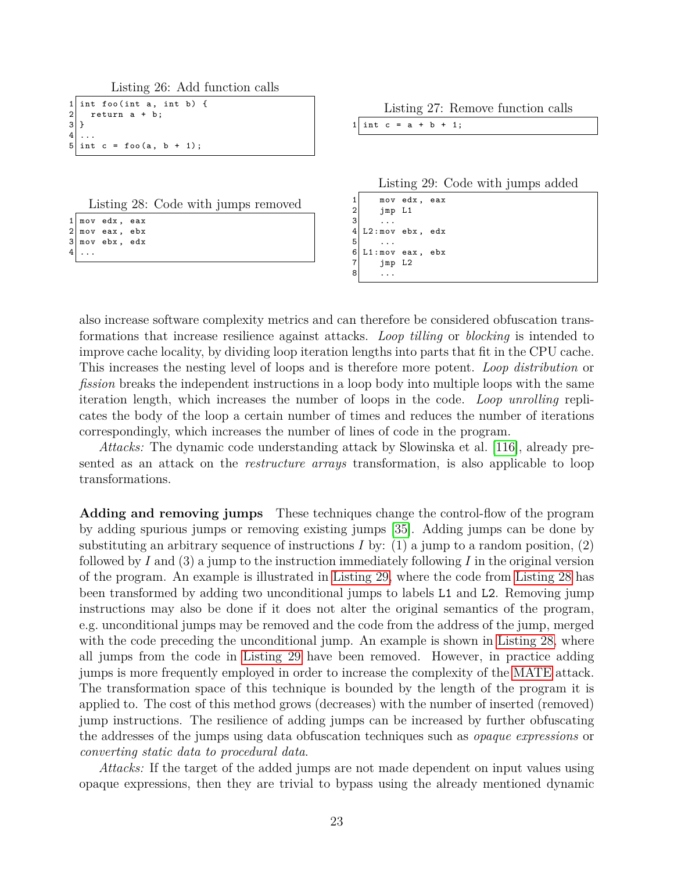Listing 26: Add function calls

<span id="page-22-0"></span>

| $1$ int foo(int a, int b) {                            |
|--------------------------------------------------------|
|                                                        |
| $\begin{bmatrix} 2 \\ 3 \end{bmatrix}$ } return a + b; |
| $\frac{4}{5}$<br>$\frac{1}{2}$ int c = foo(a, b + 1);  |
|                                                        |

<span id="page-22-3"></span>

|  |  | Listing 28: Code with jumps removed |
|--|--|-------------------------------------|
|  |  |                                     |

|  | $1 \vert \texttt{mov} \texttt{edx}, \texttt{eax}$   |  |
|--|-----------------------------------------------------|--|
|  | $2 \text{ mov}$ eax, ebx                            |  |
|  | $\begin{bmatrix} 3 \\ 4 \end{bmatrix}$ mov ebx, edx |  |
|  |                                                     |  |

<span id="page-22-1"></span>Listing 27: Remove function calls  $1 \nvert \text{int } c = a + b + 1;$ 

<span id="page-22-2"></span>Listing 29: Code with jumps added

|   |                 | mov edx, eax |  |
|---|-----------------|--------------|--|
| 2 | jmp L1          |              |  |
| 3 |                 |              |  |
| 4 | L2:mov ebx, edx |              |  |
| 5 |                 |              |  |
| 6 | L1:mov eax, ebx |              |  |
|   | jmp L2          |              |  |
| 8 |                 |              |  |
|   |                 |              |  |

also increase software complexity metrics and can therefore be considered obfuscation transformations that increase resilience against attacks. *Loop tilling* or *blocking* is intended to improve cache locality, by dividing loop iteration lengths into parts that fit in the CPU cache. This increases the nesting level of loops and is therefore more potent. *Loop distribution* or *fission* breaks the independent instructions in a loop body into multiple loops with the same iteration length, which increases the number of loops in the code. *Loop unrolling* replicates the body of the loop a certain number of times and reduces the number of iterations correspondingly, which increases the number of lines of code in the program.

*Attacks:* The dynamic code understanding attack by Slowinska et al. [\[116\]](#page-50-8), already presented as an attack on the *restructure arrays* transformation, is also applicable to loop transformations.

**Adding and removing jumps** These techniques change the control-flow of the program by adding spurious jumps or removing existing jumps [\[35\]](#page-44-2). Adding jumps can be done by substituting an arbitrary sequence of instructions  $I$  by: (1) a jump to a random position, (2) followed by *I* and (3) a jump to the instruction immediately following *I* in the original version of the program. An example is illustrated in [Listing 29,](#page-22-2) where the code from [Listing 28](#page-22-3) has been transformed by adding two unconditional jumps to labels L1 and L2. Removing jump instructions may also be done if it does not alter the original semantics of the program, e.g. unconditional jumps may be removed and the code from the address of the jump, merged with the code preceding the unconditional jump. An example is shown in [Listing 28,](#page-22-3) where all jumps from the code in [Listing 29](#page-22-2) have been removed. However, in practice adding jumps is more frequently employed in order to increase the complexity of the [MATE](#page-0-0) attack. The transformation space of this technique is bounded by the length of the program it is applied to. The cost of this method grows (decreases) with the number of inserted (removed) jump instructions. The resilience of adding jumps can be increased by further obfuscating the addresses of the jumps using data obfuscation techniques such as *opaque expressions* or *converting static data to procedural data*.

*Attacks:* If the target of the added jumps are not made dependent on input values using opaque expressions, then they are trivial to bypass using the already mentioned dynamic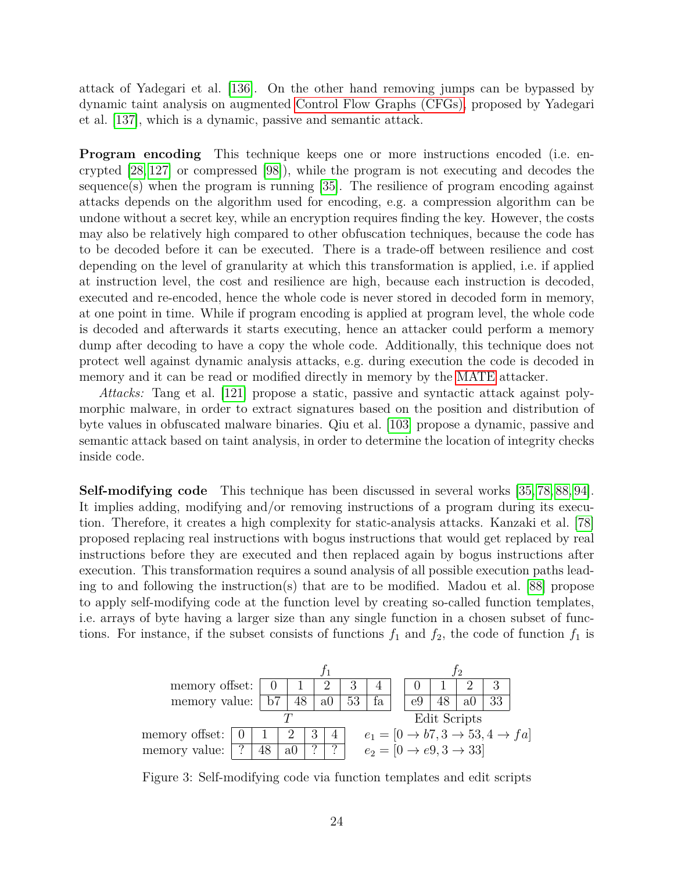attack of Yadegari et al. [\[136\]](#page-51-7). On the other hand removing jumps can be bypassed by dynamic taint analysis on augmented [Control Flow Graphs \(CFGs\),](#page-0-0) proposed by Yadegari et al. [\[137\]](#page-51-9), which is a dynamic, passive and semantic attack.

**Program encoding** This technique keeps one or more instructions encoded (i.e. encrypted [\[28,](#page-43-5) [127\]](#page-50-10) or compressed [\[98\]](#page-48-5)), while the program is not executing and decodes the sequence(s) when the program is running [\[35\]](#page-44-2). The resilience of program encoding against attacks depends on the algorithm used for encoding, e.g. a compression algorithm can be undone without a secret key, while an encryption requires finding the key. However, the costs may also be relatively high compared to other obfuscation techniques, because the code has to be decoded before it can be executed. There is a trade-off between resilience and cost depending on the level of granularity at which this transformation is applied, i.e. if applied at instruction level, the cost and resilience are high, because each instruction is decoded, executed and re-encoded, hence the whole code is never stored in decoded form in memory, at one point in time. While if program encoding is applied at program level, the whole code is decoded and afterwards it starts executing, hence an attacker could perform a memory dump after decoding to have a copy the whole code. Additionally, this technique does not protect well against dynamic analysis attacks, e.g. during execution the code is decoded in memory and it can be read or modified directly in memory by the [MATE](#page-0-0) attacker.

*Attacks:* Tang et al. [\[121\]](#page-50-11) propose a static, passive and syntactic attack against polymorphic malware, in order to extract signatures based on the position and distribution of byte values in obfuscated malware binaries. Qiu et al. [\[103\]](#page-49-5) propose a dynamic, passive and semantic attack based on taint analysis, in order to determine the location of integrity checks inside code.

**Self-modifying code** This technique has been discussed in several works [\[35,](#page-44-2) [78,](#page-47-5) [88,](#page-48-6) [94\]](#page-48-2). It implies adding, modifying and/or removing instructions of a program during its execution. Therefore, it creates a high complexity for static-analysis attacks. Kanzaki et al. [\[78\]](#page-47-5) proposed replacing real instructions with bogus instructions that would get replaced by real instructions before they are executed and then replaced again by bogus instructions after execution. This transformation requires a sound analysis of all possible execution paths leading to and following the instruction(s) that are to be modified. Madou et al. [\[88\]](#page-48-6) propose to apply self-modifying code at the function level by creating so-called function templates, i.e. arrays of byte having a larger size than any single function in a chosen subset of functions. For instance, if the subset consists of functions  $f_1$  and  $f_2$ , the code of function  $f_1$  is

<span id="page-23-0"></span>

Figure 3: Self-modifying code via function templates and edit scripts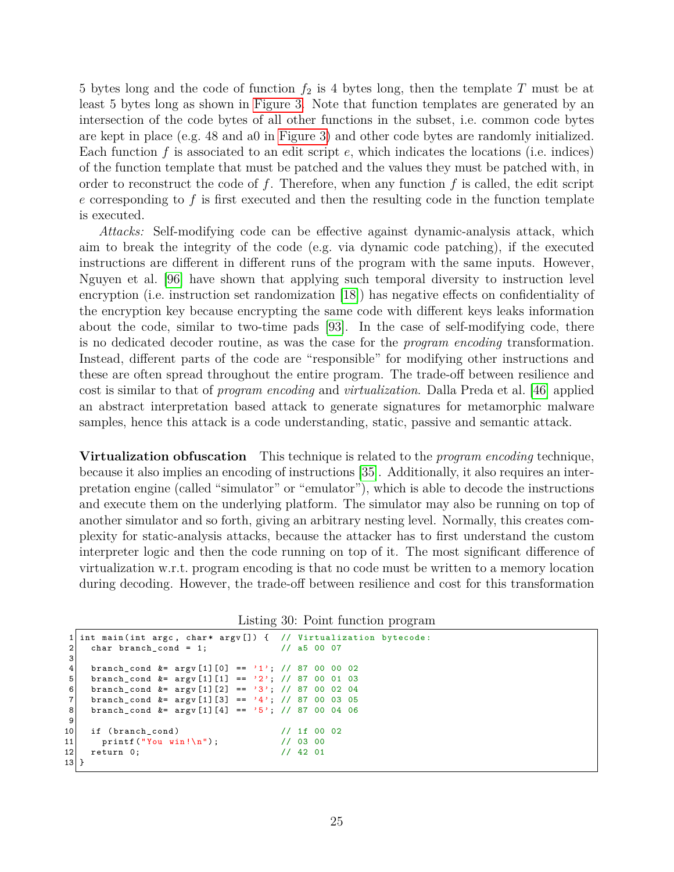5 bytes long and the code of function *f*<sup>2</sup> is 4 bytes long, then the template *T* must be at least 5 bytes long as shown in [Figure 3.](#page-23-0) Note that function templates are generated by an intersection of the code bytes of all other functions in the subset, i.e. common code bytes are kept in place (e.g. 48 and a0 in [Figure 3\)](#page-23-0) and other code bytes are randomly initialized. Each function *f* is associated to an edit script *e*, which indicates the locations (i.e. indices) of the function template that must be patched and the values they must be patched with, in order to reconstruct the code of *f*. Therefore, when any function *f* is called, the edit script *e* corresponding to *f* is first executed and then the resulting code in the function template is executed.

*Attacks:* Self-modifying code can be effective against dynamic-analysis attack, which aim to break the integrity of the code (e.g. via dynamic code patching), if the executed instructions are different in different runs of the program with the same inputs. However, Nguyen et al. [\[96\]](#page-48-7) have shown that applying such temporal diversity to instruction level encryption (i.e. instruction set randomization [\[18\]](#page-42-6)) has negative effects on confidentiality of the encryption key because encrypting the same code with different keys leaks information about the code, similar to two-time pads [\[93\]](#page-48-8). In the case of self-modifying code, there is no dedicated decoder routine, as was the case for the *program encoding* transformation. Instead, different parts of the code are "responsible" for modifying other instructions and these are often spread throughout the entire program. The trade-off between resilience and cost is similar to that of *program encoding* and *virtualization*. Dalla Preda et al. [\[46\]](#page-45-8) applied an abstract interpretation based attack to generate signatures for metamorphic malware samples, hence this attack is a code understanding, static, passive and semantic attack.

**Virtualization obfuscation** This technique is related to the *program encoding* technique, because it also implies an encoding of instructions [\[35\]](#page-44-2). Additionally, it also requires an interpretation engine (called "simulator" or "emulator"), which is able to decode the instructions and execute them on the underlying platform. The simulator may also be running on top of another simulator and so forth, giving an arbitrary nesting level. Normally, this creates complexity for static-analysis attacks, because the attacker has to first understand the custom interpreter logic and then the code running on top of it. The most significant difference of virtualization w.r.t. program encoding is that no code must be written to a memory location during decoding. However, the trade-off between resilience and cost for this transformation

Listing 30: Point function program

<span id="page-24-0"></span>

|                 | int main(int argc, char* argv[]) { // Virtualization bytecode: |  |
|-----------------|----------------------------------------------------------------|--|
| $\overline{2}$  | char branch cond = 1; $\frac{1}{16}$ // a5 00 07               |  |
| 3               |                                                                |  |
|                 | branch_cond &= $\arg v$ [1][0] == '1'; // 87 00 00 02          |  |
| 5               | branch_cond &= $\arg v$ [1][1] == '2'; // 87 00 01 03          |  |
| 6               | branch_cond &= $\arg v$ [1][2] == '3'; // 87 00 02 04          |  |
|                 | branch_cond &= argv[1][3] == $'4'$ ; // 87 00 03 05            |  |
| 8               | branch_cond &= $\arg v$ [1][4] == '5'; // 87 00 04 06          |  |
| 9               |                                                                |  |
| 10 <sub>1</sub> | if (branch cond)<br>$1/1$ 1f 00 02                             |  |
| 11              | printf("You win!\n");                                          |  |
| 12              | $1/42$ 01<br>return 0;                                         |  |
| 13 <sup>1</sup> |                                                                |  |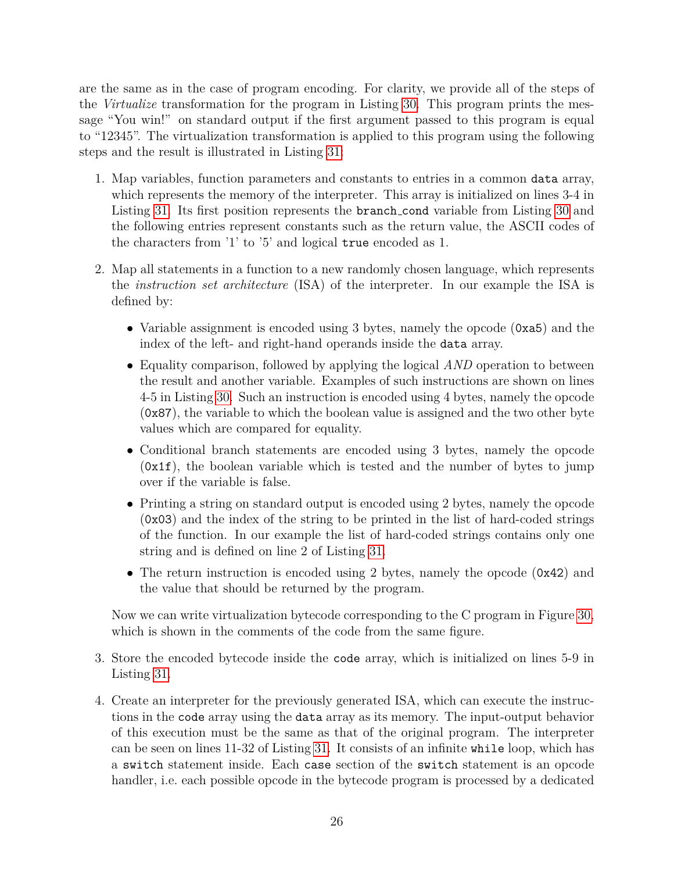are the same as in the case of program encoding. For clarity, we provide all of the steps of the *Virtualize* transformation for the program in Listing [30.](#page-24-0) This program prints the message "You win!" on standard output if the first argument passed to this program is equal to "12345". The virtualization transformation is applied to this program using the following steps and the result is illustrated in Listing [31:](#page-26-0)

- 1. Map variables, function parameters and constants to entries in a common data array, which represents the memory of the interpreter. This array is initialized on lines 3-4 in Listing [31.](#page-26-0) Its first position represents the branch cond variable from Listing [30](#page-24-0) and the following entries represent constants such as the return value, the ASCII codes of the characters from '1' to '5' and logical true encoded as 1.
- 2. Map all statements in a function to a new randomly chosen language, which represents the *instruction set architecture* (ISA) of the interpreter. In our example the ISA is defined by:
	- Variable assignment is encoded using 3 bytes, namely the opcode (0xa5) and the index of the left- and right-hand operands inside the data array.
	- Equality comparison, followed by applying the logical *AND* operation to between the result and another variable. Examples of such instructions are shown on lines 4-5 in Listing [30.](#page-24-0) Such an instruction is encoded using 4 bytes, namely the opcode (0x87), the variable to which the boolean value is assigned and the two other byte values which are compared for equality.
	- Conditional branch statements are encoded using 3 bytes, namely the opcode (0x1f), the boolean variable which is tested and the number of bytes to jump over if the variable is false.
	- Printing a string on standard output is encoded using 2 bytes, namely the opcode (0x03) and the index of the string to be printed in the list of hard-coded strings of the function. In our example the list of hard-coded strings contains only one string and is defined on line 2 of Listing [31.](#page-26-0)
	- The return instruction is encoded using 2 bytes, namely the opcode (0x42) and the value that should be returned by the program.

Now we can write virtualization bytecode corresponding to the C program in Figure [30,](#page-24-0) which is shown in the comments of the code from the same figure.

- 3. Store the encoded bytecode inside the code array, which is initialized on lines 5-9 in Listing [31.](#page-26-0)
- 4. Create an interpreter for the previously generated ISA, which can execute the instructions in the code array using the data array as its memory. The input-output behavior of this execution must be the same as that of the original program. The interpreter can be seen on lines 11-32 of Listing [31.](#page-26-0) It consists of an infinite while loop, which has a switch statement inside. Each case section of the switch statement is an opcode handler, i.e. each possible opcode in the bytecode program is processed by a dedicated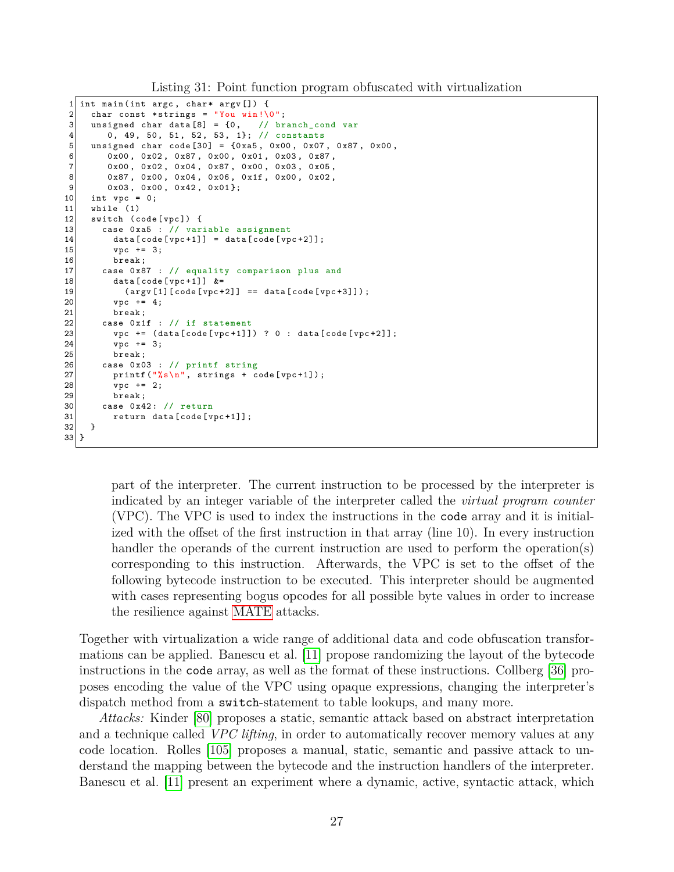Listing 31: Point function program obfuscated with virtualization

```
1 int main (int argc, char* argv[]) {
 2 char const *strings = "You win!\0";
 \begin{array}{lll} 3 & \text{unsigned char data} [8] = \{0, \quad \text{// branch\_cond var} \\ 0, 49, 50, 51, 52, 53, 1\}; \text{ // constants} \end{array}4 0, 49, 50, 51, 52, 53, 1}; // constants<br>5 unsigned char code [30] = {0xa5, 0x00, 0x07
        unsigned char code [30] = {0 x a 5, 0 x 00, 0 x 07, 0 x 87, 0 x 00}\begin{array}{lll} 6 & \phantom{0}\text{0 x00}, \phantom{0}\text{0 x02}, \phantom{0}0 \text{ x87}, \phantom{0}0 \text{ x00}, \phantom{0}0 \text{ x01}, \phantom{0}0 \text{ x03}, \phantom{0}0 \text{ x87}, \\ \text{7} & \phantom{0}\text{0 x00}, \phantom{0}0 \text{ x02}, \phantom{0}0 \text{ x04}, \phantom{0}0 \text{ x87}, \phantom{0}0 \text{ x00}, \phantom{0}0 \text{ x03}, \phantom{0}0 \text{ x05}, \end{array}0 x00, 0 x02, 0 x04, 0 x87, 0 x00, 0 x03, 0 x05,
 \begin{array}{c|cccc}\n8 & 0 & x87, & 0 & x00, & 0 & x04, & 0 & x06, & 0 & x11, & 0 & x00, & 0 & x02, \\
9 & 0 & x03 & 0 & x00 & 0 & x42 & 0 & x01 & \n\end{array}\begin{array}{c|cc}\n 9 & 0x03, & 0x00, & 0x42, & 0x01};\n 10 & \text{int} & \text{pc} = 0; \n\end{array}int vpc = 0;
11 while (1)
12 switch (code [vpc]) {
13 case 0xa5 : // variable assignment
14 \vert data [code [vpc + 1]] = data [code [vpc + 2]];
15 vpc += 3;
16 break;<br>17 case 0x8
            case 0x87 : // equality comparison plus and
18 \det\left[\text{code}[vpc+1]\right] \&=19 \begin{array}{c} \text{(argv [1][code[vpc+2]] == data[code[vpc+3]]);} \\ \text{vpc += 4}; \end{array}vpc += 4;
21 break;
22 case 0x1f : // if statement
23 vpc += (data[code[type+1]]) ? 0 : data[code[type+2]];
24 vpc += 3;
25 break ;
26 case 0x03 : // printf string
27 printf ("%s\n"\, , strings + code [vpc+1]);28 vpc += 2;
29 break ;
30 case 0x42: // return<br>31 return data [code [v
               return data [code [vpc+1]];
32 }
33 }
```
part of the interpreter. The current instruction to be processed by the interpreter is indicated by an integer variable of the interpreter called the *virtual program counter* (VPC). The VPC is used to index the instructions in the code array and it is initialized with the offset of the first instruction in that array (line 10). In every instruction handler the operands of the current instruction are used to perform the operation(s) corresponding to this instruction. Afterwards, the VPC is set to the offset of the following bytecode instruction to be executed. This interpreter should be augmented with cases representing bogus opcodes for all possible byte values in order to increase the resilience against [MATE](#page-0-0) attacks.

Together with virtualization a wide range of additional data and code obfuscation transformations can be applied. Banescu et al. [\[11\]](#page-42-7) propose randomizing the layout of the bytecode instructions in the code array, as well as the format of these instructions. Collberg [\[36\]](#page-44-5) proposes encoding the value of the VPC using opaque expressions, changing the interpreter's dispatch method from a switch-statement to table lookups, and many more.

*Attacks:* Kinder [\[80\]](#page-47-6) proposes a static, semantic attack based on abstract interpretation and a technique called *VPC lifting*, in order to automatically recover memory values at any code location. Rolles [\[105\]](#page-49-6) proposes a manual, static, semantic and passive attack to understand the mapping between the bytecode and the instruction handlers of the interpreter. Banescu et al. [\[11\]](#page-42-7) present an experiment where a dynamic, active, syntactic attack, which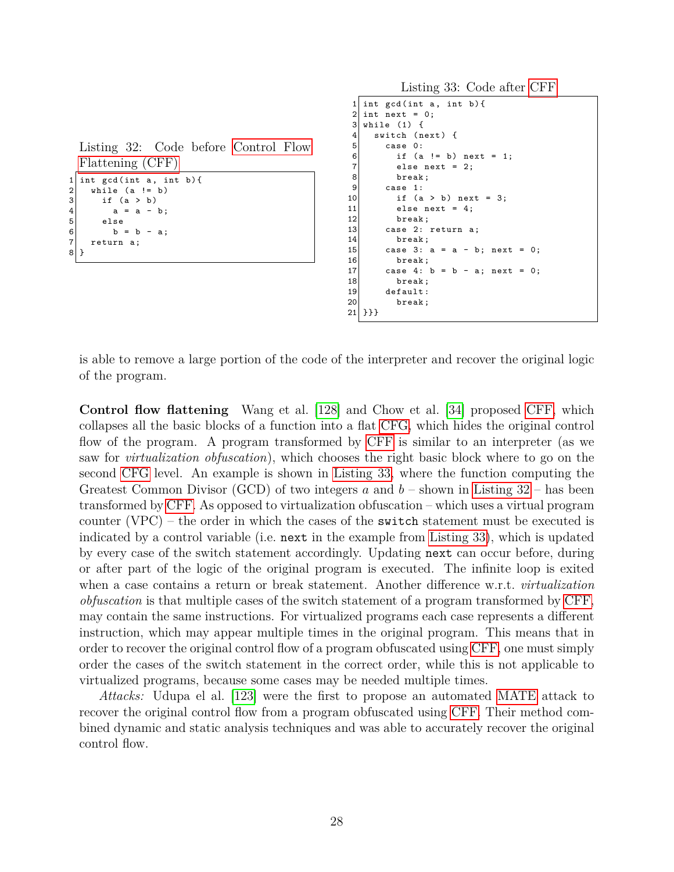<span id="page-27-1"></span>

|                | Listing 32: Code before Control Flow<br>Flattening (CFF) |  |
|----------------|----------------------------------------------------------|--|
| $\mathbf{1}$   | int $gcd(int a, int b)$ {                                |  |
| $\overline{2}$ | while $(a := b)$                                         |  |
| $\mathbf{3}$   | if $(a > b)$                                             |  |
| $\overline{4}$ | $a = a - b$ :                                            |  |
| 5              | else                                                     |  |
| 6              | $b = b - a$ ;                                            |  |
| $\overline{7}$ | return a;                                                |  |
| 8              |                                                          |  |
|                |                                                          |  |

Listing 33: Code after [CFF](#page-0-0)

```
1 int gcd (int a, int b) {
 2 int next = 0;
 3 while (1) {
 \begin{array}{c|cc} 4 & \text{switch (next) {}} \ 5 & \text{case 0:} \end{array}case 0:
 6 if (a := b) next = 1;
 7 else next = 2;
 \begin{array}{c|c}\n8 & \text{break;} \\
9 & \text{case 1}.\n\end{array}\begin{array}{c|cc} 9 & \text{case} & 1: \\ 10 & \text{if} & \text{(a)} \end{array}if (a > b) next = 3;
11 else next = 4;\begin{array}{c|cc} 12 & \text{break;} \\ 13 & \text{case 2:} \end{array}case 2: return a;
14 break;
15 case 3: a = a - b; next = 0;
\begin{array}{c|cc}\n 16 & \text{break;} \\
 17 & \text{case } 4:\n\end{array}case 4: b = b - a; next = 0;
18 break;
19 default:<br>20 break;
               break:
21 } } }
```
is able to remove a large portion of the code of the interpreter and recover the original logic of the program.

**Control flow flattening** Wang et al. [\[128\]](#page-50-4) and Chow et al. [\[34\]](#page-44-11) proposed [CFF,](#page-0-0) which collapses all the basic blocks of a function into a flat [CFG,](#page-0-0) which hides the original control flow of the program. A program transformed by [CFF](#page-0-0) is similar to an interpreter (as we saw for *virtualization obfuscation*), which chooses the right basic block where to go on the second [CFG](#page-0-0) level. An example is shown in [Listing 33,](#page-27-0) where the function computing the Greatest Common Divisor (GCD) of two integers *a* and *b* – shown in [Listing 32](#page-27-1) – has been transformed by [CFF.](#page-0-0) As opposed to virtualization obfuscation – which uses a virtual program counter  $(VPC)$  – the order in which the cases of the **switch** statement must be executed is indicated by a control variable (i.e. next in the example from [Listing 33\)](#page-27-0), which is updated by every case of the switch statement accordingly. Updating next can occur before, during or after part of the logic of the original program is executed. The infinite loop is exited when a case contains a return or break statement. Another difference w.r.t. *virtualization obfuscation* is that multiple cases of the switch statement of a program transformed by [CFF,](#page-0-0) may contain the same instructions. For virtualized programs each case represents a different instruction, which may appear multiple times in the original program. This means that in order to recover the original control flow of a program obfuscated using [CFF,](#page-0-0) one must simply order the cases of the switch statement in the correct order, while this is not applicable to virtualized programs, because some cases may be needed multiple times.

*Attacks:* Udupa el al. [\[123\]](#page-50-12) were the first to propose an automated [MATE](#page-0-0) attack to recover the original control flow from a program obfuscated using [CFF.](#page-0-0) Their method combined dynamic and static analysis techniques and was able to accurately recover the original control flow.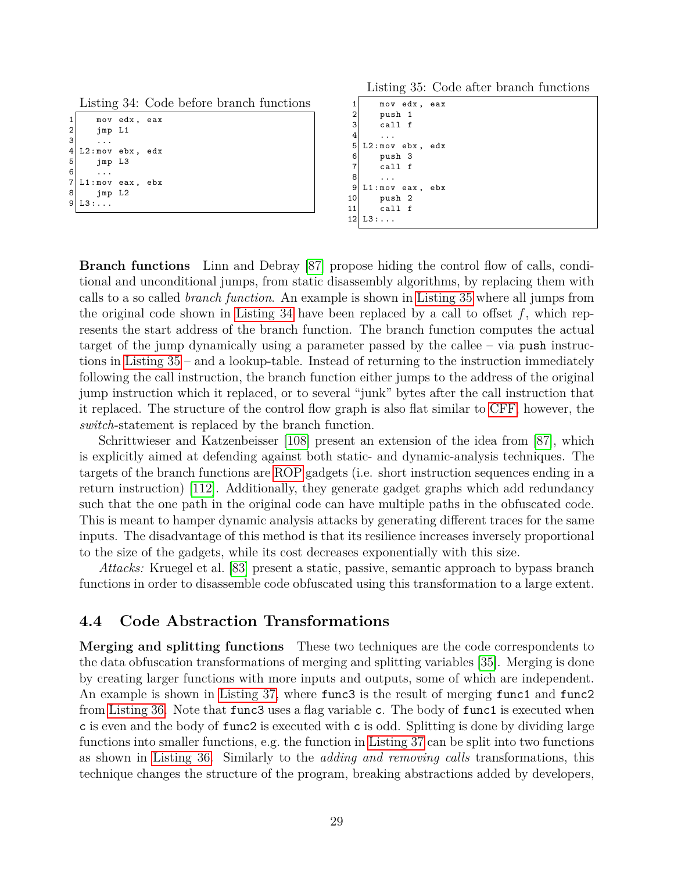<span id="page-28-1"></span>Listing 34: Code before branch functions

| 1              |                 | mov edx, eax |  |
|----------------|-----------------|--------------|--|
| $\frac{1}{3}$  | jmp L1          |              |  |
|                |                 |              |  |
| 4              | L2:mov ebx, edx |              |  |
| $5\over 6$     | jmp L3          |              |  |
|                |                 |              |  |
| $\overline{7}$ | L1:mov eax, ebx |              |  |
| 8              | imp L2          |              |  |
| 9              |                 |              |  |

<span id="page-28-0"></span>Listing 35: Code after branch functions

| $\mathbf 1$    | mov edx, eax     |  |
|----------------|------------------|--|
| $\frac{2}{3}$  | push 1           |  |
|                | call f           |  |
| $\overline{4}$ |                  |  |
| 5              | L2: mov ebx, edx |  |
| $\frac{6}{7}$  | push 3           |  |
|                | call f           |  |
| 8              |                  |  |
| 9              | L1: mov eax, ebx |  |
| 10             | push 2           |  |
| 11             | call f           |  |
| 12             | L3:              |  |

**Branch functions** Linn and Debray [\[87\]](#page-48-9) propose hiding the control flow of calls, conditional and unconditional jumps, from static disassembly algorithms, by replacing them with calls to a so called *branch function*. An example is shown in [Listing 35](#page-28-0) where all jumps from the original code shown in [Listing 34](#page-28-1) have been replaced by a call to offset  $f$ , which represents the start address of the branch function. The branch function computes the actual target of the jump dynamically using a parameter passed by the callee – via push instructions in [Listing 35](#page-28-0) – and a lookup-table. Instead of returning to the instruction immediately following the call instruction, the branch function either jumps to the address of the original jump instruction which it replaced, or to several "junk" bytes after the call instruction that it replaced. The structure of the control flow graph is also flat similar to [CFF,](#page-0-0) however, the *switch*-statement is replaced by the branch function.

Schrittwieser and Katzenbeisser [\[108\]](#page-49-7) present an extension of the idea from [\[87\]](#page-48-9), which is explicitly aimed at defending against both static- and dynamic-analysis techniques. The targets of the branch functions are [ROP](#page-0-0) gadgets (i.e. short instruction sequences ending in a return instruction) [\[112\]](#page-49-8). Additionally, they generate gadget graphs which add redundancy such that the one path in the original code can have multiple paths in the obfuscated code. This is meant to hamper dynamic analysis attacks by generating different traces for the same inputs. The disadvantage of this method is that its resilience increases inversely proportional to the size of the gadgets, while its cost decreases exponentially with this size.

*Attacks:* Kruegel et al. [\[83\]](#page-47-7) present a static, passive, semantic approach to bypass branch functions in order to disassemble code obfuscated using this transformation to a large extent.

#### **4.4 Code Abstraction Transformations**

**Merging and splitting functions** These two techniques are the code correspondents to the data obfuscation transformations of merging and splitting variables [\[35\]](#page-44-2). Merging is done by creating larger functions with more inputs and outputs, some of which are independent. An example is shown in [Listing 37,](#page-29-0) where func3 is the result of merging func1 and func2 from [Listing 36.](#page-29-1) Note that func3 uses a flag variable c. The body of func1 is executed when c is even and the body of func2 is executed with c is odd. Splitting is done by dividing large functions into smaller functions, e.g. the function in [Listing 37](#page-29-0) can be split into two functions as shown in [Listing 36.](#page-29-1) Similarly to the *adding and removing calls* transformations, this technique changes the structure of the program, breaking abstractions added by developers,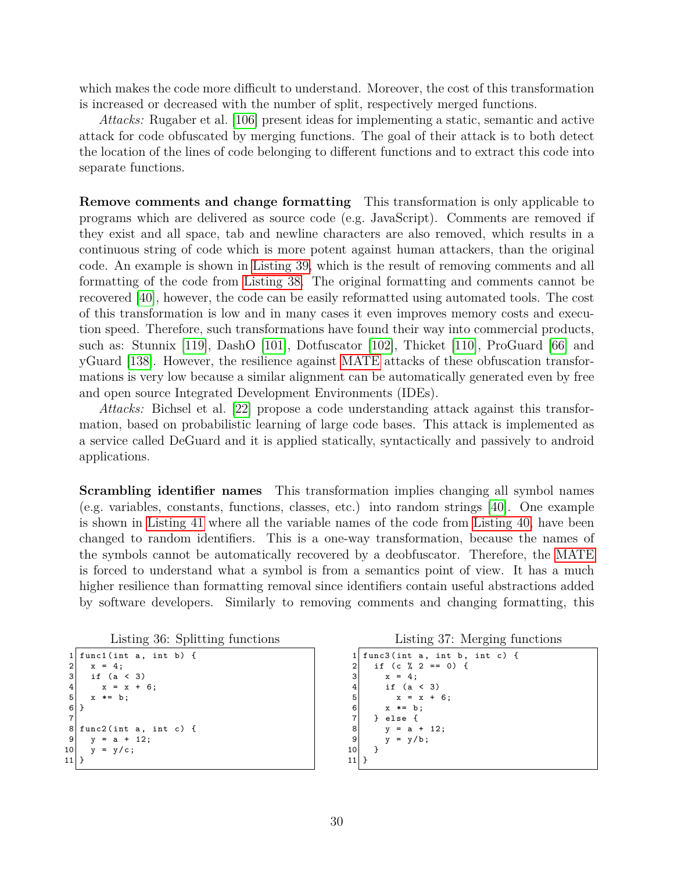which makes the code more difficult to understand. Moreover, the cost of this transformation is increased or decreased with the number of split, respectively merged functions.

*Attacks:* Rugaber et al. [\[106\]](#page-49-9) present ideas for implementing a static, semantic and active attack for code obfuscated by merging functions. The goal of their attack is to both detect the location of the lines of code belonging to different functions and to extract this code into separate functions.

**Remove comments and change formatting** This transformation is only applicable to programs which are delivered as source code (e.g. JavaScript). Comments are removed if they exist and all space, tab and newline characters are also removed, which results in a continuous string of code which is more potent against human attackers, than the original code. An example is shown in [Listing 39,](#page-30-0) which is the result of removing comments and all formatting of the code from [Listing 38.](#page-30-1) The original formatting and comments cannot be recovered [\[40\]](#page-44-0), however, the code can be easily reformatted using automated tools. The cost of this transformation is low and in many cases it even improves memory costs and execution speed. Therefore, such transformations have found their way into commercial products, such as: Stunnix [\[119\]](#page-50-13), DashO [\[101\]](#page-49-10), Dotfuscator [\[102\]](#page-49-11), Thicket [\[110\]](#page-49-12), ProGuard [\[66\]](#page-46-7) and yGuard [\[138\]](#page-51-10). However, the resilience against [MATE](#page-0-0) attacks of these obfuscation transformations is very low because a similar alignment can be automatically generated even by free and open source Integrated Development Environments (IDEs).

*Attacks:* Bichsel et al. [\[22\]](#page-43-6) propose a code understanding attack against this transformation, based on probabilistic learning of large code bases. This attack is implemented as a service called DeGuard and it is applied statically, syntactically and passively to android applications.

**Scrambling identifier names** This transformation implies changing all symbol names (e.g. variables, constants, functions, classes, etc.) into random strings [\[40\]](#page-44-0). One example is shown in [Listing 41](#page-30-2) where all the variable names of the code from [Listing 40,](#page-30-3) have been changed to random identifiers. This is a one-way transformation, because the names of the symbols cannot be automatically recovered by a deobfuscator. Therefore, the [MATE](#page-0-0) is forced to understand what a symbol is from a semantics point of view. It has a much higher resilience than formatting removal since identifiers contain useful abstractions added by software developers. Similarly to removing comments and changing formatting, this

Listing 36: Splitting functions

```
\begin{array}{c} 1 \ 1 \ 2 \end{array} func1 (int a, int b) {
            x = 4;\begin{array}{c|cc}\n3 & \text{if } (a < 3) \\
4 & x = x + \n\end{array}\begin{array}{c|cccc}\n4 & & x & = & x & + & 6; \\
5 & & x & \ast = & b;\n\end{array}b:6 }
 7
8 func2 ( int a , int c ) {
\begin{array}{c|cc} 9 & y = a + 12; \\ 10 & y = y/c; \end{array}y = y/c;11 }
```
Listing 37: Merging functions

```
\frac{1}{2} func3 (int a, int b, int c) {<br>if (c % 2 == 0) {
         if (c \frac{9}{2} == 0) {
 3 \mid x = 4;\begin{array}{c|cc}\n4 & \text{if } (a \leq 3) \\
5 & x = x + \n\end{array}x = x + 6;6 x * = b;7 } else {
\begin{array}{c|cc}\n8 & & y = a + 12; \\
9 & & y = y/b;\n\end{array}y = y/b;10 }
11 }
```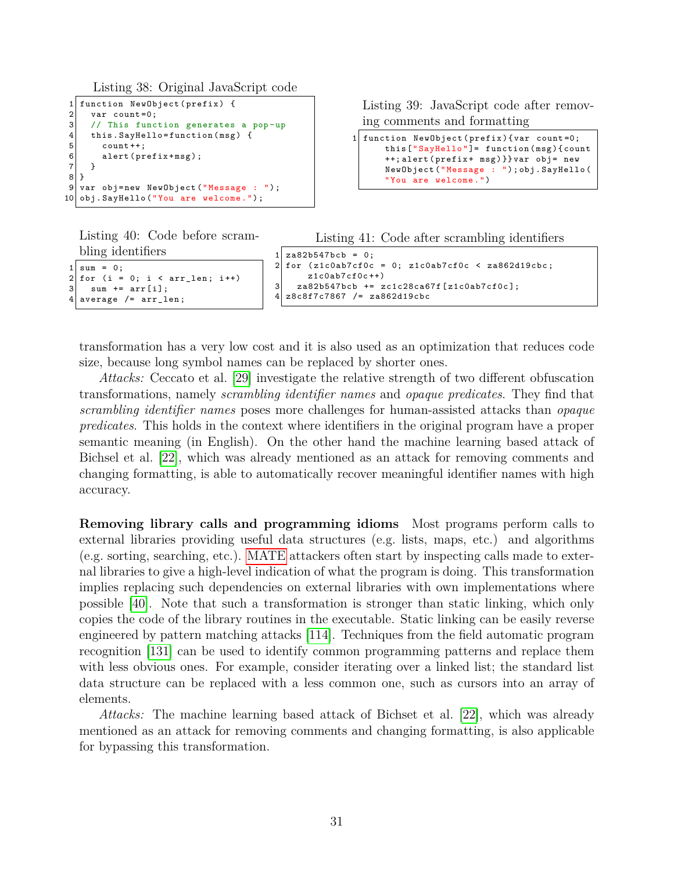<span id="page-30-1"></span>Listing 38: Original JavaScript code

```
\begin{array}{c|c} 1 & \text{function} & \text{NewObject(prefix)} \\ \hline 2 & \text{var count=0} \\ \end{array}var count=0;
3 // This function generates a pop-up<br>4 this.SayHello=function(msg) {
4 this . Say Hello=function (msg) {<br>count++;
             count++;\begin{array}{c} 6 \\ 7 \end{array} alert (prefix + msg);
         7 }
\begin{array}{c} 8 \\ 9 \end{array}9 var obj=new NewObject ("Message : ");<br>10 obi.SavHello ("You are welcome."):
    obj. SayHello ("You are welcome.");
```
<span id="page-30-0"></span>Listing 39: JavaScript code after removing comments and formatting

```
1 function NewObject (prefix) { var count=0;
      this [" SayHello "]= function ( msg ){ count
      ++; alert (prefix+ msg) } } var obj = new
      NewObject (" Message : "); obj . SayHello (
      " You are welcome .")
```
<span id="page-30-3"></span>Listing 40: Code before scrambling identifiers

2 for (i = 0; i < arr\_len ; i ++)

 $sum$  +=  $arr[i]$ ;  $4$  average /=  $arr_{len}$ ;

 $1 \text{ sum} = 0$ ;

Listing 41: Code after scrambling identifiers

```
\begin{array}{c|cc}\n1 & za82b547bcb & = & 0; \\
2 & f or & (z1c0ab7cf0c)\n\end{array}for (z1c0ab7cf0c = 0; z1c0ab7cf0c < za862d19cbc;z1c0ab7cf0c++3 \mid za82b547bcb += zc1c28ca67f [z1c0ab7cf0c];
4 \times 8c8f7c7867 /= za862d19cbc
```
transformation has a very low cost and it is also used as an optimization that reduces code size, because long symbol names can be replaced by shorter ones.

*Attacks:* Ceccato et al. [\[29\]](#page-43-7) investigate the relative strength of two different obfuscation transformations, namely *scrambling identifier names* and *opaque predicates*. They find that *scrambling identifier names* poses more challenges for human-assisted attacks than *opaque predicates*. This holds in the context where identifiers in the original program have a proper semantic meaning (in English). On the other hand the machine learning based attack of Bichsel et al. [\[22\]](#page-43-6), which was already mentioned as an attack for removing comments and changing formatting, is able to automatically recover meaningful identifier names with high accuracy.

**Removing library calls and programming idioms** Most programs perform calls to external libraries providing useful data structures (e.g. lists, maps, etc.) and algorithms (e.g. sorting, searching, etc.). [MATE](#page-0-0) attackers often start by inspecting calls made to external libraries to give a high-level indication of what the program is doing. This transformation implies replacing such dependencies on external libraries with own implementations where possible [\[40\]](#page-44-0). Note that such a transformation is stronger than static linking, which only copies the code of the library routines in the executable. Static linking can be easily reverse engineered by pattern matching attacks [\[114\]](#page-50-2). Techniques from the field automatic program recognition [\[131\]](#page-51-11) can be used to identify common programming patterns and replace them with less obvious ones. For example, consider iterating over a linked list; the standard list data structure can be replaced with a less common one, such as cursors into an array of elements.

*Attacks:* The machine learning based attack of Bichset et al. [\[22\]](#page-43-6), which was already mentioned as an attack for removing comments and changing formatting, is also applicable for bypassing this transformation.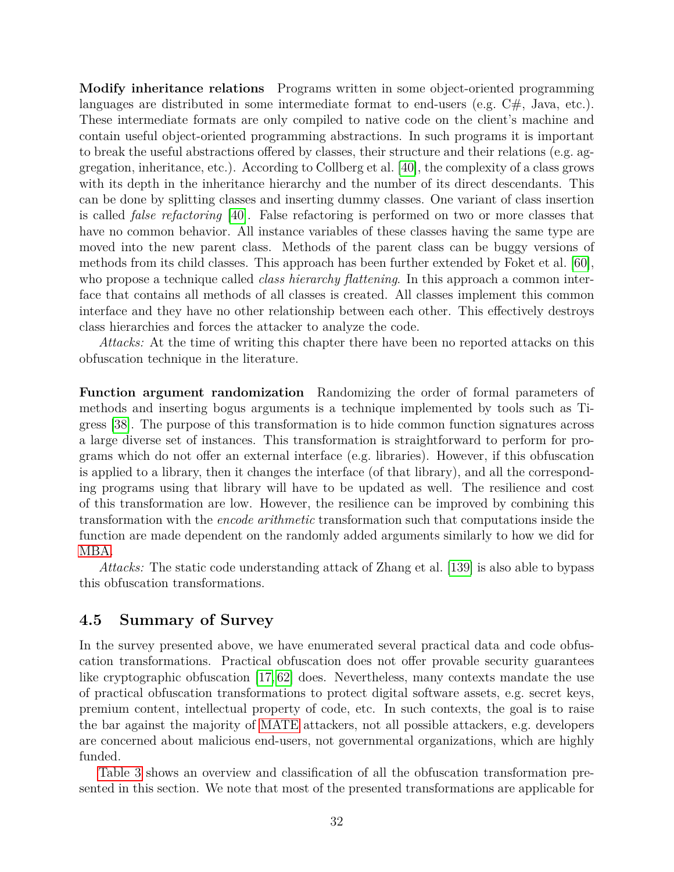**Modify inheritance relations** Programs written in some object-oriented programming languages are distributed in some intermediate format to end-users (e.g.  $C#$ , Java, etc.). These intermediate formats are only compiled to native code on the client's machine and contain useful object-oriented programming abstractions. In such programs it is important to break the useful abstractions offered by classes, their structure and their relations (e.g. aggregation, inheritance, etc.). According to Collberg et al. [\[40\]](#page-44-0), the complexity of a class grows with its depth in the inheritance hierarchy and the number of its direct descendants. This can be done by splitting classes and inserting dummy classes. One variant of class insertion is called *false refactoring* [\[40\]](#page-44-0). False refactoring is performed on two or more classes that have no common behavior. All instance variables of these classes having the same type are moved into the new parent class. Methods of the parent class can be buggy versions of methods from its child classes. This approach has been further extended by Foket et al. [\[60\]](#page-46-8), who propose a technique called *class hierarchy flattening*. In this approach a common interface that contains all methods of all classes is created. All classes implement this common interface and they have no other relationship between each other. This effectively destroys class hierarchies and forces the attacker to analyze the code.

*Attacks:* At the time of writing this chapter there have been no reported attacks on this obfuscation technique in the literature.

**Function argument randomization** Randomizing the order of formal parameters of methods and inserting bogus arguments is a technique implemented by tools such as Tigress [\[38\]](#page-44-12). The purpose of this transformation is to hide common function signatures across a large diverse set of instances. This transformation is straightforward to perform for programs which do not offer an external interface (e.g. libraries). However, if this obfuscation is applied to a library, then it changes the interface (of that library), and all the corresponding programs using that library will have to be updated as well. The resilience and cost of this transformation are low. However, the resilience can be improved by combining this transformation with the *encode arithmetic* transformation such that computations inside the function are made dependent on the randomly added arguments similarly to how we did for [MBA.](#page-0-0)

*Attacks:* The static code understanding attack of Zhang et al. [\[139\]](#page-51-5) is also able to bypass this obfuscation transformations.

#### **4.5 Summary of Survey**

In the survey presented above, we have enumerated several practical data and code obfuscation transformations. Practical obfuscation does not offer provable security guarantees like cryptographic obfuscation [\[17,](#page-42-8) [62\]](#page-46-9) does. Nevertheless, many contexts mandate the use of practical obfuscation transformations to protect digital software assets, e.g. secret keys, premium content, intellectual property of code, etc. In such contexts, the goal is to raise the bar against the majority of [MATE](#page-0-0) attackers, not all possible attackers, e.g. developers are concerned about malicious end-users, not governmental organizations, which are highly funded.

[Table 3](#page-32-1) shows an overview and classification of all the obfuscation transformation presented in this section. We note that most of the presented transformations are applicable for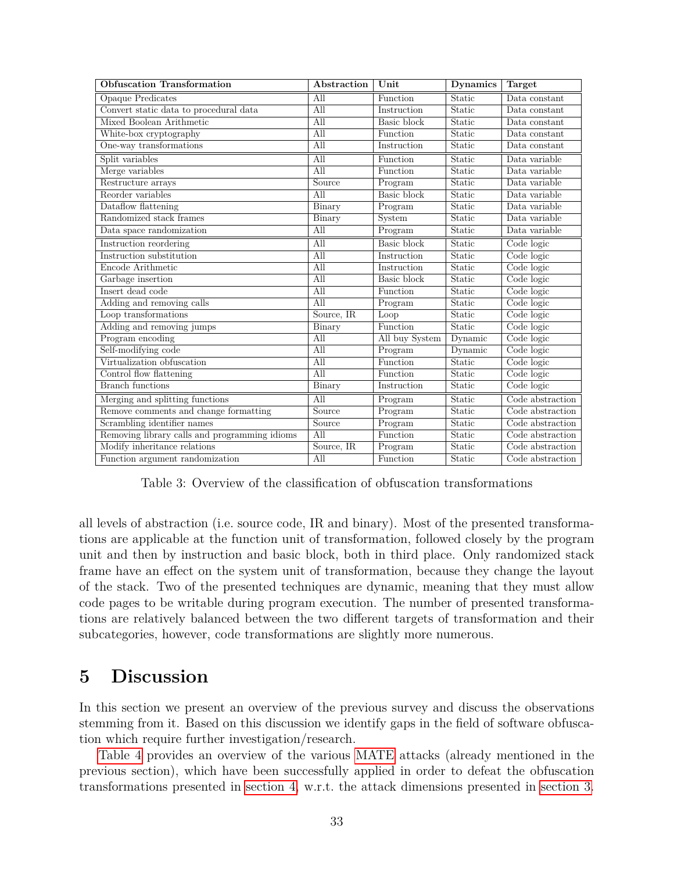<span id="page-32-1"></span>

| <b>Obfuscation Transformation</b>             | Abstraction      | Unit               | <b>Dynamics</b> | <b>Target</b>                  |  |
|-----------------------------------------------|------------------|--------------------|-----------------|--------------------------------|--|
| Opaque Predicates                             | All              | Function           | Static          | Data constant                  |  |
| Convert static data to procedural data        | All              | Instruction        | Static          | Data constant                  |  |
| Mixed Boolean Arithmetic                      | All              | <b>Basic block</b> | Static          | Data constant                  |  |
| White-box cryptography                        | All              | Function           | Static          | Data constant                  |  |
| One-way transformations                       | All              | Instruction        | Static          | Data constant                  |  |
| Split variables                               | All              | Function           | Static          | Data variable                  |  |
| Merge variables                               | All              | Function           | Static          | Data variable                  |  |
| Restructure arrays                            | Source           | Static<br>Program  |                 | Data variable                  |  |
| Reorder variables                             | $\overline{All}$ | Basic block        | Static          | Data variable                  |  |
| Dataflow flattening                           | <b>Binary</b>    | Program            | Static          | Data variable                  |  |
| Randomized stack frames                       | <b>Binary</b>    | System             | Static          | Data variable                  |  |
| Data space randomization                      | All              | Program            | Static          | Data variable                  |  |
| Instruction reordering                        | All              | <b>Basic block</b> | Static          | Code logic                     |  |
| Instruction substitution                      | All              | Instruction        | Static          | Code logic                     |  |
| Encode Arithmetic                             | All              | Instruction        | Static          | Code logic                     |  |
| Garbage insertion                             | All              | Basic block        | Static          | $\overline{\text{Code logic}}$ |  |
| Insert dead code                              | $\overline{All}$ | Function           | Static          | Code logic                     |  |
| Adding and removing calls                     | All              | Program            | Static          | Code logic                     |  |
| Loop transformations                          | Source, IR       | Loop               | Static          | Code logic                     |  |
| Adding and removing jumps                     | Binary           | Function           | Static          | Code logic                     |  |
| Program encoding                              | All              | All buy System     | Dynamic         | Code logic                     |  |
| Self-modifying code                           | $\overline{All}$ | Program            | Dynamic         | Code logic                     |  |
| Virtualization obfuscation                    | All              | Function           | Static          | Code logic                     |  |
| Control flow flattening                       | All              | Function           | Static          | Code logic                     |  |
| <b>Branch</b> functions                       | Binary           | Instruction        | Static          | Code logic                     |  |
| Merging and splitting functions               | All              | Program            | Static          | Code abstraction               |  |
| Remove comments and change formatting         | Source           | Program            | Static          | Code abstraction               |  |
| Scrambling identifier names                   | Source           | Program            | Static          | Code abstraction               |  |
| Removing library calls and programming idioms | Al <sub>l</sub>  | Function           | Static          | Code abstraction               |  |
| Modify inheritance relations                  | Source, IR       | Program            | Static          | Code abstraction               |  |
| Function argument randomization               | All              | Function           | Static          | Code abstraction               |  |

Table 3: Overview of the classification of obfuscation transformations

all levels of abstraction (i.e. source code, IR and binary). Most of the presented transformations are applicable at the function unit of transformation, followed closely by the program unit and then by instruction and basic block, both in third place. Only randomized stack frame have an effect on the system unit of transformation, because they change the layout of the stack. Two of the presented techniques are dynamic, meaning that they must allow code pages to be writable during program execution. The number of presented transformations are relatively balanced between the two different targets of transformation and their subcategories, however, code transformations are slightly more numerous.

### <span id="page-32-0"></span>**5 Discussion**

In this section we present an overview of the previous survey and discuss the observations stemming from it. Based on this discussion we identify gaps in the field of software obfuscation which require further investigation/research.

[Table 4](#page-33-0) provides an overview of the various [MATE](#page-0-0) attacks (already mentioned in the previous section), which have been successfully applied in order to defeat the obfuscation transformations presented in [section 4,](#page-8-0) w.r.t. the attack dimensions presented in [section 3.](#page-6-0)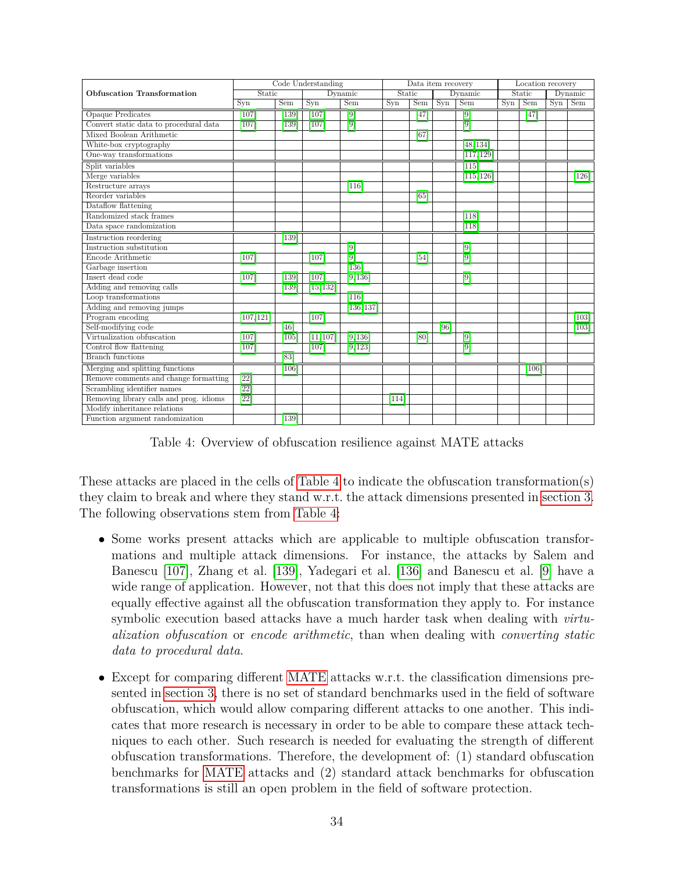<span id="page-33-0"></span>

| <b>Obfuscation Transformation</b>       | Code Understanding |            |                  | Data item recovery |         |        |                 | Location recovery                                                                                                                                                                                                                   |        |                 |            |               |
|-----------------------------------------|--------------------|------------|------------------|--------------------|---------|--------|-----------------|-------------------------------------------------------------------------------------------------------------------------------------------------------------------------------------------------------------------------------------|--------|-----------------|------------|---------------|
|                                         | Static             |            | Dynamic          |                    | Static  |        | Dynamic         |                                                                                                                                                                                                                                     | Static |                 | Dynamic    |               |
|                                         | Syn                | <b>Sem</b> | Syn              | Sem                | Syn     | Sem    | <b>Syn</b>      | Sem                                                                                                                                                                                                                                 | Syn    | Sem             | <b>Syn</b> | Sem           |
| Opaque Predicates                       | $[107]$            | 139        | $\overline{107}$ | $\lceil 9 \rceil$  |         | [47]   |                 | $[9]$                                                                                                                                                                                                                               |        | $\overline{47}$ |            |               |
| Convert static data to procedural data  | $[107]$            | 139        | [107]            | $\lceil 9 \rceil$  |         |        |                 | $[9] % \begin{center} \includegraphics[width=\textwidth]{figures/fig_10.pdf} \end{center} % \vspace{-1em} \caption{The figure shows the number of different types of the estimators in the left and right.} \label{fig:fig_10.pdf}$ |        |                 |            |               |
| Mixed Boolean Arithmetic                |                    |            |                  |                    |         | [67]   |                 |                                                                                                                                                                                                                                     |        |                 |            |               |
| White-box cryptography                  |                    |            |                  |                    |         |        |                 | [48, 134]                                                                                                                                                                                                                           |        |                 |            |               |
| One-way transformations                 |                    |            |                  |                    |         |        |                 | [117, 129]                                                                                                                                                                                                                          |        |                 |            |               |
| Split variables                         |                    |            |                  |                    |         |        |                 | $\boxed{115}$                                                                                                                                                                                                                       |        |                 |            |               |
| Merge variables                         |                    |            |                  |                    |         |        |                 | [115, 126]                                                                                                                                                                                                                          |        |                 |            | $\boxed{126}$ |
| Restructure arrays                      |                    |            |                  | [116]              |         |        |                 |                                                                                                                                                                                                                                     |        |                 |            |               |
| Reorder variables                       |                    |            |                  |                    |         | [65]   |                 |                                                                                                                                                                                                                                     |        |                 |            |               |
| Dataflow flattening                     |                    |            |                  |                    |         |        |                 |                                                                                                                                                                                                                                     |        |                 |            |               |
| Randomized stack frames                 |                    |            |                  |                    |         |        |                 | $[118]$                                                                                                                                                                                                                             |        |                 |            |               |
| Data space randomization                |                    |            |                  |                    |         |        |                 | $[118]$                                                                                                                                                                                                                             |        |                 |            |               |
| Instruction reordering                  |                    | 139        |                  |                    |         |        |                 |                                                                                                                                                                                                                                     |        |                 |            |               |
| Instruction substitution                |                    |            |                  | $\sqrt{9}$         |         |        |                 | [9]                                                                                                                                                                                                                                 |        |                 |            |               |
| Encode Arithmetic                       | $[107]$            |            | 107              | $\overline{9}$     |         | $[54]$ |                 | $\overline{19}$                                                                                                                                                                                                                     |        |                 |            |               |
| Garbage insertion                       |                    |            |                  | 136                |         |        |                 |                                                                                                                                                                                                                                     |        |                 |            |               |
| Insert dead code                        | 107                | 139]       | $\overline{107}$ | [9, 136]           |         |        |                 | $[9]$                                                                                                                                                                                                                               |        |                 |            |               |
| Adding and removing calls               |                    | 139]       | 15, 132          |                    |         |        |                 |                                                                                                                                                                                                                                     |        |                 |            |               |
| Loop transformations                    |                    |            |                  | [116]              |         |        |                 |                                                                                                                                                                                                                                     |        |                 |            |               |
| Adding and removing jumps               |                    |            |                  | 136, 137           |         |        |                 |                                                                                                                                                                                                                                     |        |                 |            |               |
| Program encoding                        | [107, 121]         |            | 107              |                    |         |        |                 |                                                                                                                                                                                                                                     |        |                 |            | $[103]$       |
| Self-modifying code                     |                    | [46]       |                  |                    |         |        | $\overline{96}$ |                                                                                                                                                                                                                                     |        |                 |            | $[103]$       |
| Virtualization obfuscation              | [107]              | $[105]$    | [11, 107]        | [9, 136]           |         | [80]   |                 | $[9]$                                                                                                                                                                                                                               |        |                 |            |               |
| Control flow flattening                 | [107]              |            | $\overline{107}$ | $\sqrt{9,123}$     |         |        |                 |                                                                                                                                                                                                                                     |        |                 |            |               |
| <b>Branch</b> functions                 |                    | [83]       |                  |                    |         |        |                 |                                                                                                                                                                                                                                     |        |                 |            |               |
| Merging and splitting functions         |                    | [106]      |                  |                    |         |        |                 |                                                                                                                                                                                                                                     |        | [106]           |            |               |
| Remove comments and change formatting   | $\overline{[22]}$  |            |                  |                    |         |        |                 |                                                                                                                                                                                                                                     |        |                 |            |               |
| Scrambling identifier names             | $\overline{[22]}$  |            |                  |                    |         |        |                 |                                                                                                                                                                                                                                     |        |                 |            |               |
| Removing library calls and prog. idioms | $\overline{[22]}$  |            |                  |                    | $[114]$ |        |                 |                                                                                                                                                                                                                                     |        |                 |            |               |
| Modify inheritance relations            |                    |            |                  |                    |         |        |                 |                                                                                                                                                                                                                                     |        |                 |            |               |
| Function argument randomization         |                    | 139]       |                  |                    |         |        |                 |                                                                                                                                                                                                                                     |        |                 |            |               |

Table 4: Overview of obfuscation resilience against MATE attacks

These attacks are placed in the cells of [Table 4](#page-33-0) to indicate the obfuscation transformation(s) they claim to break and where they stand w.r.t. the attack dimensions presented in [section 3.](#page-6-0) The following observations stem from [Table 4:](#page-33-0)

- Some works present attacks which are applicable to multiple obfuscation transformations and multiple attack dimensions. For instance, the attacks by Salem and Banescu [\[107\]](#page-49-3), Zhang et al. [\[139\]](#page-51-5), Yadegari et al. [\[136\]](#page-51-7) and Banescu et al. [\[9\]](#page-42-2) have a wide range of application. However, not that this does not imply that these attacks are equally effective against all the obfuscation transformation they apply to. For instance symbolic execution based attacks have a much harder task when dealing with *virtualization obfuscation* or *encode arithmetic*, than when dealing with *converting static data to procedural data*.
- Except for comparing different [MATE](#page-0-0) attacks w.r.t. the classification dimensions presented in [section 3,](#page-6-0) there is no set of standard benchmarks used in the field of software obfuscation, which would allow comparing different attacks to one another. This indicates that more research is necessary in order to be able to compare these attack techniques to each other. Such research is needed for evaluating the strength of different obfuscation transformations. Therefore, the development of: (1) standard obfuscation benchmarks for [MATE](#page-0-0) attacks and (2) standard attack benchmarks for obfuscation transformations is still an open problem in the field of software protection.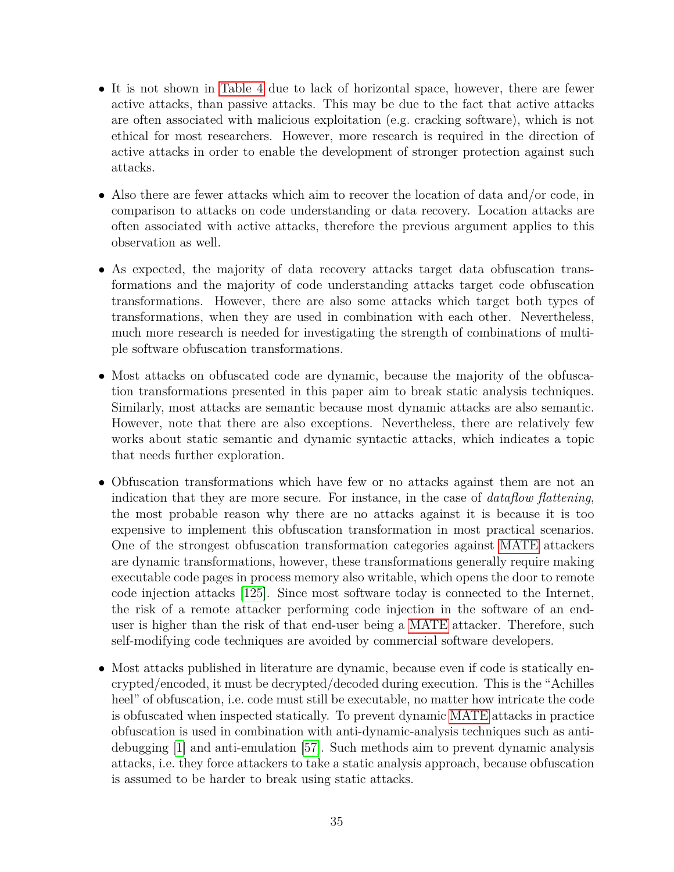- It is not shown in [Table 4](#page-33-0) due to lack of horizontal space, however, there are fewer active attacks, than passive attacks. This may be due to the fact that active attacks are often associated with malicious exploitation (e.g. cracking software), which is not ethical for most researchers. However, more research is required in the direction of active attacks in order to enable the development of stronger protection against such attacks.
- Also there are fewer attacks which aim to recover the location of data and/or code, in comparison to attacks on code understanding or data recovery. Location attacks are often associated with active attacks, therefore the previous argument applies to this observation as well.
- As expected, the majority of data recovery attacks target data obfuscation transformations and the majority of code understanding attacks target code obfuscation transformations. However, there are also some attacks which target both types of transformations, when they are used in combination with each other. Nevertheless, much more research is needed for investigating the strength of combinations of multiple software obfuscation transformations.
- Most attacks on obfuscated code are dynamic, because the majority of the obfuscation transformations presented in this paper aim to break static analysis techniques. Similarly, most attacks are semantic because most dynamic attacks are also semantic. However, note that there are also exceptions. Nevertheless, there are relatively few works about static semantic and dynamic syntactic attacks, which indicates a topic that needs further exploration.
- Obfuscation transformations which have few or no attacks against them are not an indication that they are more secure. For instance, in the case of *dataflow flattening*, the most probable reason why there are no attacks against it is because it is too expensive to implement this obfuscation transformation in most practical scenarios. One of the strongest obfuscation transformation categories against [MATE](#page-0-0) attackers are dynamic transformations, however, these transformations generally require making executable code pages in process memory also writable, which opens the door to remote code injection attacks [\[125\]](#page-50-14). Since most software today is connected to the Internet, the risk of a remote attacker performing code injection in the software of an enduser is higher than the risk of that end-user being a [MATE](#page-0-0) attacker. Therefore, such self-modifying code techniques are avoided by commercial software developers.
- Most attacks published in literature are dynamic, because even if code is statically encrypted/encoded, it must be decrypted/decoded during execution. This is the "Achilles heel" of obfuscation, i.e. code must still be executable, no matter how intricate the code is obfuscated when inspected statically. To prevent dynamic [MATE](#page-0-0) attacks in practice obfuscation is used in combination with anti-dynamic-analysis techniques such as antidebugging [\[1\]](#page-41-3) and anti-emulation [\[57\]](#page-45-9). Such methods aim to prevent dynamic analysis attacks, i.e. they force attackers to take a static analysis approach, because obfuscation is assumed to be harder to break using static attacks.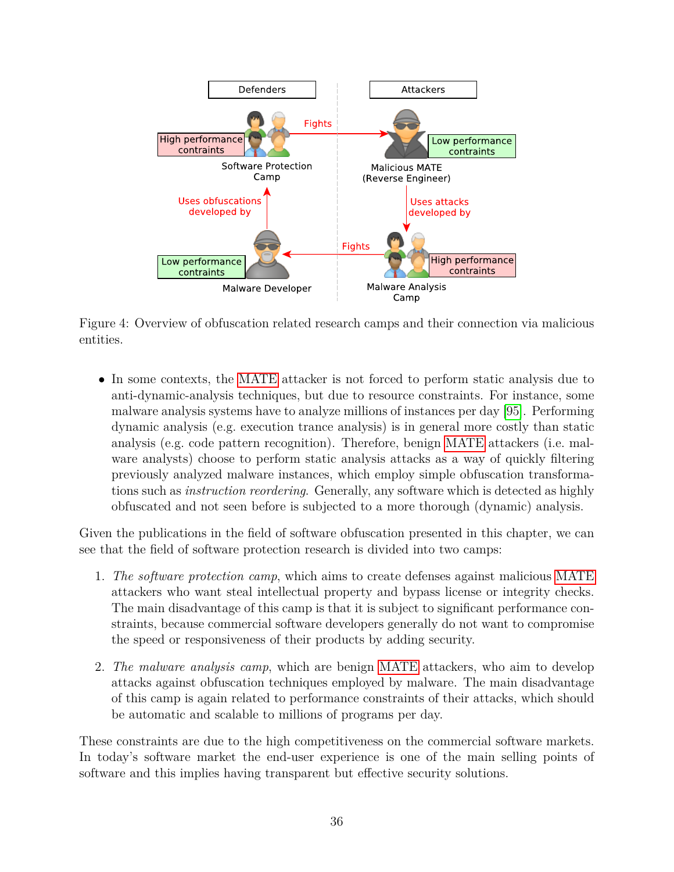<span id="page-35-0"></span>

Figure 4: Overview of obfuscation related research camps and their connection via malicious entities.

• In some contexts, the [MATE](#page-0-0) attacker is not forced to perform static analysis due to anti-dynamic-analysis techniques, but due to resource constraints. For instance, some malware analysis systems have to analyze millions of instances per day [\[95\]](#page-48-10). Performing dynamic analysis (e.g. execution trance analysis) is in general more costly than static analysis (e.g. code pattern recognition). Therefore, benign [MATE](#page-0-0) attackers (i.e. malware analysts) choose to perform static analysis attacks as a way of quickly filtering previously analyzed malware instances, which employ simple obfuscation transformations such as *instruction reordering*. Generally, any software which is detected as highly obfuscated and not seen before is subjected to a more thorough (dynamic) analysis.

Given the publications in the field of software obfuscation presented in this chapter, we can see that the field of software protection research is divided into two camps:

- 1. *The software protection camp*, which aims to create defenses against malicious [MATE](#page-0-0) attackers who want steal intellectual property and bypass license or integrity checks. The main disadvantage of this camp is that it is subject to significant performance constraints, because commercial software developers generally do not want to compromise the speed or responsiveness of their products by adding security.
- 2. *The malware analysis camp*, which are benign [MATE](#page-0-0) attackers, who aim to develop attacks against obfuscation techniques employed by malware. The main disadvantage of this camp is again related to performance constraints of their attacks, which should be automatic and scalable to millions of programs per day.

These constraints are due to the high competitiveness on the commercial software markets. In today's software market the end-user experience is one of the main selling points of software and this implies having transparent but effective security solutions.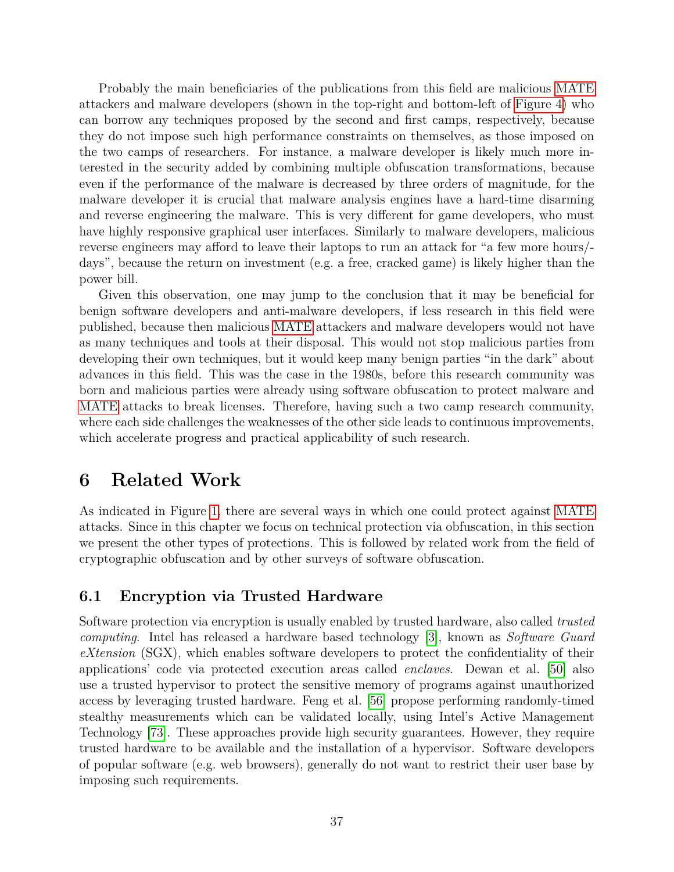Probably the main beneficiaries of the publications from this field are malicious [MATE](#page-0-0) attackers and malware developers (shown in the top-right and bottom-left of [Figure 4\)](#page-35-0) who can borrow any techniques proposed by the second and first camps, respectively, because they do not impose such high performance constraints on themselves, as those imposed on the two camps of researchers. For instance, a malware developer is likely much more interested in the security added by combining multiple obfuscation transformations, because even if the performance of the malware is decreased by three orders of magnitude, for the malware developer it is crucial that malware analysis engines have a hard-time disarming and reverse engineering the malware. This is very different for game developers, who must have highly responsive graphical user interfaces. Similarly to malware developers, malicious reverse engineers may afford to leave their laptops to run an attack for "a few more hours/ days", because the return on investment (e.g. a free, cracked game) is likely higher than the power bill.

Given this observation, one may jump to the conclusion that it may be beneficial for benign software developers and anti-malware developers, if less research in this field were published, because then malicious [MATE](#page-0-0) attackers and malware developers would not have as many techniques and tools at their disposal. This would not stop malicious parties from developing their own techniques, but it would keep many benign parties "in the dark" about advances in this field. This was the case in the 1980s, before this research community was born and malicious parties were already using software obfuscation to protect malware and [MATE](#page-0-0) attacks to break licenses. Therefore, having such a two camp research community, where each side challenges the weaknesses of the other side leads to continuous improvements, which accelerate progress and practical applicability of such research.

### <span id="page-36-0"></span>**6 Related Work**

As indicated in Figure [1,](#page-1-0) there are several ways in which one could protect against [MATE](#page-0-0) attacks. Since in this chapter we focus on technical protection via obfuscation, in this section we present the other types of protections. This is followed by related work from the field of cryptographic obfuscation and by other surveys of software obfuscation.

### **6.1 Encryption via Trusted Hardware**

Software protection via encryption is usually enabled by trusted hardware, also called *trusted computing*. Intel has released a hardware based technology [\[3\]](#page-41-4), known as *Software Guard eXtension* (SGX), which enables software developers to protect the confidentiality of their applications' code via protected execution areas called *enclaves*. Dewan et al. [\[50\]](#page-45-10) also use a trusted hypervisor to protect the sensitive memory of programs against unauthorized access by leveraging trusted hardware. Feng et al. [\[56\]](#page-45-11) propose performing randomly-timed stealthy measurements which can be validated locally, using Intel's Active Management Technology [\[73\]](#page-47-8). These approaches provide high security guarantees. However, they require trusted hardware to be available and the installation of a hypervisor. Software developers of popular software (e.g. web browsers), generally do not want to restrict their user base by imposing such requirements.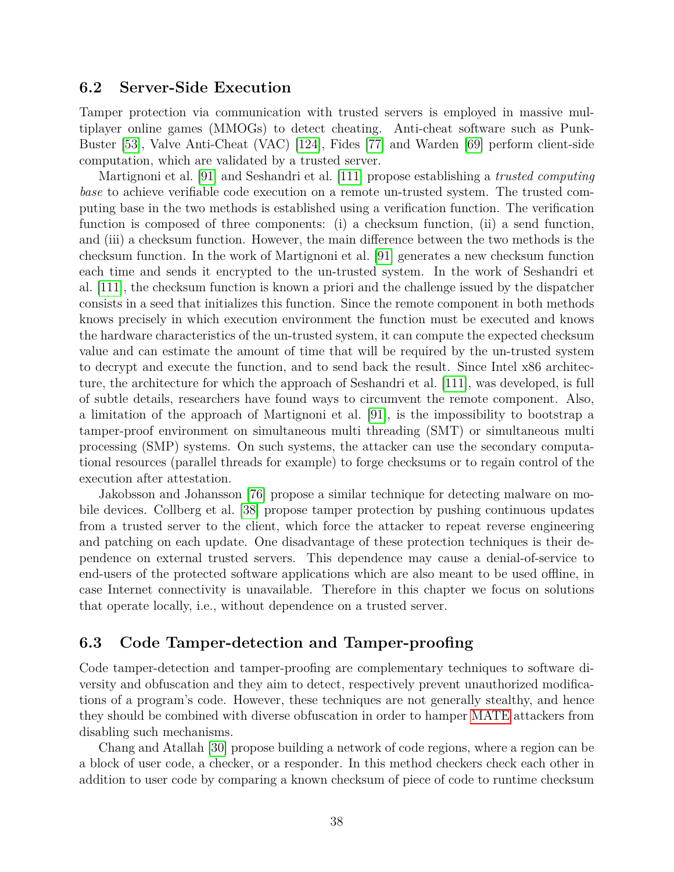#### **6.2 Server-Side Execution**

Tamper protection via communication with trusted servers is employed in massive multiplayer online games (MMOGs) to detect cheating. Anti-cheat software such as Punk-Buster [\[53\]](#page-45-12), Valve Anti-Cheat (VAC) [\[124\]](#page-50-15), Fides [\[77\]](#page-47-9) and Warden [\[69\]](#page-46-10) perform client-side computation, which are validated by a trusted server.

Martignoni et al. [\[91\]](#page-48-11) and Seshandri et al. [\[111\]](#page-49-13) propose establishing a *trusted computing base* to achieve verifiable code execution on a remote un-trusted system. The trusted computing base in the two methods is established using a verification function. The verification function is composed of three components: (i) a checksum function, (ii) a send function, and (iii) a checksum function. However, the main difference between the two methods is the checksum function. In the work of Martignoni et al. [\[91\]](#page-48-11) generates a new checksum function each time and sends it encrypted to the un-trusted system. In the work of Seshandri et al. [\[111\]](#page-49-13), the checksum function is known a priori and the challenge issued by the dispatcher consists in a seed that initializes this function. Since the remote component in both methods knows precisely in which execution environment the function must be executed and knows the hardware characteristics of the un-trusted system, it can compute the expected checksum value and can estimate the amount of time that will be required by the un-trusted system to decrypt and execute the function, and to send back the result. Since Intel x86 architecture, the architecture for which the approach of Seshandri et al. [\[111\]](#page-49-13), was developed, is full of subtle details, researchers have found ways to circumvent the remote component. Also, a limitation of the approach of Martignoni et al. [\[91\]](#page-48-11), is the impossibility to bootstrap a tamper-proof environment on simultaneous multi threading (SMT) or simultaneous multi processing (SMP) systems. On such systems, the attacker can use the secondary computational resources (parallel threads for example) to forge checksums or to regain control of the execution after attestation.

Jakobsson and Johansson [\[76\]](#page-47-10) propose a similar technique for detecting malware on mobile devices. Collberg et al. [\[38\]](#page-44-12) propose tamper protection by pushing continuous updates from a trusted server to the client, which force the attacker to repeat reverse engineering and patching on each update. One disadvantage of these protection techniques is their dependence on external trusted servers. This dependence may cause a denial-of-service to end-users of the protected software applications which are also meant to be used offline, in case Internet connectivity is unavailable. Therefore in this chapter we focus on solutions that operate locally, i.e., without dependence on a trusted server.

#### **6.3 Code Tamper-detection and Tamper-proofing**

Code tamper-detection and tamper-proofing are complementary techniques to software diversity and obfuscation and they aim to detect, respectively prevent unauthorized modifications of a program's code. However, these techniques are not generally stealthy, and hence they should be combined with diverse obfuscation in order to hamper [MATE](#page-0-0) attackers from disabling such mechanisms.

Chang and Atallah [\[30\]](#page-43-8) propose building a network of code regions, where a region can be a block of user code, a checker, or a responder. In this method checkers check each other in addition to user code by comparing a known checksum of piece of code to runtime checksum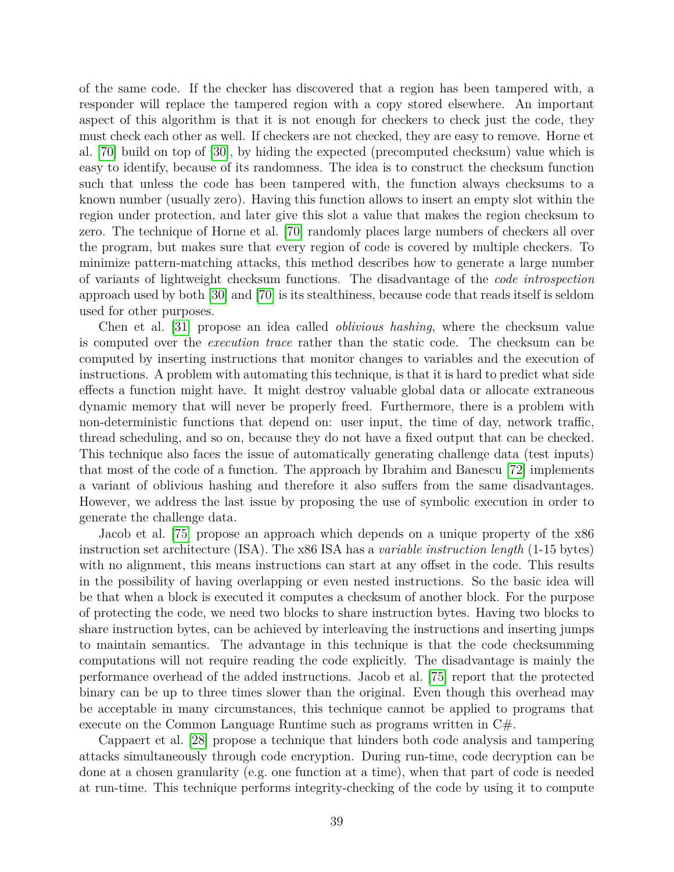of the same code. If the checker has discovered that a region has been tampered with, a responder will replace the tampered region with a copy stored elsewhere. An important aspect of this algorithm is that it is not enough for checkers to check just the code, they must check each other as well. If checkers are not checked, they are easy to remove. Horne et al. [\[70\]](#page-46-11) build on top of [\[30\]](#page-43-8), by hiding the expected (precomputed checksum) value which is easy to identify, because of its randomness. The idea is to construct the checksum function such that unless the code has been tampered with, the function always checksums to a known number (usually zero). Having this function allows to insert an empty slot within the region under protection, and later give this slot a value that makes the region checksum to zero. The technique of Horne et al. [\[70\]](#page-46-11) randomly places large numbers of checkers all over the program, but makes sure that every region of code is covered by multiple checkers. To minimize pattern-matching attacks, this method describes how to generate a large number of variants of lightweight checksum functions. The disadvantage of the *code introspection* approach used by both [\[30\]](#page-43-8) and [\[70\]](#page-46-11) is its stealthiness, because code that reads itself is seldom used for other purposes.

Chen et al. [\[31\]](#page-43-9) propose an idea called *oblivious hashing*, where the checksum value is computed over the *execution trace* rather than the static code. The checksum can be computed by inserting instructions that monitor changes to variables and the execution of instructions. A problem with automating this technique, is that it is hard to predict what side effects a function might have. It might destroy valuable global data or allocate extraneous dynamic memory that will never be properly freed. Furthermore, there is a problem with non-deterministic functions that depend on: user input, the time of day, network traffic, thread scheduling, and so on, because they do not have a fixed output that can be checked. This technique also faces the issue of automatically generating challenge data (test inputs) that most of the code of a function. The approach by Ibrahim and Banescu [\[72\]](#page-46-12) implements a variant of oblivious hashing and therefore it also suffers from the same disadvantages. However, we address the last issue by proposing the use of symbolic execution in order to generate the challenge data.

Jacob et al. [\[75\]](#page-47-11) propose an approach which depends on a unique property of the x86 instruction set architecture (ISA). The x86 ISA has a *variable instruction length* (1-15 bytes) with no alignment, this means instructions can start at any offset in the code. This results in the possibility of having overlapping or even nested instructions. So the basic idea will be that when a block is executed it computes a checksum of another block. For the purpose of protecting the code, we need two blocks to share instruction bytes. Having two blocks to share instruction bytes, can be achieved by interleaving the instructions and inserting jumps to maintain semantics. The advantage in this technique is that the code checksumming computations will not require reading the code explicitly. The disadvantage is mainly the performance overhead of the added instructions. Jacob et al. [\[75\]](#page-47-11) report that the protected binary can be up to three times slower than the original. Even though this overhead may be acceptable in many circumstances, this technique cannot be applied to programs that execute on the Common Language Runtime such as programs written in C#.

Cappaert et al. [\[28\]](#page-43-5) propose a technique that hinders both code analysis and tampering attacks simultaneously through code encryption. During run-time, code decryption can be done at a chosen granularity (e.g. one function at a time), when that part of code is needed at run-time. This technique performs integrity-checking of the code by using it to compute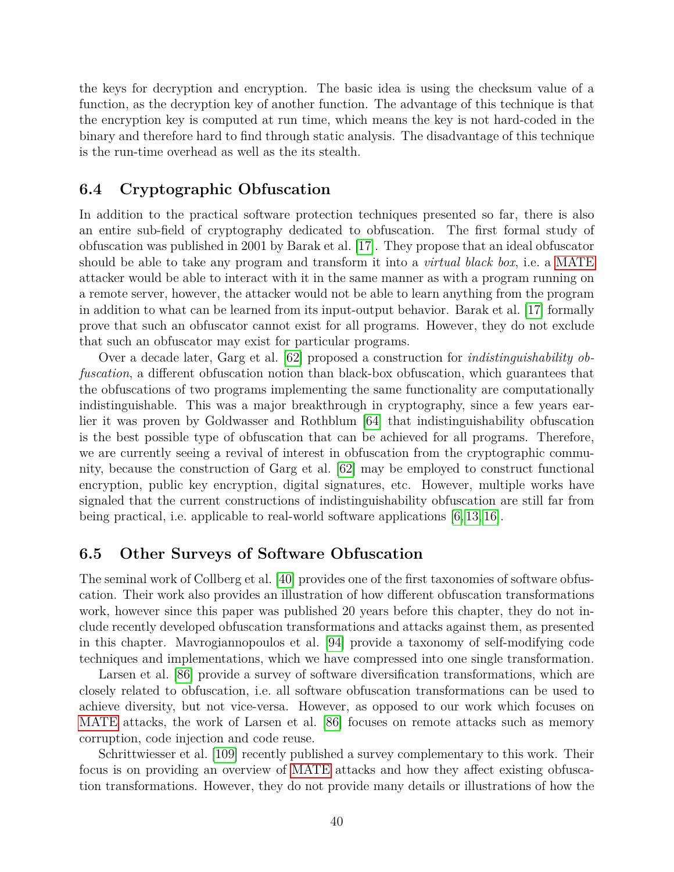the keys for decryption and encryption. The basic idea is using the checksum value of a function, as the decryption key of another function. The advantage of this technique is that the encryption key is computed at run time, which means the key is not hard-coded in the binary and therefore hard to find through static analysis. The disadvantage of this technique is the run-time overhead as well as the its stealth.

#### **6.4 Cryptographic Obfuscation**

In addition to the practical software protection techniques presented so far, there is also an entire sub-field of cryptography dedicated to obfuscation. The first formal study of obfuscation was published in 2001 by Barak et al. [\[17\]](#page-42-8). They propose that an ideal obfuscator should be able to take any program and transform it into a *virtual black box*, i.e. a [MATE](#page-0-0) attacker would be able to interact with it in the same manner as with a program running on a remote server, however, the attacker would not be able to learn anything from the program in addition to what can be learned from its input-output behavior. Barak et al. [\[17\]](#page-42-8) formally prove that such an obfuscator cannot exist for all programs. However, they do not exclude that such an obfuscator may exist for particular programs.

Over a decade later, Garg et al. [\[62\]](#page-46-9) proposed a construction for *indistinguishability obfuscation*, a different obfuscation notion than black-box obfuscation, which guarantees that the obfuscations of two programs implementing the same functionality are computationally indistinguishable. This was a major breakthrough in cryptography, since a few years earlier it was proven by Goldwasser and Rothblum [\[64\]](#page-46-13) that indistinguishability obfuscation is the best possible type of obfuscation that can be achieved for all programs. Therefore, we are currently seeing a revival of interest in obfuscation from the cryptographic community, because the construction of Garg et al. [\[62\]](#page-46-9) may be employed to construct functional encryption, public key encryption, digital signatures, etc. However, multiple works have signaled that the current constructions of indistinguishability obfuscation are still far from being practical, i.e. applicable to real-world software applications  $[6, 13, 16]$  $[6, 13, 16]$  $[6, 13, 16]$ .

#### **6.5 Other Surveys of Software Obfuscation**

The seminal work of Collberg et al. [\[40\]](#page-44-0) provides one of the first taxonomies of software obfuscation. Their work also provides an illustration of how different obfuscation transformations work, however since this paper was published 20 years before this chapter, they do not include recently developed obfuscation transformations and attacks against them, as presented in this chapter. Mavrogiannopoulos et al. [\[94\]](#page-48-2) provide a taxonomy of self-modifying code techniques and implementations, which we have compressed into one single transformation.

Larsen et al. [\[86\]](#page-48-1) provide a survey of software diversification transformations, which are closely related to obfuscation, i.e. all software obfuscation transformations can be used to achieve diversity, but not vice-versa. However, as opposed to our work which focuses on [MATE](#page-0-0) attacks, the work of Larsen et al. [\[86\]](#page-48-1) focuses on remote attacks such as memory corruption, code injection and code reuse.

Schrittwiesser et al. [\[109\]](#page-49-0) recently published a survey complementary to this work. Their focus is on providing an overview of [MATE](#page-0-0) attacks and how they affect existing obfuscation transformations. However, they do not provide many details or illustrations of how the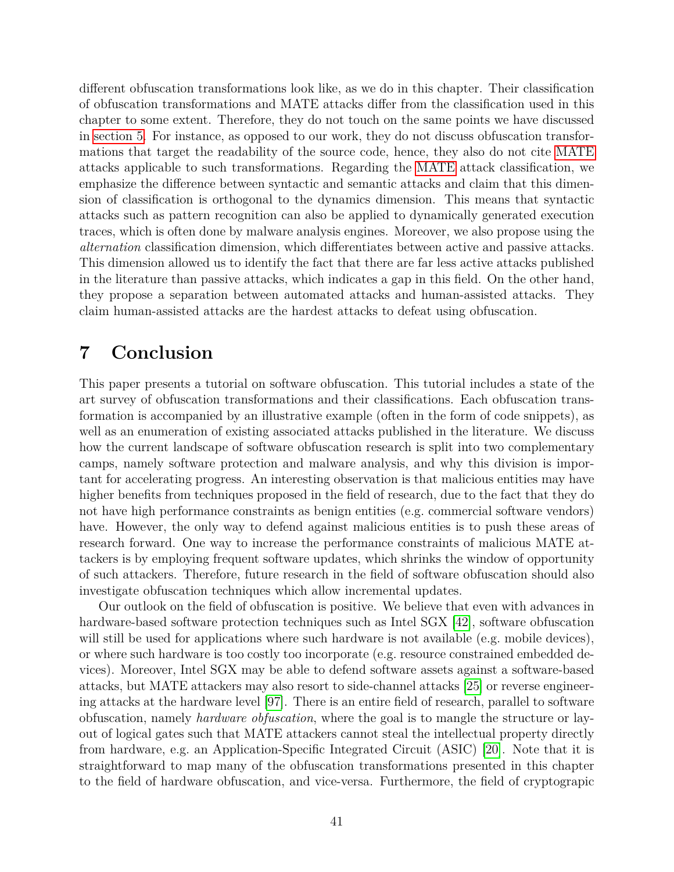different obfuscation transformations look like, as we do in this chapter. Their classification of obfuscation transformations and MATE attacks differ from the classification used in this chapter to some extent. Therefore, they do not touch on the same points we have discussed in [section 5.](#page-32-0) For instance, as opposed to our work, they do not discuss obfuscation transformations that target the readability of the source code, hence, they also do not cite [MATE](#page-0-0) attacks applicable to such transformations. Regarding the [MATE](#page-0-0) attack classification, we emphasize the difference between syntactic and semantic attacks and claim that this dimension of classification is orthogonal to the dynamics dimension. This means that syntactic attacks such as pattern recognition can also be applied to dynamically generated execution traces, which is often done by malware analysis engines. Moreover, we also propose using the *alternation* classification dimension, which differentiates between active and passive attacks. This dimension allowed us to identify the fact that there are far less active attacks published in the literature than passive attacks, which indicates a gap in this field. On the other hand, they propose a separation between automated attacks and human-assisted attacks. They claim human-assisted attacks are the hardest attacks to defeat using obfuscation.

### <span id="page-40-0"></span>**7 Conclusion**

This paper presents a tutorial on software obfuscation. This tutorial includes a state of the art survey of obfuscation transformations and their classifications. Each obfuscation transformation is accompanied by an illustrative example (often in the form of code snippets), as well as an enumeration of existing associated attacks published in the literature. We discuss how the current landscape of software obfuscation research is split into two complementary camps, namely software protection and malware analysis, and why this division is important for accelerating progress. An interesting observation is that malicious entities may have higher benefits from techniques proposed in the field of research, due to the fact that they do not have high performance constraints as benign entities (e.g. commercial software vendors) have. However, the only way to defend against malicious entities is to push these areas of research forward. One way to increase the performance constraints of malicious MATE attackers is by employing frequent software updates, which shrinks the window of opportunity of such attackers. Therefore, future research in the field of software obfuscation should also investigate obfuscation techniques which allow incremental updates.

Our outlook on the field of obfuscation is positive. We believe that even with advances in hardware-based software protection techniques such as Intel SGX [\[42\]](#page-44-13), software obfuscation will still be used for applications where such hardware is not available (e.g. mobile devices), or where such hardware is too costly too incorporate (e.g. resource constrained embedded devices). Moreover, Intel SGX may be able to defend software assets against a software-based attacks, but MATE attackers may also resort to side-channel attacks [\[25\]](#page-43-10) or reverse engineering attacks at the hardware level [\[97\]](#page-48-12). There is an entire field of research, parallel to software obfuscation, namely *hardware obfuscation*, where the goal is to mangle the structure or layout of logical gates such that MATE attackers cannot steal the intellectual property directly from hardware, e.g. an Application-Specific Integrated Circuit (ASIC) [\[20\]](#page-43-11). Note that it is straightforward to map many of the obfuscation transformations presented in this chapter to the field of hardware obfuscation, and vice-versa. Furthermore, the field of cryptograpic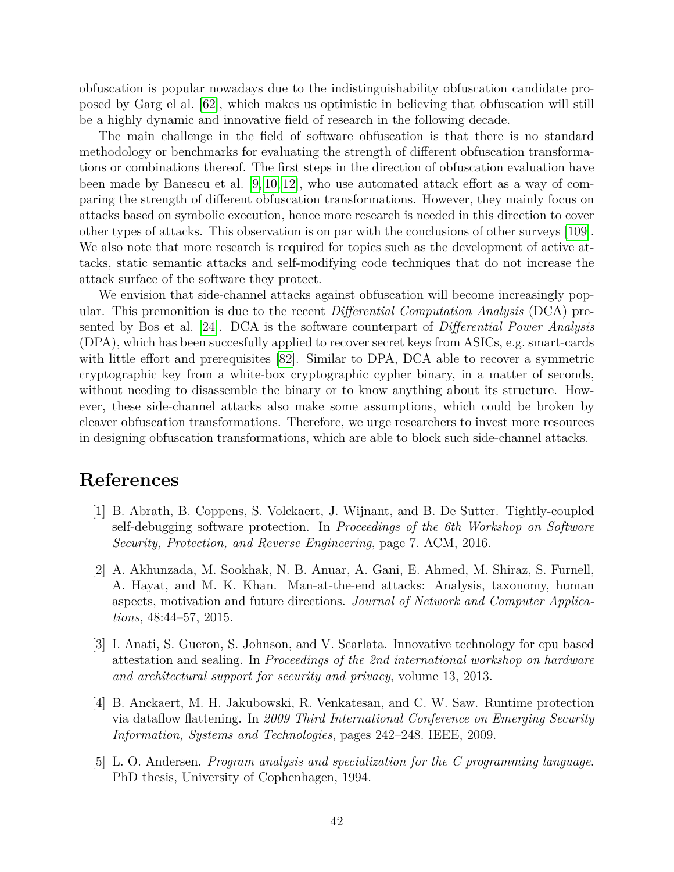obfuscation is popular nowadays due to the indistinguishability obfuscation candidate proposed by Garg el al. [\[62\]](#page-46-9), which makes us optimistic in believing that obfuscation will still be a highly dynamic and innovative field of research in the following decade.

The main challenge in the field of software obfuscation is that there is no standard methodology or benchmarks for evaluating the strength of different obfuscation transformations or combinations thereof. The first steps in the direction of obfuscation evaluation have been made by Banescu et al. [\[9,](#page-42-2) [10,](#page-42-12) [12\]](#page-42-3), who use automated attack effort as a way of comparing the strength of different obfuscation transformations. However, they mainly focus on attacks based on symbolic execution, hence more research is needed in this direction to cover other types of attacks. This observation is on par with the conclusions of other surveys [\[109\]](#page-49-0). We also note that more research is required for topics such as the development of active attacks, static semantic attacks and self-modifying code techniques that do not increase the attack surface of the software they protect.

We envision that side-channel attacks against obfuscation will become increasingly popular. This premonition is due to the recent *Differential Computation Analysis* (DCA) presented by Bos et al. [\[24\]](#page-43-12). DCA is the software counterpart of *Differential Power Analysis* (DPA), which has been succesfully applied to recover secret keys from ASICs, e.g. smart-cards with little effort and prerequisites [\[82\]](#page-47-12). Similar to DPA, DCA able to recover a symmetric cryptographic key from a white-box cryptographic cypher binary, in a matter of seconds, without needing to disassemble the binary or to know anything about its structure. However, these side-channel attacks also make some assumptions, which could be broken by cleaver obfuscation transformations. Therefore, we urge researchers to invest more resources in designing obfuscation transformations, which are able to block such side-channel attacks.

### **References**

- <span id="page-41-3"></span>[1] B. Abrath, B. Coppens, S. Volckaert, J. Wijnant, and B. De Sutter. Tightly-coupled self-debugging software protection. In *Proceedings of the 6th Workshop on Software Security, Protection, and Reverse Engineering*, page 7. ACM, 2016.
- <span id="page-41-0"></span>[2] A. Akhunzada, M. Sookhak, N. B. Anuar, A. Gani, E. Ahmed, M. Shiraz, S. Furnell, A. Hayat, and M. K. Khan. Man-at-the-end attacks: Analysis, taxonomy, human aspects, motivation and future directions. *Journal of Network and Computer Applications*, 48:44–57, 2015.
- <span id="page-41-4"></span>[3] I. Anati, S. Gueron, S. Johnson, and V. Scarlata. Innovative technology for cpu based attestation and sealing. In *Proceedings of the 2nd international workshop on hardware and architectural support for security and privacy*, volume 13, 2013.
- <span id="page-41-1"></span>[4] B. Anckaert, M. H. Jakubowski, R. Venkatesan, and C. W. Saw. Runtime protection via dataflow flattening. In *2009 Third International Conference on Emerging Security Information, Systems and Technologies*, pages 242–248. IEEE, 2009.
- <span id="page-41-2"></span>[5] L. O. Andersen. *Program analysis and specialization for the C programming language*. PhD thesis, University of Cophenhagen, 1994.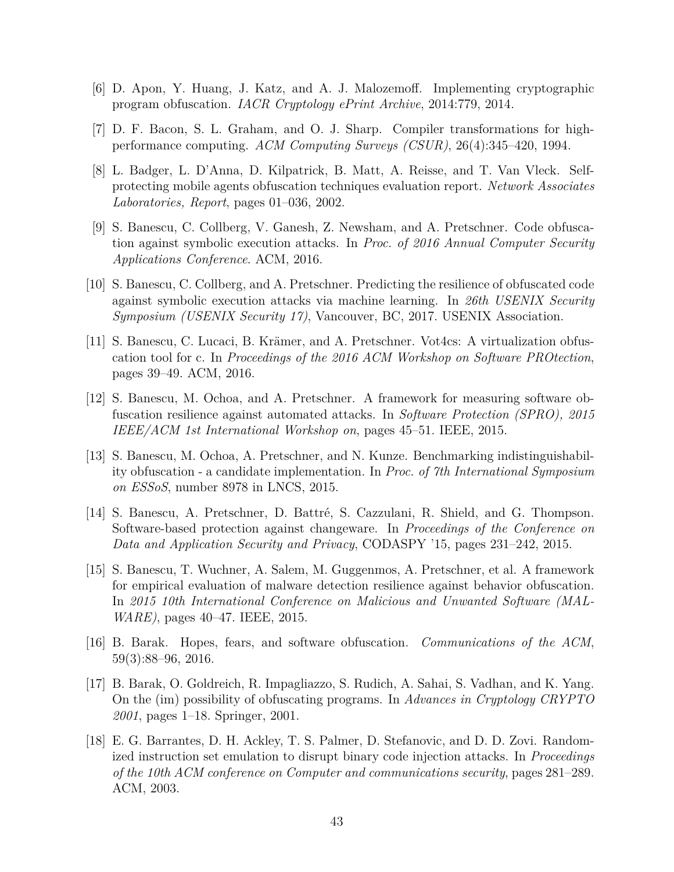- <span id="page-42-9"></span>[6] D. Apon, Y. Huang, J. Katz, and A. J. Malozemoff. Implementing cryptographic program obfuscation. *IACR Cryptology ePrint Archive*, 2014:779, 2014.
- <span id="page-42-4"></span>[7] D. F. Bacon, S. L. Graham, and O. J. Sharp. Compiler transformations for highperformance computing. *ACM Computing Surveys (CSUR)*, 26(4):345–420, 1994.
- <span id="page-42-0"></span>[8] L. Badger, L. D'Anna, D. Kilpatrick, B. Matt, A. Reisse, and T. Van Vleck. Selfprotecting mobile agents obfuscation techniques evaluation report. *Network Associates Laboratories, Report*, pages 01–036, 2002.
- <span id="page-42-2"></span>[9] S. Banescu, C. Collberg, V. Ganesh, Z. Newsham, and A. Pretschner. Code obfuscation against symbolic execution attacks. In *Proc. of 2016 Annual Computer Security Applications Conference*. ACM, 2016.
- <span id="page-42-12"></span>[10] S. Banescu, C. Collberg, and A. Pretschner. Predicting the resilience of obfuscated code against symbolic execution attacks via machine learning. In *26th USENIX Security Symposium (USENIX Security 17)*, Vancouver, BC, 2017. USENIX Association.
- <span id="page-42-7"></span>[11] S. Banescu, C. Lucaci, B. Krämer, and A. Pretschner. Vot4cs: A virtualization obfuscation tool for c. In *Proceedings of the 2016 ACM Workshop on Software PROtection*, pages 39–49. ACM, 2016.
- <span id="page-42-3"></span>[12] S. Banescu, M. Ochoa, and A. Pretschner. A framework for measuring software obfuscation resilience against automated attacks. In *Software Protection (SPRO), 2015 IEEE/ACM 1st International Workshop on*, pages 45–51. IEEE, 2015.
- <span id="page-42-10"></span>[13] S. Banescu, M. Ochoa, A. Pretschner, and N. Kunze. Benchmarking indistinguishability obfuscation - a candidate implementation. In *Proc. of 7th International Symposium on ESSoS*, number 8978 in LNCS, 2015.
- <span id="page-42-5"></span>[14] S. Banescu, A. Pretschner, D. Battré, S. Cazzulani, R. Shield, and G. Thompson. Software-based protection against changeware. In *Proceedings of the Conference on Data and Application Security and Privacy*, CODASPY '15, pages 231–242, 2015.
- <span id="page-42-1"></span>[15] S. Banescu, T. Wuchner, A. Salem, M. Guggenmos, A. Pretschner, et al. A framework for empirical evaluation of malware detection resilience against behavior obfuscation. In *2015 10th International Conference on Malicious and Unwanted Software (MAL-WARE)*, pages 40–47. IEEE, 2015.
- <span id="page-42-11"></span>[16] B. Barak. Hopes, fears, and software obfuscation. *Communications of the ACM*, 59(3):88–96, 2016.
- <span id="page-42-8"></span>[17] B. Barak, O. Goldreich, R. Impagliazzo, S. Rudich, A. Sahai, S. Vadhan, and K. Yang. On the (im) possibility of obfuscating programs. In *Advances in Cryptology CRYPTO 2001*, pages 1–18. Springer, 2001.
- <span id="page-42-6"></span>[18] E. G. Barrantes, D. H. Ackley, T. S. Palmer, D. Stefanovic, and D. D. Zovi. Randomized instruction set emulation to disrupt binary code injection attacks. In *Proceedings of the 10th ACM conference on Computer and communications security*, pages 281–289. ACM, 2003.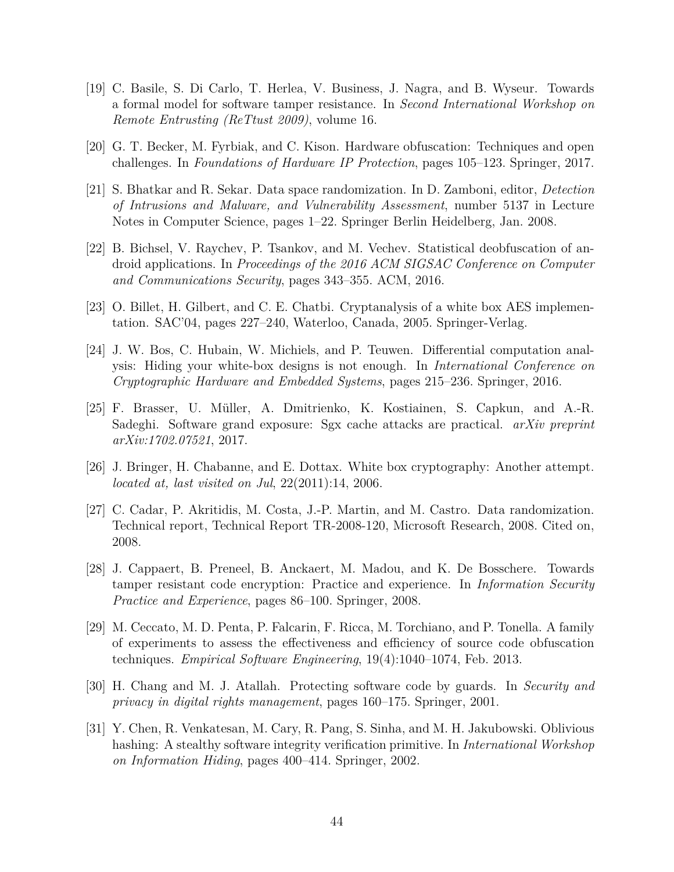- <span id="page-43-0"></span>[19] C. Basile, S. Di Carlo, T. Herlea, V. Business, J. Nagra, and B. Wyseur. Towards a formal model for software tamper resistance. In *Second International Workshop on Remote Entrusting (ReTtust 2009)*, volume 16.
- <span id="page-43-11"></span>[20] G. T. Becker, M. Fyrbiak, and C. Kison. Hardware obfuscation: Techniques and open challenges. In *Foundations of Hardware IP Protection*, pages 105–123. Springer, 2017.
- <span id="page-43-4"></span>[21] S. Bhatkar and R. Sekar. Data space randomization. In D. Zamboni, editor, *Detection of Intrusions and Malware, and Vulnerability Assessment*, number 5137 in Lecture Notes in Computer Science, pages 1–22. Springer Berlin Heidelberg, Jan. 2008.
- <span id="page-43-6"></span>[22] B. Bichsel, V. Raychev, P. Tsankov, and M. Vechev. Statistical deobfuscation of android applications. In *Proceedings of the 2016 ACM SIGSAC Conference on Computer and Communications Security*, pages 343–355. ACM, 2016.
- <span id="page-43-2"></span>[23] O. Billet, H. Gilbert, and C. E. Chatbi. Cryptanalysis of a white box AES implementation. SAC'04, pages 227–240, Waterloo, Canada, 2005. Springer-Verlag.
- <span id="page-43-12"></span>[24] J. W. Bos, C. Hubain, W. Michiels, and P. Teuwen. Differential computation analysis: Hiding your white-box designs is not enough. In *International Conference on Cryptographic Hardware and Embedded Systems*, pages 215–236. Springer, 2016.
- <span id="page-43-10"></span>[25] F. Brasser, U. M¨uller, A. Dmitrienko, K. Kostiainen, S. Capkun, and A.-R. Sadeghi. Software grand exposure: Sgx cache attacks are practical. *arXiv preprint arXiv:1702.07521*, 2017.
- <span id="page-43-1"></span>[26] J. Bringer, H. Chabanne, and E. Dottax. White box cryptography: Another attempt. *located at, last visited on Jul*, 22(2011):14, 2006.
- <span id="page-43-3"></span>[27] C. Cadar, P. Akritidis, M. Costa, J.-P. Martin, and M. Castro. Data randomization. Technical report, Technical Report TR-2008-120, Microsoft Research, 2008. Cited on, 2008.
- <span id="page-43-5"></span>[28] J. Cappaert, B. Preneel, B. Anckaert, M. Madou, and K. De Bosschere. Towards tamper resistant code encryption: Practice and experience. In *Information Security Practice and Experience*, pages 86–100. Springer, 2008.
- <span id="page-43-7"></span>[29] M. Ceccato, M. D. Penta, P. Falcarin, F. Ricca, M. Torchiano, and P. Tonella. A family of experiments to assess the effectiveness and efficiency of source code obfuscation techniques. *Empirical Software Engineering*, 19(4):1040–1074, Feb. 2013.
- <span id="page-43-8"></span>[30] H. Chang and M. J. Atallah. Protecting software code by guards. In *Security and privacy in digital rights management*, pages 160–175. Springer, 2001.
- <span id="page-43-9"></span>[31] Y. Chen, R. Venkatesan, M. Cary, R. Pang, S. Sinha, and M. H. Jakubowski. Oblivious hashing: A stealthy software integrity verification primitive. In *International Workshop on Information Hiding*, pages 400–414. Springer, 2002.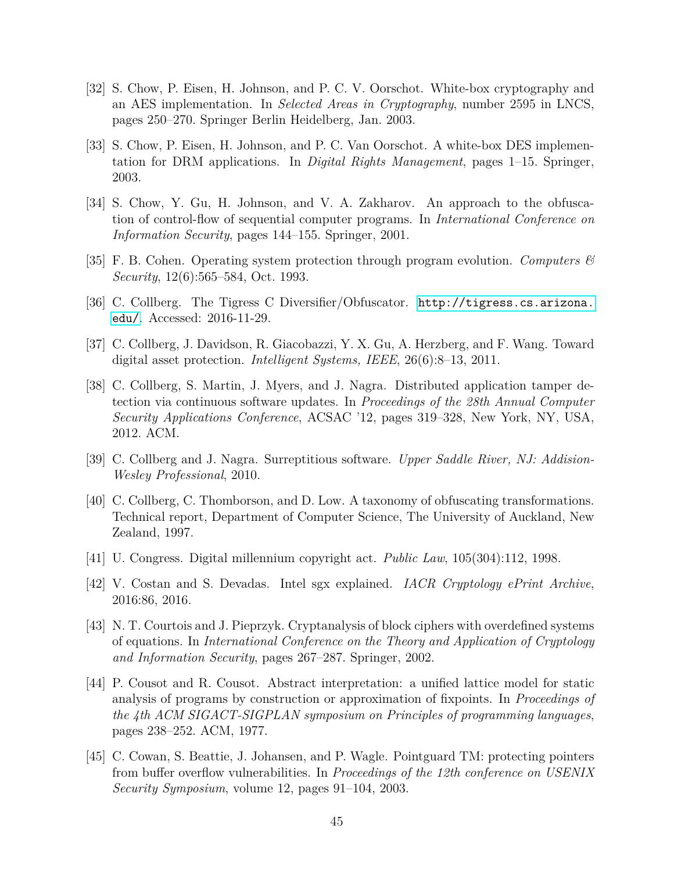- <span id="page-44-7"></span>[32] S. Chow, P. Eisen, H. Johnson, and P. C. V. Oorschot. White-box cryptography and an AES implementation. In *Selected Areas in Cryptography*, number 2595 in LNCS, pages 250–270. Springer Berlin Heidelberg, Jan. 2003.
- <span id="page-44-8"></span>[33] S. Chow, P. Eisen, H. Johnson, and P. C. Van Oorschot. A white-box DES implementation for DRM applications. In *Digital Rights Management*, pages 1–15. Springer, 2003.
- <span id="page-44-11"></span>[34] S. Chow, Y. Gu, H. Johnson, and V. A. Zakharov. An approach to the obfuscation of control-flow of sequential computer programs. In *International Conference on Information Security*, pages 144–155. Springer, 2001.
- <span id="page-44-2"></span>[35] F. B. Cohen. Operating system protection through program evolution. *Computers & Security*, 12(6):565–584, Oct. 1993.
- <span id="page-44-5"></span>[36] C. Collberg. The Tigress C Diversifier/Obfuscator. [http://tigress.cs.arizona.](http://tigress.cs.arizona.edu/) [edu/](http://tigress.cs.arizona.edu/). Accessed: 2016-11-29.
- <span id="page-44-1"></span>[37] C. Collberg, J. Davidson, R. Giacobazzi, Y. X. Gu, A. Herzberg, and F. Wang. Toward digital asset protection. *Intelligent Systems, IEEE*, 26(6):8–13, 2011.
- <span id="page-44-12"></span>[38] C. Collberg, S. Martin, J. Myers, and J. Nagra. Distributed application tamper detection via continuous software updates. In *Proceedings of the 28th Annual Computer Security Applications Conference*, ACSAC '12, pages 319–328, New York, NY, USA, 2012. ACM.
- <span id="page-44-4"></span>[39] C. Collberg and J. Nagra. Surreptitious software. *Upper Saddle River, NJ: Addision-Wesley Professional*, 2010.
- <span id="page-44-0"></span>[40] C. Collberg, C. Thomborson, and D. Low. A taxonomy of obfuscating transformations. Technical report, Department of Computer Science, The University of Auckland, New Zealand, 1997.
- <span id="page-44-3"></span>[41] U. Congress. Digital millennium copyright act. *Public Law*, 105(304):112, 1998.
- <span id="page-44-13"></span>[42] V. Costan and S. Devadas. Intel sgx explained. *IACR Cryptology ePrint Archive*, 2016:86, 2016.
- <span id="page-44-9"></span>[43] N. T. Courtois and J. Pieprzyk. Cryptanalysis of block ciphers with overdefined systems of equations. In *International Conference on the Theory and Application of Cryptology and Information Security*, pages 267–287. Springer, 2002.
- <span id="page-44-6"></span>[44] P. Cousot and R. Cousot. Abstract interpretation: a unified lattice model for static analysis of programs by construction or approximation of fixpoints. In *Proceedings of the 4th ACM SIGACT-SIGPLAN symposium on Principles of programming languages*, pages 238–252. ACM, 1977.
- <span id="page-44-10"></span>[45] C. Cowan, S. Beattie, J. Johansen, and P. Wagle. Pointguard TM: protecting pointers from buffer overflow vulnerabilities. In *Proceedings of the 12th conference on USENIX Security Symposium*, volume 12, pages 91–104, 2003.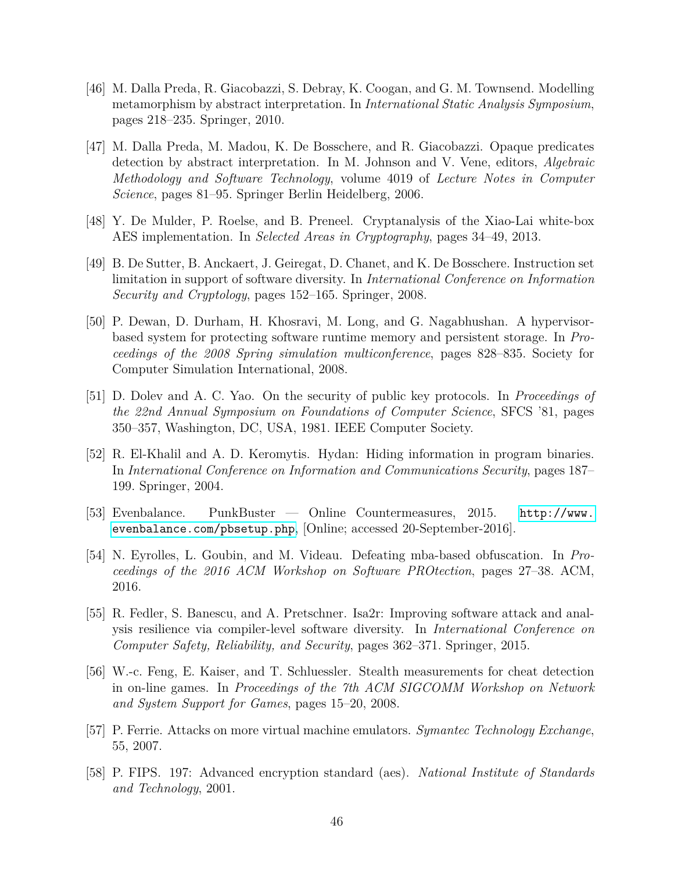- <span id="page-45-8"></span>[46] M. Dalla Preda, R. Giacobazzi, S. Debray, K. Coogan, and G. M. Townsend. Modelling metamorphism by abstract interpretation. In *International Static Analysis Symposium*, pages 218–235. Springer, 2010.
- <span id="page-45-1"></span>[47] M. Dalla Preda, M. Madou, K. De Bosschere, and R. Giacobazzi. Opaque predicates detection by abstract interpretation. In M. Johnson and V. Vene, editors, *Algebraic Methodology and Software Technology*, volume 4019 of *Lecture Notes in Computer Science*, pages 81–95. Springer Berlin Heidelberg, 2006.
- <span id="page-45-3"></span>[48] Y. De Mulder, P. Roelse, and B. Preneel. Cryptanalysis of the Xiao-Lai white-box AES implementation. In *Selected Areas in Cryptography*, pages 34–49, 2013.
- <span id="page-45-6"></span>[49] B. De Sutter, B. Anckaert, J. Geiregat, D. Chanet, and K. De Bosschere. Instruction set limitation in support of software diversity. In *International Conference on Information Security and Cryptology*, pages 152–165. Springer, 2008.
- <span id="page-45-10"></span>[50] P. Dewan, D. Durham, H. Khosravi, M. Long, and G. Nagabhushan. A hypervisorbased system for protecting software runtime memory and persistent storage. In *Proceedings of the 2008 Spring simulation multiconference*, pages 828–835. Society for Computer Simulation International, 2008.
- <span id="page-45-0"></span>[51] D. Dolev and A. C. Yao. On the security of public key protocols. In *Proceedings of the 22nd Annual Symposium on Foundations of Computer Science*, SFCS '81, pages 350–357, Washington, DC, USA, 1981. IEEE Computer Society.
- <span id="page-45-5"></span>[52] R. El-Khalil and A. D. Keromytis. Hydan: Hiding information in program binaries. In *International Conference on Information and Communications Security*, pages 187– 199. Springer, 2004.
- <span id="page-45-12"></span>[53] Evenbalance. PunkBuster — Online Countermeasures, 2015. [http://www.](http://www.evenbalance.com/pbsetup.php) [evenbalance.com/pbsetup.php](http://www.evenbalance.com/pbsetup.php), [Online; accessed 20-September-2016].
- <span id="page-45-7"></span>[54] N. Eyrolles, L. Goubin, and M. Videau. Defeating mba-based obfuscation. In *Proceedings of the 2016 ACM Workshop on Software PROtection*, pages 27–38. ACM, 2016.
- <span id="page-45-4"></span>[55] R. Fedler, S. Banescu, and A. Pretschner. Isa2r: Improving software attack and analysis resilience via compiler-level software diversity. In *International Conference on Computer Safety, Reliability, and Security*, pages 362–371. Springer, 2015.
- <span id="page-45-11"></span>[56] W.-c. Feng, E. Kaiser, and T. Schluessler. Stealth measurements for cheat detection in on-line games. In *Proceedings of the 7th ACM SIGCOMM Workshop on Network and System Support for Games*, pages 15–20, 2008.
- <span id="page-45-9"></span>[57] P. Ferrie. Attacks on more virtual machine emulators. *Symantec Technology Exchange*, 55, 2007.
- <span id="page-45-2"></span>[58] P. FIPS. 197: Advanced encryption standard (aes). *National Institute of Standards and Technology*, 2001.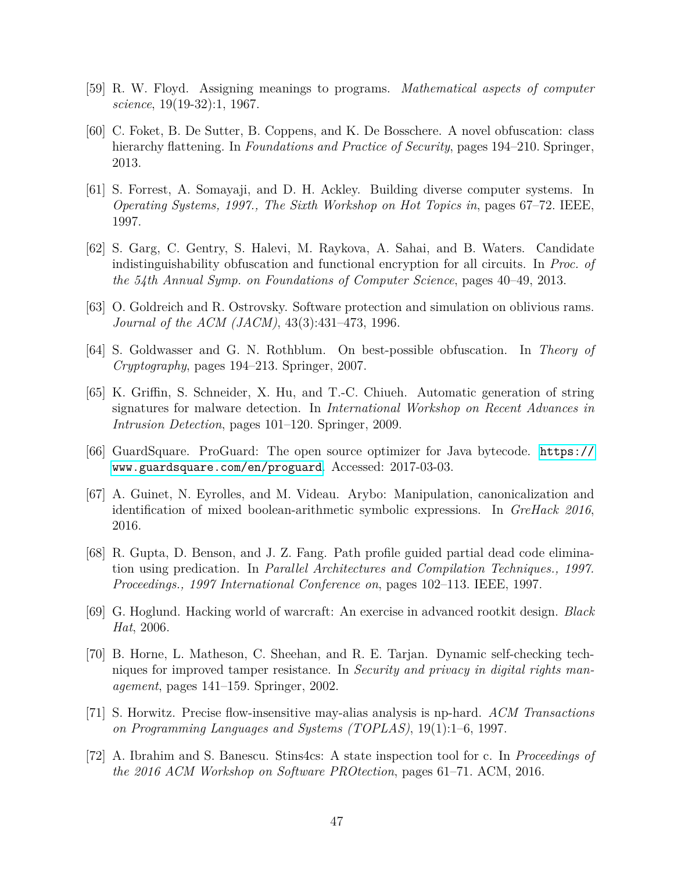- <span id="page-46-0"></span>[59] R. W. Floyd. Assigning meanings to programs. *Mathematical aspects of computer science*, 19(19-32):1, 1967.
- <span id="page-46-8"></span>[60] C. Foket, B. De Sutter, B. Coppens, and K. De Bosschere. A novel obfuscation: class hierarchy flattening. In *Foundations and Practice of Security*, pages 194–210. Springer, 2013.
- <span id="page-46-5"></span>[61] S. Forrest, A. Somayaji, and D. H. Ackley. Building diverse computer systems. In *Operating Systems, 1997., The Sixth Workshop on Hot Topics in*, pages 67–72. IEEE, 1997.
- <span id="page-46-9"></span>[62] S. Garg, C. Gentry, S. Halevi, M. Raykova, A. Sahai, and B. Waters. Candidate indistinguishability obfuscation and functional encryption for all circuits. In *Proc. of the 54th Annual Symp. on Foundations of Computer Science*, pages 40–49, 2013.
- <span id="page-46-4"></span>[63] O. Goldreich and R. Ostrovsky. Software protection and simulation on oblivious rams. *Journal of the ACM (JACM)*, 43(3):431–473, 1996.
- <span id="page-46-13"></span>[64] S. Goldwasser and G. N. Rothblum. On best-possible obfuscation. In *Theory of Cryptography*, pages 194–213. Springer, 2007.
- <span id="page-46-3"></span>[65] K. Griffin, S. Schneider, X. Hu, and T.-C. Chiueh. Automatic generation of string signatures for malware detection. In *International Workshop on Recent Advances in Intrusion Detection*, pages 101–120. Springer, 2009.
- <span id="page-46-7"></span>[66] GuardSquare. ProGuard: The open source optimizer for Java bytecode. [https://](https://www.guardsquare.com/en/proguard) [www.guardsquare.com/en/proguard](https://www.guardsquare.com/en/proguard). Accessed: 2017-03-03.
- <span id="page-46-2"></span>[67] A. Guinet, N. Eyrolles, and M. Videau. Arybo: Manipulation, canonicalization and identification of mixed boolean-arithmetic symbolic expressions. In *GreHack 2016*, 2016.
- <span id="page-46-6"></span>[68] R. Gupta, D. Benson, and J. Z. Fang. Path profile guided partial dead code elimination using predication. In *Parallel Architectures and Compilation Techniques., 1997. Proceedings., 1997 International Conference on*, pages 102–113. IEEE, 1997.
- <span id="page-46-10"></span>[69] G. Hoglund. Hacking world of warcraft: An exercise in advanced rootkit design. *Black Hat*, 2006.
- <span id="page-46-11"></span>[70] B. Horne, L. Matheson, C. Sheehan, and R. E. Tarjan. Dynamic self-checking techniques for improved tamper resistance. In *Security and privacy in digital rights management*, pages 141–159. Springer, 2002.
- <span id="page-46-1"></span>[71] S. Horwitz. Precise flow-insensitive may-alias analysis is np-hard. *ACM Transactions on Programming Languages and Systems (TOPLAS)*, 19(1):1–6, 1997.
- <span id="page-46-12"></span>[72] A. Ibrahim and S. Banescu. Stins4cs: A state inspection tool for c. In *Proceedings of the 2016 ACM Workshop on Software PROtection*, pages 61–71. ACM, 2016.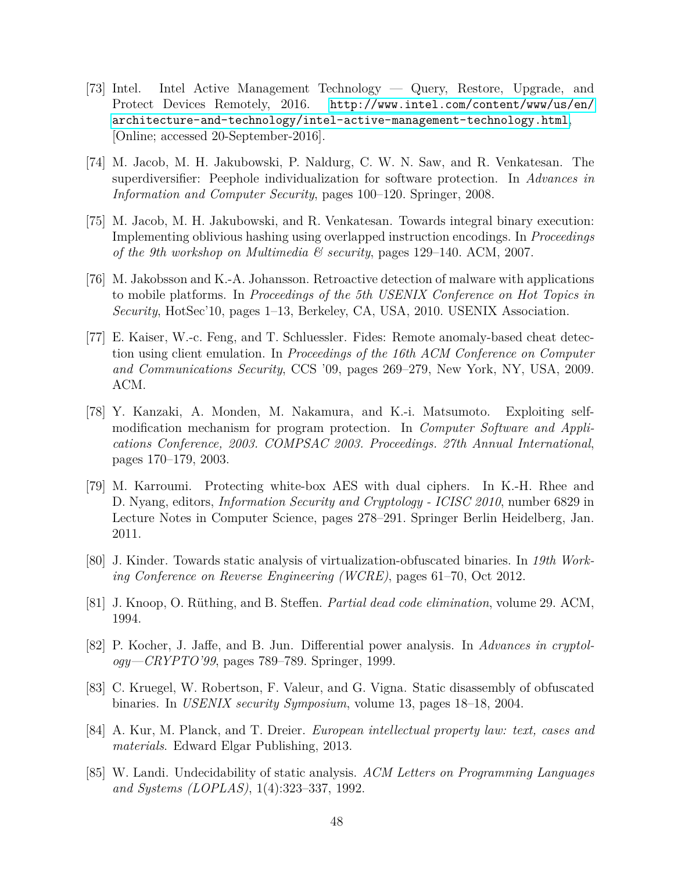- <span id="page-47-8"></span>[73] Intel. Intel Active Management Technology — Query, Restore, Upgrade, and Protect Devices Remotely, 2016. [http://www.intel.com/content/www/us/en/](http://www.intel.com/content/www/us/en/architecture-and-technology/intel-active-management-technology.html) [architecture-and-technology/intel-active-management-technology.html](http://www.intel.com/content/www/us/en/architecture-and-technology/intel-active-management-technology.html), [Online; accessed 20-September-2016].
- <span id="page-47-3"></span>[74] M. Jacob, M. H. Jakubowski, P. Naldurg, C. W. N. Saw, and R. Venkatesan. The superdiversifier: Peephole individualization for software protection. In *Advances in Information and Computer Security*, pages 100–120. Springer, 2008.
- <span id="page-47-11"></span>[75] M. Jacob, M. H. Jakubowski, and R. Venkatesan. Towards integral binary execution: Implementing oblivious hashing using overlapped instruction encodings. In *Proceedings of the 9th workshop on Multimedia & security*, pages 129–140. ACM, 2007.
- <span id="page-47-10"></span>[76] M. Jakobsson and K.-A. Johansson. Retroactive detection of malware with applications to mobile platforms. In *Proceedings of the 5th USENIX Conference on Hot Topics in Security*, HotSec'10, pages 1–13, Berkeley, CA, USA, 2010. USENIX Association.
- <span id="page-47-9"></span>[77] E. Kaiser, W.-c. Feng, and T. Schluessler. Fides: Remote anomaly-based cheat detection using client emulation. In *Proceedings of the 16th ACM Conference on Computer and Communications Security*, CCS '09, pages 269–279, New York, NY, USA, 2009. ACM.
- <span id="page-47-5"></span>[78] Y. Kanzaki, A. Monden, M. Nakamura, and K.-i. Matsumoto. Exploiting selfmodification mechanism for program protection. In *Computer Software and Applications Conference, 2003. COMPSAC 2003. Proceedings. 27th Annual International*, pages 170–179, 2003.
- <span id="page-47-2"></span>[79] M. Karroumi. Protecting white-box AES with dual ciphers. In K.-H. Rhee and D. Nyang, editors, *Information Security and Cryptology - ICISC 2010*, number 6829 in Lecture Notes in Computer Science, pages 278–291. Springer Berlin Heidelberg, Jan. 2011.
- <span id="page-47-6"></span>[80] J. Kinder. Towards static analysis of virtualization-obfuscated binaries. In *19th Working Conference on Reverse Engineering (WCRE)*, pages 61–70, Oct 2012.
- <span id="page-47-4"></span>[81] J. Knoop, O. Rüthing, and B. Steffen. *Partial dead code elimination*, volume 29. ACM, 1994.
- <span id="page-47-12"></span>[82] P. Kocher, J. Jaffe, and B. Jun. Differential power analysis. In *Advances in cryptology—CRYPTO'99*, pages 789–789. Springer, 1999.
- <span id="page-47-7"></span>[83] C. Kruegel, W. Robertson, F. Valeur, and G. Vigna. Static disassembly of obfuscated binaries. In *USENIX security Symposium*, volume 13, pages 18–18, 2004.
- <span id="page-47-0"></span>[84] A. Kur, M. Planck, and T. Dreier. *European intellectual property law: text, cases and materials*. Edward Elgar Publishing, 2013.
- <span id="page-47-1"></span>[85] W. Landi. Undecidability of static analysis. *ACM Letters on Programming Languages and Systems (LOPLAS)*, 1(4):323–337, 1992.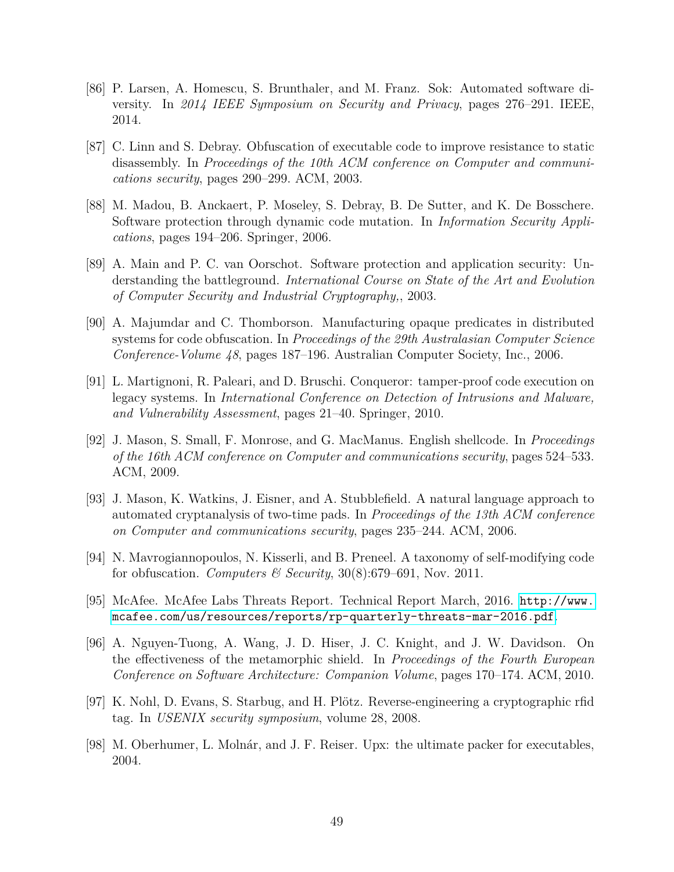- <span id="page-48-1"></span>[86] P. Larsen, A. Homescu, S. Brunthaler, and M. Franz. Sok: Automated software diversity. In *2014 IEEE Symposium on Security and Privacy*, pages 276–291. IEEE, 2014.
- <span id="page-48-9"></span>[87] C. Linn and S. Debray. Obfuscation of executable code to improve resistance to static disassembly. In *Proceedings of the 10th ACM conference on Computer and communications security*, pages 290–299. ACM, 2003.
- <span id="page-48-6"></span>[88] M. Madou, B. Anckaert, P. Moseley, S. Debray, B. De Sutter, and K. De Bosschere. Software protection through dynamic code mutation. In *Information Security Applications*, pages 194–206. Springer, 2006.
- <span id="page-48-0"></span>[89] A. Main and P. C. van Oorschot. Software protection and application security: Understanding the battleground. *International Course on State of the Art and Evolution of Computer Security and Industrial Cryptography,*, 2003.
- <span id="page-48-3"></span>[90] A. Majumdar and C. Thomborson. Manufacturing opaque predicates in distributed systems for code obfuscation. In *Proceedings of the 29th Australasian Computer Science Conference-Volume 48*, pages 187–196. Australian Computer Society, Inc., 2006.
- <span id="page-48-11"></span>[91] L. Martignoni, R. Paleari, and D. Bruschi. Conqueror: tamper-proof code execution on legacy systems. In *International Conference on Detection of Intrusions and Malware, and Vulnerability Assessment*, pages 21–40. Springer, 2010.
- <span id="page-48-4"></span>[92] J. Mason, S. Small, F. Monrose, and G. MacManus. English shellcode. In *Proceedings of the 16th ACM conference on Computer and communications security*, pages 524–533. ACM, 2009.
- <span id="page-48-8"></span>[93] J. Mason, K. Watkins, J. Eisner, and A. Stubblefield. A natural language approach to automated cryptanalysis of two-time pads. In *Proceedings of the 13th ACM conference on Computer and communications security*, pages 235–244. ACM, 2006.
- <span id="page-48-2"></span>[94] N. Mavrogiannopoulos, N. Kisserli, and B. Preneel. A taxonomy of self-modifying code for obfuscation. *Computers & Security*, 30(8):679–691, Nov. 2011.
- <span id="page-48-10"></span>[95] McAfee. McAfee Labs Threats Report. Technical Report March, 2016. [http://www.](http://www.mcafee.com/us/resources/reports/rp-quarterly-threats-mar-2016.pdf) [mcafee.com/us/resources/reports/rp-quarterly-threats-mar-2016.pdf](http://www.mcafee.com/us/resources/reports/rp-quarterly-threats-mar-2016.pdf).
- <span id="page-48-7"></span>[96] A. Nguyen-Tuong, A. Wang, J. D. Hiser, J. C. Knight, and J. W. Davidson. On the effectiveness of the metamorphic shield. In *Proceedings of the Fourth European Conference on Software Architecture: Companion Volume*, pages 170–174. ACM, 2010.
- <span id="page-48-12"></span>[97] K. Nohl, D. Evans, S. Starbug, and H. Plötz. Reverse-engineering a cryptographic rfid tag. In *USENIX security symposium*, volume 28, 2008.
- <span id="page-48-5"></span>[98] M. Oberhumer, L. Molnár, and J. F. Reiser. Upx: the ultimate packer for executables, 2004.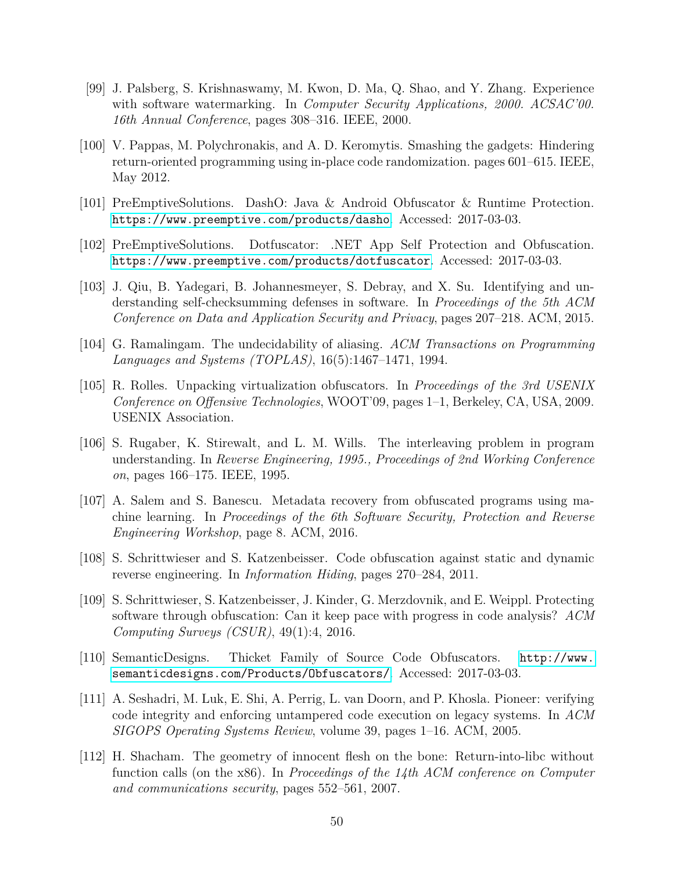- <span id="page-49-2"></span>[99] J. Palsberg, S. Krishnaswamy, M. Kwon, D. Ma, Q. Shao, and Y. Zhang. Experience with software watermarking. In *Computer Security Applications, 2000. ACSAC'00. 16th Annual Conference*, pages 308–316. IEEE, 2000.
- <span id="page-49-4"></span>[100] V. Pappas, M. Polychronakis, and A. D. Keromytis. Smashing the gadgets: Hindering return-oriented programming using in-place code randomization. pages 601–615. IEEE, May 2012.
- <span id="page-49-10"></span>[101] PreEmptiveSolutions. DashO: Java & Android Obfuscator & Runtime Protection. <https://www.preemptive.com/products/dasho>. Accessed: 2017-03-03.
- <span id="page-49-11"></span>[102] PreEmptiveSolutions. Dotfuscator: .NET App Self Protection and Obfuscation. <https://www.preemptive.com/products/dotfuscator>. Accessed: 2017-03-03.
- <span id="page-49-5"></span>[103] J. Qiu, B. Yadegari, B. Johannesmeyer, S. Debray, and X. Su. Identifying and understanding self-checksumming defenses in software. In *Proceedings of the 5th ACM Conference on Data and Application Security and Privacy*, pages 207–218. ACM, 2015.
- <span id="page-49-1"></span>[104] G. Ramalingam. The undecidability of aliasing. *ACM Transactions on Programming Languages and Systems (TOPLAS)*, 16(5):1467–1471, 1994.
- <span id="page-49-6"></span>[105] R. Rolles. Unpacking virtualization obfuscators. In *Proceedings of the 3rd USENIX Conference on Offensive Technologies*, WOOT'09, pages 1–1, Berkeley, CA, USA, 2009. USENIX Association.
- <span id="page-49-9"></span>[106] S. Rugaber, K. Stirewalt, and L. M. Wills. The interleaving problem in program understanding. In *Reverse Engineering, 1995., Proceedings of 2nd Working Conference on*, pages 166–175. IEEE, 1995.
- <span id="page-49-3"></span>[107] A. Salem and S. Banescu. Metadata recovery from obfuscated programs using machine learning. In *Proceedings of the 6th Software Security, Protection and Reverse Engineering Workshop*, page 8. ACM, 2016.
- <span id="page-49-7"></span>[108] S. Schrittwieser and S. Katzenbeisser. Code obfuscation against static and dynamic reverse engineering. In *Information Hiding*, pages 270–284, 2011.
- <span id="page-49-0"></span>[109] S. Schrittwieser, S. Katzenbeisser, J. Kinder, G. Merzdovnik, and E. Weippl. Protecting software through obfuscation: Can it keep pace with progress in code analysis? *ACM Computing Surveys (CSUR)*, 49(1):4, 2016.
- <span id="page-49-12"></span>[110] SemanticDesigns. Thicket Family of Source Code Obfuscators. [http://www.](http://www.semanticdesigns.com/Products/Obfuscators/) [semanticdesigns.com/Products/Obfuscators/](http://www.semanticdesigns.com/Products/Obfuscators/). Accessed: 2017-03-03.
- <span id="page-49-13"></span>[111] A. Seshadri, M. Luk, E. Shi, A. Perrig, L. van Doorn, and P. Khosla. Pioneer: verifying code integrity and enforcing untampered code execution on legacy systems. In *ACM SIGOPS Operating Systems Review*, volume 39, pages 1–16. ACM, 2005.
- <span id="page-49-8"></span>[112] H. Shacham. The geometry of innocent flesh on the bone: Return-into-libc without function calls (on the x86). In *Proceedings of the 14th ACM conference on Computer and communications security*, pages 552–561, 2007.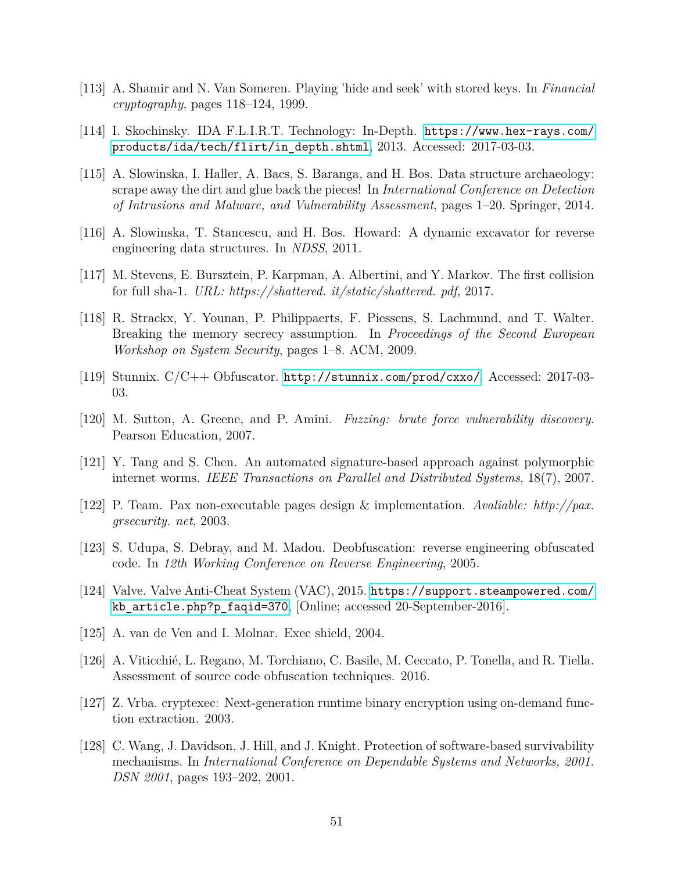- <span id="page-50-0"></span>[113] A. Shamir and N. Van Someren. Playing 'hide and seek' with stored keys. In *Financial cryptography*, pages 118–124, 1999.
- <span id="page-50-2"></span>[114] I. Skochinsky. IDA F.L.I.R.T. Technology: In-Depth. [https://www.hex-rays.com/](https://www.hex-rays.com/products/ida/tech/flirt/in_depth.shtml) [products/ida/tech/flirt/in\\_depth.shtml](https://www.hex-rays.com/products/ida/tech/flirt/in_depth.shtml), 2013. Accessed: 2017-03-03.
- <span id="page-50-6"></span>[115] A. Slowinska, I. Haller, A. Bacs, S. Baranga, and H. Bos. Data structure archaeology: scrape away the dirt and glue back the pieces! In *International Conference on Detection of Intrusions and Malware, and Vulnerability Assessment*, pages 1–20. Springer, 2014.
- <span id="page-50-8"></span>[116] A. Slowinska, T. Stancescu, and H. Bos. Howard: A dynamic excavator for reverse engineering data structures. In *NDSS*, 2011.
- <span id="page-50-5"></span>[117] M. Stevens, E. Bursztein, P. Karpman, A. Albertini, and Y. Markov. The first collision for full sha-1. *URL: https://shattered. it/static/shattered. pdf*, 2017.
- <span id="page-50-9"></span>[118] R. Strackx, Y. Younan, P. Philippaerts, F. Piessens, S. Lachmund, and T. Walter. Breaking the memory secrecy assumption. In *Proceedings of the Second European Workshop on System Security*, pages 1–8. ACM, 2009.
- <span id="page-50-13"></span>[119] Stunnix. C/C++ Obfuscator. <http://stunnix.com/prod/cxxo/>. Accessed: 2017-03- 03.
- <span id="page-50-3"></span>[120] M. Sutton, A. Greene, and P. Amini. *Fuzzing: brute force vulnerability discovery*. Pearson Education, 2007.
- <span id="page-50-11"></span>[121] Y. Tang and S. Chen. An automated signature-based approach against polymorphic internet worms. *IEEE Transactions on Parallel and Distributed Systems*, 18(7), 2007.
- <span id="page-50-1"></span>[122] P. Team. Pax non-executable pages design & implementation. *Avaliable: http://pax. grsecurity. net*, 2003.
- <span id="page-50-12"></span>[123] S. Udupa, S. Debray, and M. Madou. Deobfuscation: reverse engineering obfuscated code. In *12th Working Conference on Reverse Engineering*, 2005.
- <span id="page-50-15"></span>[124] Valve. Valve Anti-Cheat System (VAC), 2015. [https://support.steampowered.com/](https://support.steampowered.com/kb_article.php?p_faqid=370) [kb\\_article.php?p\\_faqid=370](https://support.steampowered.com/kb_article.php?p_faqid=370), [Online; accessed 20-September-2016].
- <span id="page-50-14"></span>[125] A. van de Ven and I. Molnar. Exec shield, 2004.
- <span id="page-50-7"></span>[126] A. Viticchié, L. Regano, M. Torchiano, C. Basile, M. Ceccato, P. Tonella, and R. Tiella. Assessment of source code obfuscation techniques. 2016.
- <span id="page-50-10"></span>[127] Z. Vrba. cryptexec: Next-generation runtime binary encryption using on-demand function extraction. 2003.
- <span id="page-50-4"></span>[128] C. Wang, J. Davidson, J. Hill, and J. Knight. Protection of software-based survivability mechanisms. In *International Conference on Dependable Systems and Networks, 2001. DSN 2001*, pages 193–202, 2001.